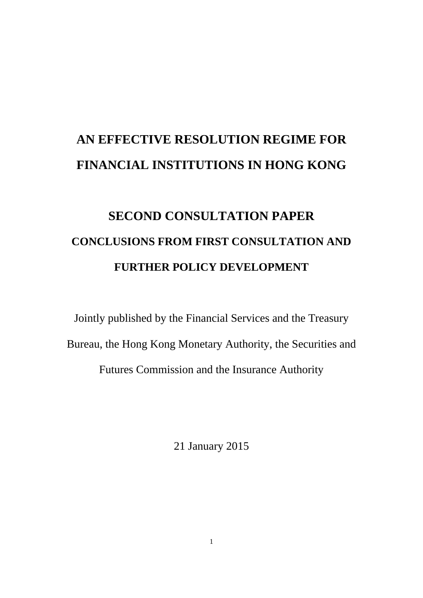# **AN EFFECTIVE RESOLUTION REGIME FOR FINANCIAL INSTITUTIONS IN HONG KONG**

# **SECOND CONSULTATION PAPER CONCLUSIONS FROM FIRST CONSULTATION AND FURTHER POLICY DEVELOPMENT**

Jointly published by the Financial Services and the Treasury Bureau, the Hong Kong Monetary Authority, the Securities and Futures Commission and the Insurance Authority

21 January 2015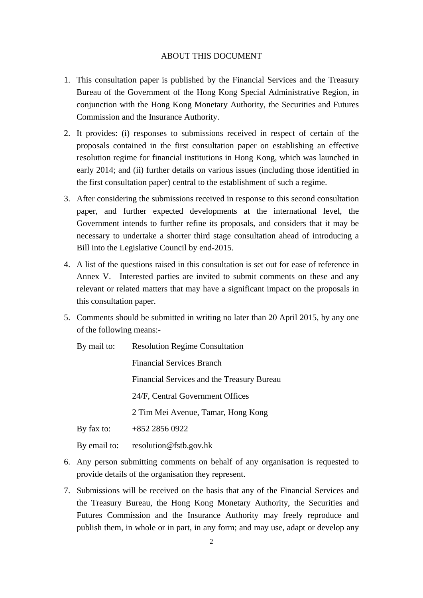#### ABOUT THIS DOCUMENT

- 1. This consultation paper is published by the Financial Services and the Treasury Bureau of the Government of the Hong Kong Special Administrative Region, in conjunction with the Hong Kong Monetary Authority, the Securities and Futures Commission and the Insurance Authority.
- 2. It provides: (i) responses to submissions received in respect of certain of the proposals contained in the first consultation paper on establishing an effective resolution regime for financial institutions in Hong Kong, which was launched in early 2014; and (ii) further details on various issues (including those identified in the first consultation paper) central to the establishment of such a regime.
- 3. After considering the submissions received in response to this second consultation paper, and further expected developments at the international level, the Government intends to further refine its proposals, and considers that it may be necessary to undertake a shorter third stage consultation ahead of introducing a Bill into the Legislative Council by end-2015.
- 4. A list of the questions raised in this consultation is set out for ease of reference in Annex V. Interested parties are invited to submit comments on these and any relevant or related matters that may have a significant impact on the proposals in this consultation paper.
- 5. Comments should be submitted in writing no later than 20 April 2015, by any one of the following means:-
	- By mail to: Resolution Regime Consultation

Financial Services Branch Financial Services and the Treasury Bureau

24/F, Central Government Offices

2 Tim Mei Avenue, Tamar, Hong Kong

By fax to: +852 2856 0922

By email to: resolution@fstb.gov.hk

- 6. Any person submitting comments on behalf of any organisation is requested to provide details of the organisation they represent.
- 7. Submissions will be received on the basis that any of the Financial Services and the Treasury Bureau, the Hong Kong Monetary Authority, the Securities and Futures Commission and the Insurance Authority may freely reproduce and publish them, in whole or in part, in any form; and may use, adapt or develop any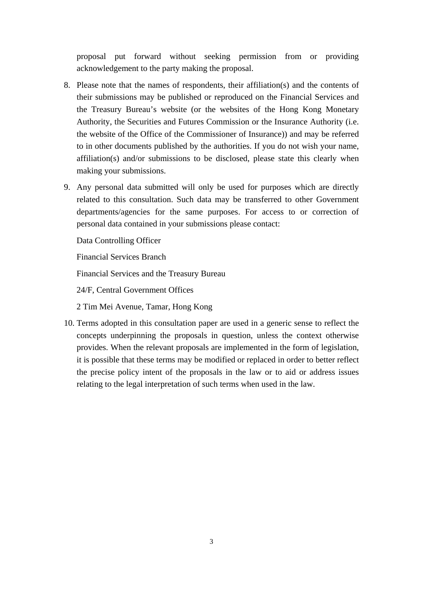proposal put forward without seeking permission from or providing acknowledgement to the party making the proposal.

- 8. Please note that the names of respondents, their affiliation(s) and the contents of their submissions may be published or reproduced on the Financial Services and the Treasury Bureau's website (or the websites of the Hong Kong Monetary Authority, the Securities and Futures Commission or the Insurance Authority (i.e. the website of the Office of the Commissioner of Insurance)) and may be referred to in other documents published by the authorities. If you do not wish your name, affiliation(s) and/or submissions to be disclosed, please state this clearly when making your submissions.
- 9. Any personal data submitted will only be used for purposes which are directly related to this consultation. Such data may be transferred to other Government departments/agencies for the same purposes. For access to or correction of personal data contained in your submissions please contact:

Data Controlling Officer

Financial Services Branch

Financial Services and the Treasury Bureau

24/F, Central Government Offices

2 Tim Mei Avenue, Tamar, Hong Kong

10. Terms adopted in this consultation paper are used in a generic sense to reflect the concepts underpinning the proposals in question, unless the context otherwise provides. When the relevant proposals are implemented in the form of legislation, it is possible that these terms may be modified or replaced in order to better reflect the precise policy intent of the proposals in the law or to aid or address issues relating to the legal interpretation of such terms when used in the law.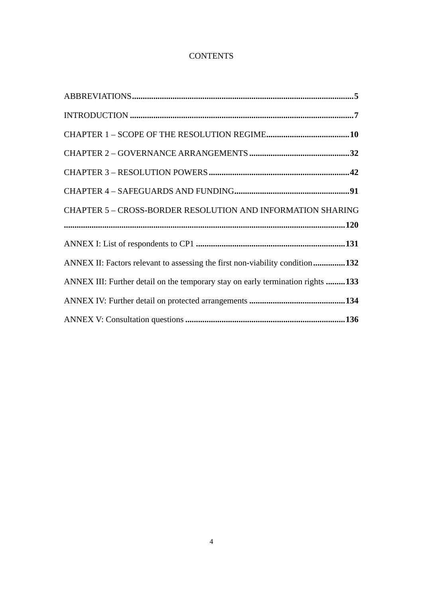# **CONTENTS**

| <b>CHAPTER 5 - CROSS-BORDER RESOLUTION AND INFORMATION SHARING</b>              |
|---------------------------------------------------------------------------------|
|                                                                                 |
|                                                                                 |
| ANNEX II: Factors relevant to assessing the first non-viability condition132    |
| ANNEX III: Further detail on the temporary stay on early termination rights 133 |
|                                                                                 |
|                                                                                 |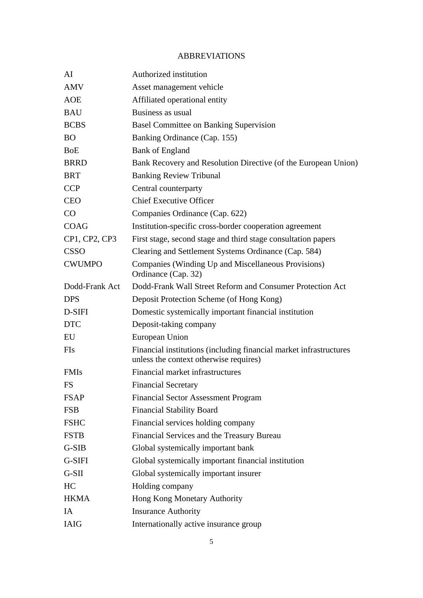# ABBREVIATIONS

| AI             | Authorized institution                                                                                       |
|----------------|--------------------------------------------------------------------------------------------------------------|
| <b>AMV</b>     | Asset management vehicle                                                                                     |
| <b>AOE</b>     | Affiliated operational entity                                                                                |
| <b>BAU</b>     | Business as usual                                                                                            |
| <b>BCBS</b>    | <b>Basel Committee on Banking Supervision</b>                                                                |
| <b>BO</b>      | Banking Ordinance (Cap. 155)                                                                                 |
| <b>BoE</b>     | <b>Bank of England</b>                                                                                       |
| <b>BRRD</b>    | Bank Recovery and Resolution Directive (of the European Union)                                               |
| <b>BRT</b>     | <b>Banking Review Tribunal</b>                                                                               |
| <b>CCP</b>     | Central counterparty                                                                                         |
| <b>CEO</b>     | <b>Chief Executive Officer</b>                                                                               |
| CO             | Companies Ordinance (Cap. 622)                                                                               |
| <b>COAG</b>    | Institution-specific cross-border cooperation agreement                                                      |
| CP1, CP2, CP3  | First stage, second stage and third stage consultation papers                                                |
| <b>CSSO</b>    | Clearing and Settlement Systems Ordinance (Cap. 584)                                                         |
| <b>CWUMPO</b>  | Companies (Winding Up and Miscellaneous Provisions)<br>Ordinance (Cap. 32)                                   |
| Dodd-Frank Act | Dodd-Frank Wall Street Reform and Consumer Protection Act                                                    |
| <b>DPS</b>     | Deposit Protection Scheme (of Hong Kong)                                                                     |
| D-SIFI         | Domestic systemically important financial institution                                                        |
| <b>DTC</b>     | Deposit-taking company                                                                                       |
| EU             | European Union                                                                                               |
| <b>FIs</b>     | Financial institutions (including financial market infrastructures<br>unless the context otherwise requires) |
| <b>FMIs</b>    | Financial market infrastructures                                                                             |
| FS             | <b>Financial Secretary</b>                                                                                   |
| <b>FSAP</b>    | <b>Financial Sector Assessment Program</b>                                                                   |
| <b>FSB</b>     | <b>Financial Stability Board</b>                                                                             |
| <b>FSHC</b>    | Financial services holding company                                                                           |
| <b>FSTB</b>    | Financial Services and the Treasury Bureau                                                                   |
| G-SIB          | Global systemically important bank                                                                           |
| G-SIFI         | Global systemically important financial institution                                                          |
| $G-SII$        | Global systemically important insurer                                                                        |
| HC             | Holding company                                                                                              |
| <b>HKMA</b>    | Hong Kong Monetary Authority                                                                                 |
| IA             | <b>Insurance Authority</b>                                                                                   |
| <b>IAIG</b>    | Internationally active insurance group                                                                       |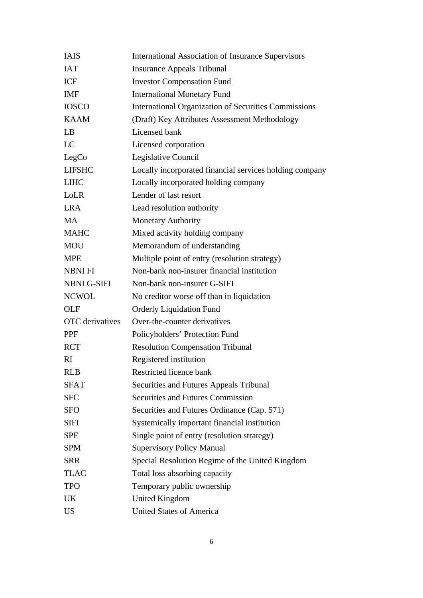| <b>IAIS</b>            | <b>International Association of Insurance Supervisors</b> |
|------------------------|-----------------------------------------------------------|
| <b>IAT</b>             | <b>Insurance Appeals Tribunal</b>                         |
| ICF                    | <b>Investor Compensation Fund</b>                         |
| <b>IMF</b>             | <b>International Monetary Fund</b>                        |
| <b>IOSCO</b>           | International Organization of Securities Commissions      |
| <b>KAAM</b>            | (Draft) Key Attributes Assessment Methodology             |
| LB                     | Licensed bank                                             |
| LC                     | Licensed corporation                                      |
| LegCo                  | Legislative Council                                       |
| <b>LIFSHC</b>          | Locally incorporated financial services holding company   |
| <b>LIHC</b>            | Locally incorporated holding company                      |
| LoLR                   | Lender of last resort                                     |
| <b>LRA</b>             | Lead resolution authority                                 |
| <b>MA</b>              | <b>Monetary Authority</b>                                 |
| <b>MAHC</b>            | Mixed activity holding company                            |
| <b>MOU</b>             | Memorandum of understanding                               |
| <b>MPE</b>             | Multiple point of entry (resolution strategy)             |
| <b>NBNIFI</b>          | Non-bank non-insurer financial institution                |
| <b>NBNI G-SIFI</b>     | Non-bank non-insurer G-SIFI                               |
| <b>NCWOL</b>           | No creditor worse off than in liquidation                 |
| <b>OLF</b>             | <b>Orderly Liquidation Fund</b>                           |
| <b>OTC</b> derivatives | Over-the-counter derivatives                              |
| <b>PPF</b>             | Policyholders' Protection Fund                            |
| <b>RCT</b>             | <b>Resolution Compensation Tribunal</b>                   |
| RI                     | Registered institution                                    |
| <b>RLB</b>             | Restricted licence bank                                   |
| <b>SFAT</b>            | Securities and Futures Appeals Tribunal                   |
| <b>SFC</b>             | Securities and Futures Commission                         |
| <b>SFO</b>             | Securities and Futures Ordinance (Cap. 571)               |
| <b>SIFI</b>            | Systemically important financial institution              |
| <b>SPE</b>             | Single point of entry (resolution strategy)               |
| <b>SPM</b>             | <b>Supervisory Policy Manual</b>                          |
| <b>SRR</b>             | Special Resolution Regime of the United Kingdom           |
| <b>TLAC</b>            | Total loss absorbing capacity                             |
| <b>TPO</b>             | Temporary public ownership                                |
| <b>UK</b>              | <b>United Kingdom</b>                                     |
| <b>US</b>              | <b>United States of America</b>                           |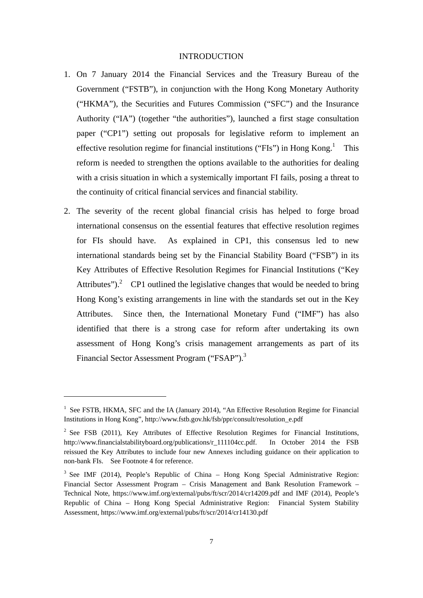# INTRODUCTION

- 1. On 7 January 2014 the Financial Services and the Treasury Bureau of the Government ("FSTB"), in conjunction with the Hong Kong Monetary Authority ("HKMA"), the Securities and Futures Commission ("SFC") and the Insurance Authority ("IA") (together "the authorities"), launched a first stage consultation paper ("CP1") setting out proposals for legislative reform to implement an effective resolution regime for financial institutions ("FIs") in Hong Kong.<sup>1</sup> This reform is needed to strengthen the options available to the authorities for dealing with a crisis situation in which a systemically important FI fails, posing a threat to the continuity of critical financial services and financial stability.
- 2. The severity of the recent global financial crisis has helped to forge broad international consensus on the essential features that effective resolution regimes for FIs should have. As explained in CP1, this consensus led to new international standards being set by the Financial Stability Board ("FSB") in its Key Attributes of Effective Resolution Regimes for Financial Institutions ("Key Attributes" $\cdot$ ).<sup>2</sup> CP1 outlined the legislative changes that would be needed to bring Hong Kong's existing arrangements in line with the standards set out in the Key Attributes. Since then, the International Monetary Fund ("IMF") has also identified that there is a strong case for reform after undertaking its own assessment of Hong Kong's crisis management arrangements as part of its Financial Sector Assessment Program ("FSAP").<sup>3</sup>

<sup>&</sup>lt;sup>1</sup> See FSTB, HKMA, SFC and the IA (January 2014), "An Effective Resolution Regime for Financial Institutions in Hong Kong", http://www.fstb.gov.hk/fsb/ppr/consult/resolution\_e.pdf

<sup>&</sup>lt;sup>2</sup> See FSB (2011), Key Attributes of Effective Resolution Regimes for Financial Institutions, http://www.financialstabilityboard.org/publications/r 111104cc.pdf. In October 2014 the FSB reissued the Key Attributes to include four new Annexes including guidance on their application to non-bank FIs. See Footnote 4 for reference.

<sup>&</sup>lt;sup>3</sup> See IMF (2014), People's Republic of China - Hong Kong Special Administrative Region: Financial Sector Assessment Program – Crisis Management and Bank Resolution Framework – Technical Note, https://www.imf.org/external/pubs/ft/scr/2014/cr14209.pdf and IMF (2014), People's Republic of China – Hong Kong Special Administrative Region: Financial System Stability Assessment, https://www.imf.org/external/pubs/ft/scr/2014/cr14130.pdf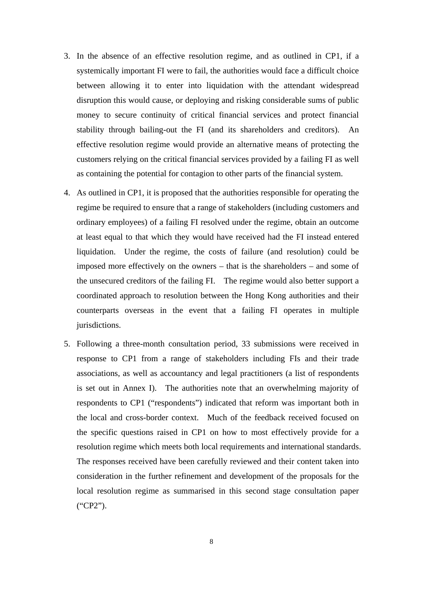- 3. In the absence of an effective resolution regime, and as outlined in CP1, if a systemically important FI were to fail, the authorities would face a difficult choice between allowing it to enter into liquidation with the attendant widespread disruption this would cause, or deploying and risking considerable sums of public money to secure continuity of critical financial services and protect financial stability through bailing-out the FI (and its shareholders and creditors). An effective resolution regime would provide an alternative means of protecting the customers relying on the critical financial services provided by a failing FI as well as containing the potential for contagion to other parts of the financial system.
- 4. As outlined in CP1, it is proposed that the authorities responsible for operating the regime be required to ensure that a range of stakeholders (including customers and ordinary employees) of a failing FI resolved under the regime, obtain an outcome at least equal to that which they would have received had the FI instead entered liquidation. Under the regime, the costs of failure (and resolution) could be imposed more effectively on the owners – that is the shareholders – and some of the unsecured creditors of the failing FI. The regime would also better support a coordinated approach to resolution between the Hong Kong authorities and their counterparts overseas in the event that a failing FI operates in multiple jurisdictions.
- 5. Following a three-month consultation period, 33 submissions were received in response to CP1 from a range of stakeholders including FIs and their trade associations, as well as accountancy and legal practitioners (a list of respondents is set out in Annex I). The authorities note that an overwhelming majority of respondents to CP1 ("respondents") indicated that reform was important both in the local and cross-border context. Much of the feedback received focused on the specific questions raised in CP1 on how to most effectively provide for a resolution regime which meets both local requirements and international standards. The responses received have been carefully reviewed and their content taken into consideration in the further refinement and development of the proposals for the local resolution regime as summarised in this second stage consultation paper ("CP2").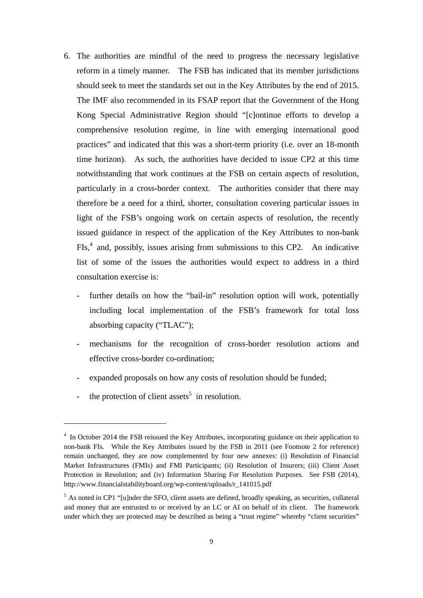- 6. The authorities are mindful of the need to progress the necessary legislative reform in a timely manner. The FSB has indicated that its member jurisdictions should seek to meet the standards set out in the Key Attributes by the end of 2015. The IMF also recommended in its FSAP report that the Government of the Hong Kong Special Administrative Region should "[c]ontinue efforts to develop a comprehensive resolution regime, in line with emerging international good practices" and indicated that this was a short-term priority (i.e. over an 18-month time horizon). As such, the authorities have decided to issue CP2 at this time notwithstanding that work continues at the FSB on certain aspects of resolution, particularly in a cross-border context. The authorities consider that there may therefore be a need for a third, shorter, consultation covering particular issues in light of the FSB's ongoing work on certain aspects of resolution, the recently issued guidance in respect of the application of the Key Attributes to non-bank FIs,<sup>4</sup> and, possibly, issues arising from submissions to this CP2. An indicative list of some of the issues the authorities would expect to address in a third consultation exercise is:
	- further details on how the "bail-in" resolution option will work, potentially including local implementation of the FSB's framework for total loss absorbing capacity ("TLAC");
	- mechanisms for the recognition of cross-border resolution actions and effective cross-border co-ordination;
	- expanded proposals on how any costs of resolution should be funded;
	- the protection of client assets<sup>5</sup> in resolution.

<sup>&</sup>lt;sup>4</sup> In October 2014 the FSB reissued the Key Attributes, incorporating guidance on their application to non-bank FIs. While the Key Attributes issued by the FSB in 2011 (see Footnote 2 for reference) remain unchanged, they are now complemented by four new annexes: (i) Resolution of Financial Market Infrastructures (FMIs) and FMI Participants; (ii) Resolution of Insurers; (iii) Client Asset Protection in Resolution; and (iv) Information Sharing For Resolution Purposes. See FSB (2014), http://www.financialstabilityboard.org/wp-content/uploads/r\_141015.pdf

<sup>&</sup>lt;sup>5</sup> As noted in CP1 "[u]nder the SFO, client assets are defined, broadly speaking, as securities, collateral and money that are entrusted to or received by an LC or AI on behalf of its client. The framework under which they are protected may be described as being a "trust regime" whereby "client securities"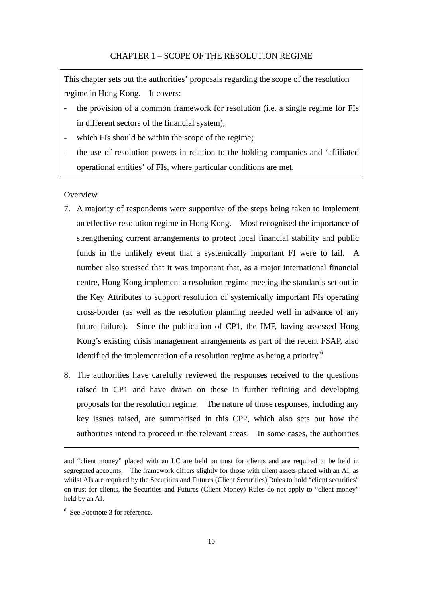This chapter sets out the authorities' proposals regarding the scope of the resolution regime in Hong Kong. It covers:

- the provision of a common framework for resolution (i.e. a single regime for FIs in different sectors of the financial system);
- which FIs should be within the scope of the regime;
- the use of resolution powers in relation to the holding companies and 'affiliated operational entities' of FIs, where particular conditions are met.

#### **Overview**

- 7. A majority of respondents were supportive of the steps being taken to implement an effective resolution regime in Hong Kong. Most recognised the importance of strengthening current arrangements to protect local financial stability and public funds in the unlikely event that a systemically important FI were to fail. A number also stressed that it was important that, as a major international financial centre, Hong Kong implement a resolution regime meeting the standards set out in the Key Attributes to support resolution of systemically important FIs operating cross-border (as well as the resolution planning needed well in advance of any future failure). Since the publication of CP1, the IMF, having assessed Hong Kong's existing crisis management arrangements as part of the recent FSAP, also identified the implementation of a resolution regime as being a priority.<sup>6</sup>
- 8. The authorities have carefully reviewed the responses received to the questions raised in CP1 and have drawn on these in further refining and developing proposals for the resolution regime. The nature of those responses, including any key issues raised, are summarised in this CP2, which also sets out how the authorities intend to proceed in the relevant areas. In some cases, the authorities

<u> 1989 - Johann Barbara, marka a shekara tsa na shekara tsa na shekara tsa 1989 a tsa na shekara tsa 1989. N</u>

and "client money" placed with an LC are held on trust for clients and are required to be held in segregated accounts. The framework differs slightly for those with client assets placed with an AI, as whilst AIs are required by the Securities and Futures (Client Securities) Rules to hold "client securities" on trust for clients, the Securities and Futures (Client Money) Rules do not apply to "client money" held by an AI.

<sup>6</sup> See Footnote 3 for reference.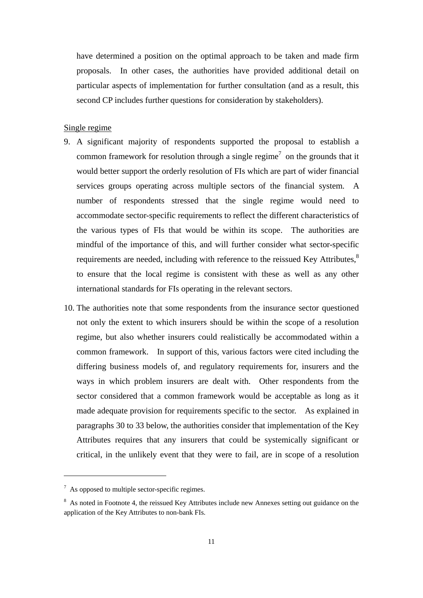have determined a position on the optimal approach to be taken and made firm proposals. In other cases, the authorities have provided additional detail on particular aspects of implementation for further consultation (and as a result, this second CP includes further questions for consideration by stakeholders).

# Single regime

- 9. A significant majority of respondents supported the proposal to establish a common framework for resolution through a single regime<sup>7</sup> on the grounds that it would better support the orderly resolution of FIs which are part of wider financial services groups operating across multiple sectors of the financial system. A number of respondents stressed that the single regime would need to accommodate sector-specific requirements to reflect the different characteristics of the various types of FIs that would be within its scope. The authorities are mindful of the importance of this, and will further consider what sector-specific requirements are needed, including with reference to the reissued Key Attributes,<sup>8</sup> to ensure that the local regime is consistent with these as well as any other international standards for FIs operating in the relevant sectors.
- 10. The authorities note that some respondents from the insurance sector questioned not only the extent to which insurers should be within the scope of a resolution regime, but also whether insurers could realistically be accommodated within a common framework. In support of this, various factors were cited including the differing business models of, and regulatory requirements for, insurers and the ways in which problem insurers are dealt with. Other respondents from the sector considered that a common framework would be acceptable as long as it made adequate provision for requirements specific to the sector. As explained in paragraphs 30 to 33 below, the authorities consider that implementation of the Key Attributes requires that any insurers that could be systemically significant or critical, in the unlikely event that they were to fail, are in scope of a resolution

 $\frac{7}{1}$  As opposed to multiple sector-specific regimes.

<sup>&</sup>lt;sup>8</sup> As noted in Footnote 4, the reissued Key Attributes include new Annexes setting out guidance on the application of the Key Attributes to non-bank FIs.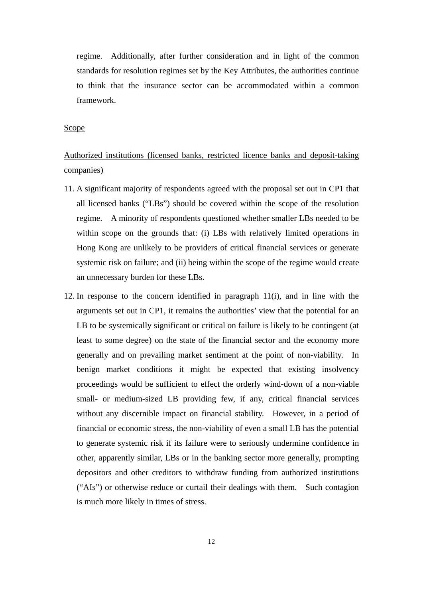regime. Additionally, after further consideration and in light of the common standards for resolution regimes set by the Key Attributes, the authorities continue to think that the insurance sector can be accommodated within a common framework.

#### Scope

# Authorized institutions (licensed banks, restricted licence banks and deposit-taking companies)

- 11. A significant majority of respondents agreed with the proposal set out in CP1 that all licensed banks ("LBs") should be covered within the scope of the resolution regime. A minority of respondents questioned whether smaller LBs needed to be within scope on the grounds that: (i) LBs with relatively limited operations in Hong Kong are unlikely to be providers of critical financial services or generate systemic risk on failure; and (ii) being within the scope of the regime would create an unnecessary burden for these LBs.
- 12. In response to the concern identified in paragraph 11(i), and in line with the arguments set out in CP1, it remains the authorities' view that the potential for an LB to be systemically significant or critical on failure is likely to be contingent (at least to some degree) on the state of the financial sector and the economy more generally and on prevailing market sentiment at the point of non-viability. In benign market conditions it might be expected that existing insolvency proceedings would be sufficient to effect the orderly wind-down of a non-viable small- or medium-sized LB providing few, if any, critical financial services without any discernible impact on financial stability. However, in a period of financial or economic stress, the non-viability of even a small LB has the potential to generate systemic risk if its failure were to seriously undermine confidence in other, apparently similar, LBs or in the banking sector more generally, prompting depositors and other creditors to withdraw funding from authorized institutions ("AIs") or otherwise reduce or curtail their dealings with them. Such contagion is much more likely in times of stress.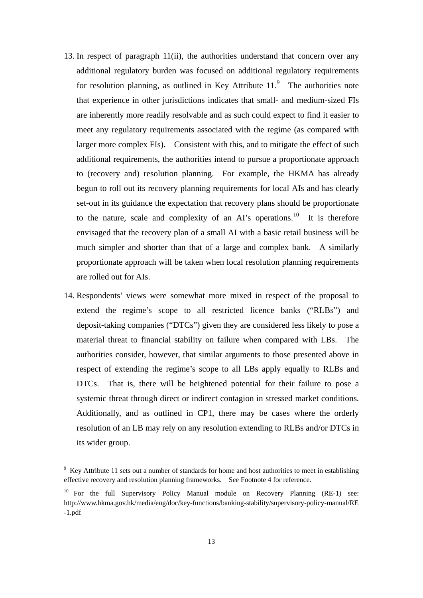- 13. In respect of paragraph 11(ii), the authorities understand that concern over any additional regulatory burden was focused on additional regulatory requirements for resolution planning, as outlined in Key Attribute  $11<sup>9</sup>$  The authorities note that experience in other jurisdictions indicates that small- and medium-sized FIs are inherently more readily resolvable and as such could expect to find it easier to meet any regulatory requirements associated with the regime (as compared with larger more complex FIs). Consistent with this, and to mitigate the effect of such additional requirements, the authorities intend to pursue a proportionate approach to (recovery and) resolution planning. For example, the HKMA has already begun to roll out its recovery planning requirements for local AIs and has clearly set-out in its guidance the expectation that recovery plans should be proportionate to the nature, scale and complexity of an AI's operations.<sup>10</sup> It is therefore envisaged that the recovery plan of a small AI with a basic retail business will be much simpler and shorter than that of a large and complex bank. A similarly proportionate approach will be taken when local resolution planning requirements are rolled out for AIs.
- 14. Respondents' views were somewhat more mixed in respect of the proposal to extend the regime's scope to all restricted licence banks ("RLBs") and deposit-taking companies ("DTCs") given they are considered less likely to pose a material threat to financial stability on failure when compared with LBs. The authorities consider, however, that similar arguments to those presented above in respect of extending the regime's scope to all LBs apply equally to RLBs and DTCs. That is, there will be heightened potential for their failure to pose a systemic threat through direct or indirect contagion in stressed market conditions. Additionally, and as outlined in CP1, there may be cases where the orderly resolution of an LB may rely on any resolution extending to RLBs and/or DTCs in its wider group.

<sup>&</sup>lt;sup>9</sup> Key Attribute 11 sets out a number of standards for home and host authorities to meet in establishing effective recovery and resolution planning frameworks. See Footnote 4 for reference.

<sup>&</sup>lt;sup>10</sup> For the full Supervisory Policy Manual module on Recovery Planning  $(RE-1)$  see: http://www.hkma.gov.hk/media/eng/doc/key-functions/banking-stability/supervisory-policy-manual/RE -1.pdf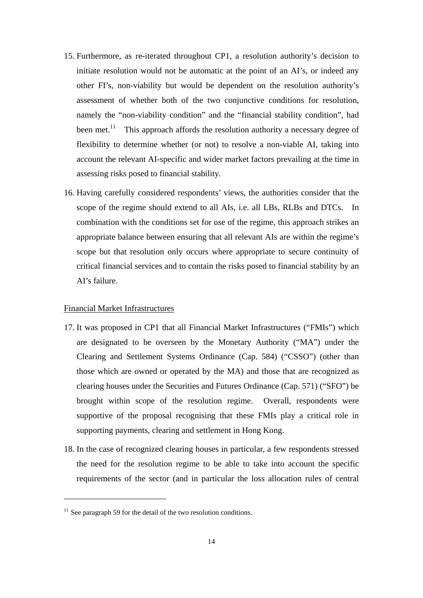- 15. Furthermore, as re-iterated throughout CP1, a resolution authority's decision to initiate resolution would not be automatic at the point of an AI's, or indeed any other FI's, non-viability but would be dependent on the resolution authority's assessment of whether both of the two conjunctive conditions for resolution, namely the "non-viability condition" and the "financial stability condition", had been met.<sup>11</sup> This approach affords the resolution authority a necessary degree of flexibility to determine whether (or not) to resolve a non-viable AI, taking into account the relevant AI-specific and wider market factors prevailing at the time in assessing risks posed to financial stability.
- 16. Having carefully considered respondents' views, the authorities consider that the scope of the regime should extend to all AIs, i.e. all LBs, RLBs and DTCs. In combination with the conditions set for use of the regime, this approach strikes an appropriate balance between ensuring that all relevant AIs are within the regime's scope but that resolution only occurs where appropriate to secure continuity of critical financial services and to contain the risks posed to financial stability by an AI's failure.

# Financial Market Infrastructures

- 17. It was proposed in CP1 that all Financial Market Infrastructures ("FMIs") which are designated to be overseen by the Monetary Authority ("MA") under the Clearing and Settlement Systems Ordinance (Cap. 584) ("CSSO") (other than those which are owned or operated by the MA) and those that are recognized as clearing houses under the Securities and Futures Ordinance (Cap. 571) ("SFO") be brought within scope of the resolution regime. Overall, respondents were supportive of the proposal recognising that these FMIs play a critical role in supporting payments, clearing and settlement in Hong Kong.
- 18. In the case of recognized clearing houses in particular, a few respondents stressed the need for the resolution regime to be able to take into account the specific requirements of the sector (and in particular the loss allocation rules of central

 $11$  See paragraph 59 for the detail of the two resolution conditions.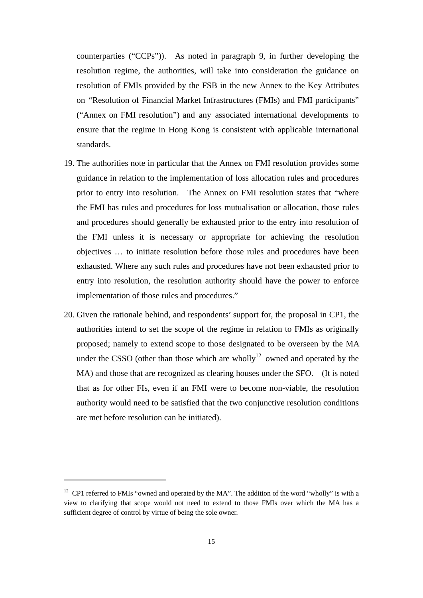counterparties ("CCPs")). As noted in paragraph 9, in further developing the resolution regime, the authorities, will take into consideration the guidance on resolution of FMIs provided by the FSB in the new Annex to the Key Attributes on "Resolution of Financial Market Infrastructures (FMIs) and FMI participants" ("Annex on FMI resolution") and any associated international developments to ensure that the regime in Hong Kong is consistent with applicable international standards.

- 19. The authorities note in particular that the Annex on FMI resolution provides some guidance in relation to the implementation of loss allocation rules and procedures prior to entry into resolution. The Annex on FMI resolution states that "where the FMI has rules and procedures for loss mutualisation or allocation, those rules and procedures should generally be exhausted prior to the entry into resolution of the FMI unless it is necessary or appropriate for achieving the resolution objectives … to initiate resolution before those rules and procedures have been exhausted. Where any such rules and procedures have not been exhausted prior to entry into resolution, the resolution authority should have the power to enforce implementation of those rules and procedures."
- 20. Given the rationale behind, and respondents' support for, the proposal in CP1, the authorities intend to set the scope of the regime in relation to FMIs as originally proposed; namely to extend scope to those designated to be overseen by the MA under the CSSO (other than those which are wholly<sup>12</sup> owned and operated by the MA) and those that are recognized as clearing houses under the SFO. (It is noted that as for other FIs, even if an FMI were to become non-viable, the resolution authority would need to be satisfied that the two conjunctive resolution conditions are met before resolution can be initiated).

<sup>&</sup>lt;sup>12</sup> CP1 referred to FMIs "owned and operated by the MA". The addition of the word "wholly" is with a view to clarifying that scope would not need to extend to those FMIs over which the MA has a sufficient degree of control by virtue of being the sole owner.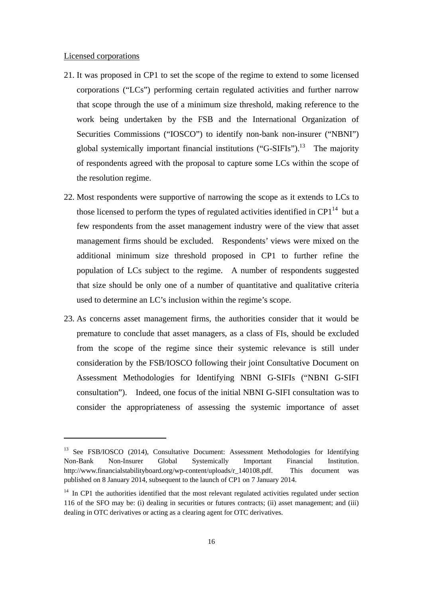#### Licensed corporations

- 21. It was proposed in CP1 to set the scope of the regime to extend to some licensed corporations ("LCs") performing certain regulated activities and further narrow that scope through the use of a minimum size threshold, making reference to the work being undertaken by the FSB and the International Organization of Securities Commissions ("IOSCO") to identify non-bank non-insurer ("NBNI") global systemically important financial institutions ("G-SIFIs").<sup>13</sup> The majority of respondents agreed with the proposal to capture some LCs within the scope of the resolution regime.
- 22. Most respondents were supportive of narrowing the scope as it extends to LCs to those licensed to perform the types of regulated activities identified in  $\text{CP1}^{14}$  but a few respondents from the asset management industry were of the view that asset management firms should be excluded. Respondents' views were mixed on the additional minimum size threshold proposed in CP1 to further refine the population of LCs subject to the regime. A number of respondents suggested that size should be only one of a number of quantitative and qualitative criteria used to determine an LC's inclusion within the regime's scope.
- 23. As concerns asset management firms, the authorities consider that it would be premature to conclude that asset managers, as a class of FIs, should be excluded from the scope of the regime since their systemic relevance is still under consideration by the FSB/IOSCO following their joint Consultative Document on Assessment Methodologies for Identifying NBNI G-SIFIs ("NBNI G-SIFI consultation"). Indeed, one focus of the initial NBNI G-SIFI consultation was to consider the appropriateness of assessing the systemic importance of asset

<sup>&</sup>lt;sup>13</sup> See FSB/IOSCO (2014), Consultative Document: Assessment Methodologies for Identifying Non-Bank Non-Insurer Global Systemically Important Financial Institution. http://www.financialstabilityboard.org/wp-content/uploads/r 140108.pdf. This document was published on 8 January 2014, subsequent to the launch of CP1 on 7 January 2014.

<sup>&</sup>lt;sup>14</sup> In CP1 the authorities identified that the most relevant regulated activities regulated under section 116 of the SFO may be: (i) dealing in securities or futures contracts; (ii) asset management; and (iii) dealing in OTC derivatives or acting as a clearing agent for OTC derivatives.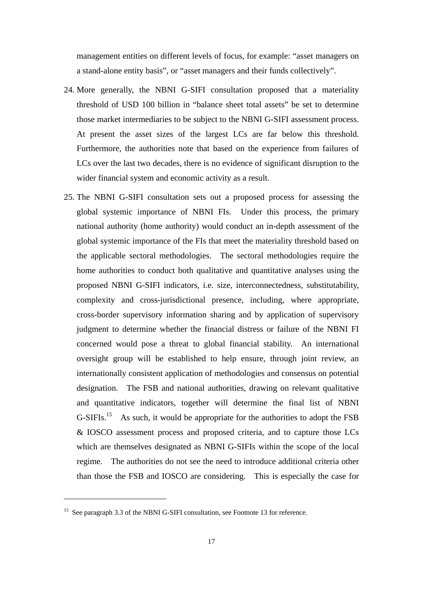management entities on different levels of focus, for example: "asset managers on a stand-alone entity basis", or "asset managers and their funds collectively".

- 24. More generally, the NBNI G-SIFI consultation proposed that a materiality threshold of USD 100 billion in "balance sheet total assets" be set to determine those market intermediaries to be subject to the NBNI G-SIFI assessment process. At present the asset sizes of the largest LCs are far below this threshold. Furthermore, the authorities note that based on the experience from failures of LCs over the last two decades, there is no evidence of significant disruption to the wider financial system and economic activity as a result.
- 25. The NBNI G-SIFI consultation sets out a proposed process for assessing the global systemic importance of NBNI FIs. Under this process, the primary national authority (home authority) would conduct an in-depth assessment of the global systemic importance of the FIs that meet the materiality threshold based on the applicable sectoral methodologies. The sectoral methodologies require the home authorities to conduct both qualitative and quantitative analyses using the proposed NBNI G-SIFI indicators, i.e. size, interconnectedness, substitutability, complexity and cross-jurisdictional presence, including, where appropriate, cross-border supervisory information sharing and by application of supervisory judgment to determine whether the financial distress or failure of the NBNI FI concerned would pose a threat to global financial stability. An international oversight group will be established to help ensure, through joint review, an internationally consistent application of methodologies and consensus on potential designation. The FSB and national authorities, drawing on relevant qualitative and quantitative indicators, together will determine the final list of NBNI G-SIFIs.<sup>15</sup> As such, it would be appropriate for the authorities to adopt the FSB & IOSCO assessment process and proposed criteria, and to capture those LCs which are themselves designated as NBNI G-SIFIs within the scope of the local regime. The authorities do not see the need to introduce additional criteria other than those the FSB and IOSCO are considering. This is especially the case for

<sup>&</sup>lt;sup>15</sup> See paragraph 3.3 of the NBNI G-SIFI consultation, see Footnote 13 for reference.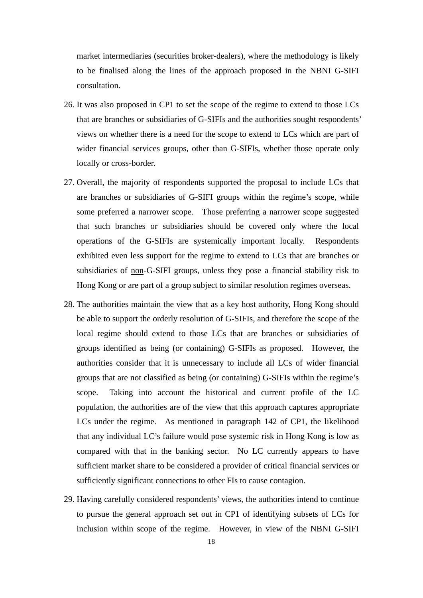market intermediaries (securities broker-dealers), where the methodology is likely to be finalised along the lines of the approach proposed in the NBNI G-SIFI consultation.

- 26. It was also proposed in CP1 to set the scope of the regime to extend to those LCs that are branches or subsidiaries of G-SIFIs and the authorities sought respondents' views on whether there is a need for the scope to extend to LCs which are part of wider financial services groups, other than G-SIFIs, whether those operate only locally or cross-border.
- 27. Overall, the majority of respondents supported the proposal to include LCs that are branches or subsidiaries of G-SIFI groups within the regime's scope, while some preferred a narrower scope. Those preferring a narrower scope suggested that such branches or subsidiaries should be covered only where the local operations of the G-SIFIs are systemically important locally. Respondents exhibited even less support for the regime to extend to LCs that are branches or subsidiaries of non-G-SIFI groups, unless they pose a financial stability risk to Hong Kong or are part of a group subject to similar resolution regimes overseas.
- 28. The authorities maintain the view that as a key host authority, Hong Kong should be able to support the orderly resolution of G-SIFIs, and therefore the scope of the local regime should extend to those LCs that are branches or subsidiaries of groups identified as being (or containing) G-SIFIs as proposed. However, the authorities consider that it is unnecessary to include all LCs of wider financial groups that are not classified as being (or containing) G-SIFIs within the regime's scope. Taking into account the historical and current profile of the LC population, the authorities are of the view that this approach captures appropriate LCs under the regime. As mentioned in paragraph 142 of CP1, the likelihood that any individual LC's failure would pose systemic risk in Hong Kong is low as compared with that in the banking sector. No LC currently appears to have sufficient market share to be considered a provider of critical financial services or sufficiently significant connections to other FIs to cause contagion.
- 29. Having carefully considered respondents' views, the authorities intend to continue to pursue the general approach set out in CP1 of identifying subsets of LCs for inclusion within scope of the regime. However, in view of the NBNI G-SIFI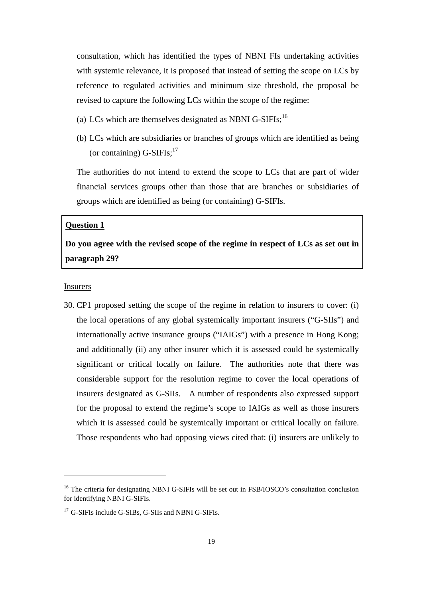consultation, which has identified the types of NBNI FIs undertaking activities with systemic relevance, it is proposed that instead of setting the scope on LCs by reference to regulated activities and minimum size threshold, the proposal be revised to capture the following LCs within the scope of the regime:

- (a) LCs which are themselves designated as NBNI G-SIFIs;  $^{16}$
- (b) LCs which are subsidiaries or branches of groups which are identified as being (or containing)  $G-SIFIs:^{17}$

The authorities do not intend to extend the scope to LCs that are part of wider financial services groups other than those that are branches or subsidiaries of groups which are identified as being (or containing) G-SIFIs.

#### **Question 1**

# **Do you agree with the revised scope of the regime in respect of LCs as set out in paragraph 29?**

#### **Insurers**

30. CP1 proposed setting the scope of the regime in relation to insurers to cover: (i) the local operations of any global systemically important insurers ("G-SIIs") and internationally active insurance groups ("IAIGs") with a presence in Hong Kong; and additionally (ii) any other insurer which it is assessed could be systemically significant or critical locally on failure. The authorities note that there was considerable support for the resolution regime to cover the local operations of insurers designated as G-SIIs. A number of respondents also expressed support for the proposal to extend the regime's scope to IAIGs as well as those insurers which it is assessed could be systemically important or critical locally on failure. Those respondents who had opposing views cited that: (i) insurers are unlikely to

<sup>&</sup>lt;sup>16</sup> The criteria for designating NBNI G-SIFIs will be set out in FSB/IOSCO's consultation conclusion for identifying NBNI G-SIFIs.

<sup>&</sup>lt;sup>17</sup> G-SIFIs include G-SIBs, G-SIIs and NBNI G-SIFIs.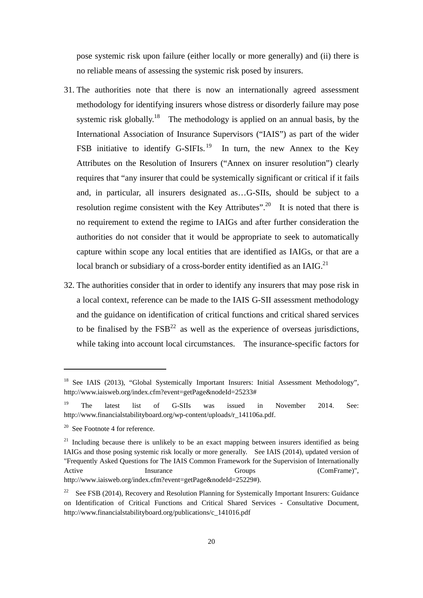pose systemic risk upon failure (either locally or more generally) and (ii) there is no reliable means of assessing the systemic risk posed by insurers.

- 31. The authorities note that there is now an internationally agreed assessment methodology for identifying insurers whose distress or disorderly failure may pose systemic risk globally.<sup>18</sup> The methodology is applied on an annual basis, by the International Association of Insurance Supervisors ("IAIS") as part of the wider FSB initiative to identify G-SIFIs.<sup>19</sup> In turn, the new Annex to the Key Attributes on the Resolution of Insurers ("Annex on insurer resolution") clearly requires that "any insurer that could be systemically significant or critical if it fails and, in particular, all insurers designated as…G-SIIs, should be subject to a resolution regime consistent with the Key Attributes".<sup>20</sup> It is noted that there is no requirement to extend the regime to IAIGs and after further consideration the authorities do not consider that it would be appropriate to seek to automatically capture within scope any local entities that are identified as IAIGs, or that are a local branch or subsidiary of a cross-border entity identified as an IAIG.<sup>21</sup>
- 32. The authorities consider that in order to identify any insurers that may pose risk in a local context, reference can be made to the IAIS G-SII assessment methodology and the guidance on identification of critical functions and critical shared services to be finalised by the  $FSB<sup>22</sup>$  as well as the experience of overseas jurisdictions, while taking into account local circumstances. The insurance-specific factors for

<sup>&</sup>lt;sup>18</sup> See IAIS (2013), "Global Systemically Important Insurers: Initial Assessment Methodology", http://www.iaisweb.org/index.cfm?event=getPage&nodeId=25233#

<sup>&</sup>lt;sup>19</sup> The latest list of G-SIIs was issued in November 2014. See: http://www.financialstabilityboard.org/wp-content/uploads/r\_141106a.pdf.

 $20$  See Footnote 4 for reference.

 $21$  Including because there is unlikely to be an exact mapping between insurers identified as being IAIGs and those posing systemic risk locally or more generally. See IAIS (2014), updated version of "Frequently Asked Questions for The IAIS Common Framework for the Supervision of Internationally Active Insurance Groups (ComFrame)", Active Insurance Groups (ComFrame)", http://www.iaisweb.org/index.cfm?event=getPage&nodeId=25229#).

<sup>&</sup>lt;sup>22</sup> See FSB (2014), Recovery and Resolution Planning for Systemically Important Insurers: Guidance on Identification of Critical Functions and Critical Shared Services - Consultative Document, http://www.financialstabilityboard.org/publications/c\_141016.pdf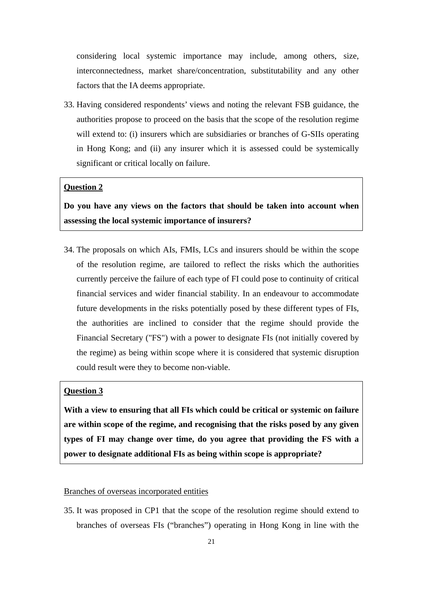considering local systemic importance may include, among others, size, interconnectedness, market share/concentration, substitutability and any other factors that the IA deems appropriate.

33. Having considered respondents' views and noting the relevant FSB guidance, the authorities propose to proceed on the basis that the scope of the resolution regime will extend to: (i) insurers which are subsidiaries or branches of G-SIIs operating in Hong Kong; and (ii) any insurer which it is assessed could be systemically significant or critical locally on failure.

# **Question 2**

**Do you have any views on the factors that should be taken into account when assessing the local systemic importance of insurers?** 

34. The proposals on which AIs, FMIs, LCs and insurers should be within the scope of the resolution regime, are tailored to reflect the risks which the authorities currently perceive the failure of each type of FI could pose to continuity of critical financial services and wider financial stability. In an endeavour to accommodate future developments in the risks potentially posed by these different types of FIs, the authorities are inclined to consider that the regime should provide the Financial Secretary ("FS") with a power to designate FIs (not initially covered by the regime) as being within scope where it is considered that systemic disruption could result were they to become non-viable.

# **Question 3**

**With a view to ensuring that all FIs which could be critical or systemic on failure are within scope of the regime, and recognising that the risks posed by any given types of FI may change over time, do you agree that providing the FS with a power to designate additional FIs as being within scope is appropriate?**

## Branches of overseas incorporated entities

35. It was proposed in CP1 that the scope of the resolution regime should extend to branches of overseas FIs ("branches") operating in Hong Kong in line with the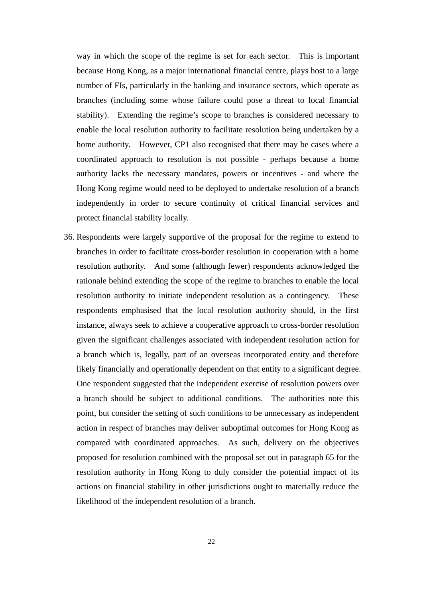way in which the scope of the regime is set for each sector. This is important because Hong Kong, as a major international financial centre, plays host to a large number of FIs, particularly in the banking and insurance sectors, which operate as branches (including some whose failure could pose a threat to local financial stability). Extending the regime's scope to branches is considered necessary to enable the local resolution authority to facilitate resolution being undertaken by a home authority. However, CP1 also recognised that there may be cases where a coordinated approach to resolution is not possible - perhaps because a home authority lacks the necessary mandates, powers or incentives - and where the Hong Kong regime would need to be deployed to undertake resolution of a branch independently in order to secure continuity of critical financial services and protect financial stability locally.

36. Respondents were largely supportive of the proposal for the regime to extend to branches in order to facilitate cross-border resolution in cooperation with a home resolution authority. And some (although fewer) respondents acknowledged the rationale behind extending the scope of the regime to branches to enable the local resolution authority to initiate independent resolution as a contingency. These respondents emphasised that the local resolution authority should, in the first instance, always seek to achieve a cooperative approach to cross-border resolution given the significant challenges associated with independent resolution action for a branch which is, legally, part of an overseas incorporated entity and therefore likely financially and operationally dependent on that entity to a significant degree. One respondent suggested that the independent exercise of resolution powers over a branch should be subject to additional conditions. The authorities note this point, but consider the setting of such conditions to be unnecessary as independent action in respect of branches may deliver suboptimal outcomes for Hong Kong as compared with coordinated approaches. As such, delivery on the objectives proposed for resolution combined with the proposal set out in paragraph 65 for the resolution authority in Hong Kong to duly consider the potential impact of its actions on financial stability in other jurisdictions ought to materially reduce the likelihood of the independent resolution of a branch.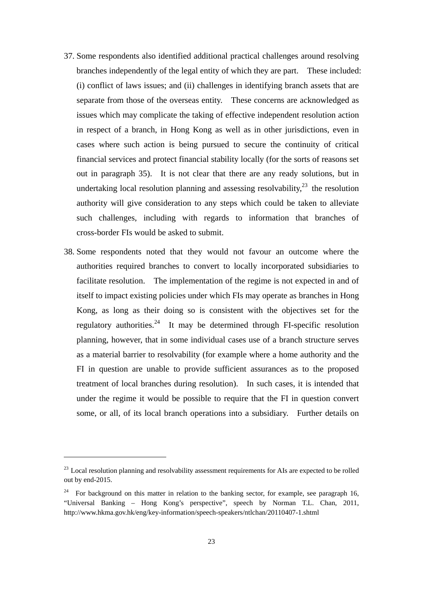- 37. Some respondents also identified additional practical challenges around resolving branches independently of the legal entity of which they are part. These included: (i) conflict of laws issues; and (ii) challenges in identifying branch assets that are separate from those of the overseas entity. These concerns are acknowledged as issues which may complicate the taking of effective independent resolution action in respect of a branch, in Hong Kong as well as in other jurisdictions, even in cases where such action is being pursued to secure the continuity of critical financial services and protect financial stability locally (for the sorts of reasons set out in paragraph 35). It is not clear that there are any ready solutions, but in undertaking local resolution planning and assessing resolvability,  $2^3$  the resolution authority will give consideration to any steps which could be taken to alleviate such challenges, including with regards to information that branches of cross-border FIs would be asked to submit.
- 38. Some respondents noted that they would not favour an outcome where the authorities required branches to convert to locally incorporated subsidiaries to facilitate resolution. The implementation of the regime is not expected in and of itself to impact existing policies under which FIs may operate as branches in Hong Kong, as long as their doing so is consistent with the objectives set for the regulatory authorities.<sup>24</sup> It may be determined through FI-specific resolution planning, however, that in some individual cases use of a branch structure serves as a material barrier to resolvability (for example where a home authority and the FI in question are unable to provide sufficient assurances as to the proposed treatment of local branches during resolution). In such cases, it is intended that under the regime it would be possible to require that the FI in question convert some, or all, of its local branch operations into a subsidiary. Further details on

 $^{23}$  Local resolution planning and resolvability assessment requirements for AIs are expected to be rolled out by end-2015.

<sup>&</sup>lt;sup>24</sup> For background on this matter in relation to the banking sector, for example, see paragraph 16, "Universal Banking – Hong Kong's perspective", speech by Norman T.L. Chan, 2011, http://www.hkma.gov.hk/eng/key-information/speech-speakers/ntlchan/20110407-1.shtml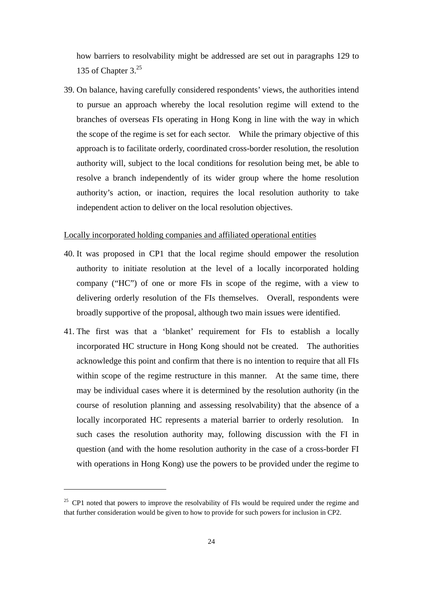how barriers to resolvability might be addressed are set out in paragraphs 129 to 135 of Chapter  $3<sup>25</sup>$ 

39. On balance, having carefully considered respondents' views, the authorities intend to pursue an approach whereby the local resolution regime will extend to the branches of overseas FIs operating in Hong Kong in line with the way in which the scope of the regime is set for each sector. While the primary objective of this approach is to facilitate orderly, coordinated cross-border resolution, the resolution authority will, subject to the local conditions for resolution being met, be able to resolve a branch independently of its wider group where the home resolution authority's action, or inaction, requires the local resolution authority to take independent action to deliver on the local resolution objectives.

## Locally incorporated holding companies and affiliated operational entities

- 40. It was proposed in CP1 that the local regime should empower the resolution authority to initiate resolution at the level of a locally incorporated holding company ("HC") of one or more FIs in scope of the regime, with a view to delivering orderly resolution of the FIs themselves. Overall, respondents were broadly supportive of the proposal, although two main issues were identified.
- 41. The first was that a 'blanket' requirement for FIs to establish a locally incorporated HC structure in Hong Kong should not be created. The authorities acknowledge this point and confirm that there is no intention to require that all FIs within scope of the regime restructure in this manner. At the same time, there may be individual cases where it is determined by the resolution authority (in the course of resolution planning and assessing resolvability) that the absence of a locally incorporated HC represents a material barrier to orderly resolution. In such cases the resolution authority may, following discussion with the FI in question (and with the home resolution authority in the case of a cross-border FI with operations in Hong Kong) use the powers to be provided under the regime to

 $25$  CP1 noted that powers to improve the resolvability of FIs would be required under the regime and that further consideration would be given to how to provide for such powers for inclusion in CP2.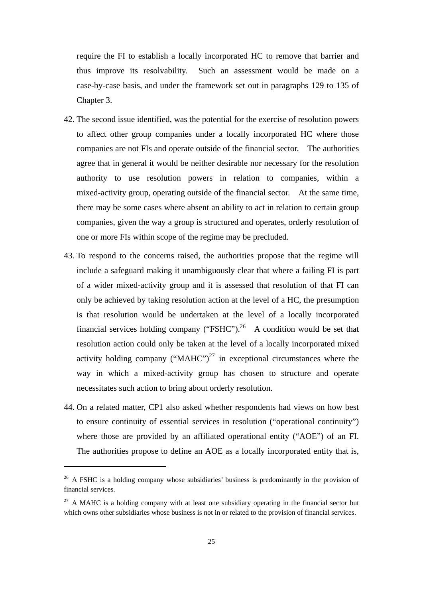require the FI to establish a locally incorporated HC to remove that barrier and thus improve its resolvability. Such an assessment would be made on a case-by-case basis, and under the framework set out in paragraphs 129 to 135 of Chapter 3.

- 42. The second issue identified, was the potential for the exercise of resolution powers to affect other group companies under a locally incorporated HC where those companies are not FIs and operate outside of the financial sector. The authorities agree that in general it would be neither desirable nor necessary for the resolution authority to use resolution powers in relation to companies, within a mixed-activity group, operating outside of the financial sector. At the same time, there may be some cases where absent an ability to act in relation to certain group companies, given the way a group is structured and operates, orderly resolution of one or more FIs within scope of the regime may be precluded.
- 43. To respond to the concerns raised, the authorities propose that the regime will include a safeguard making it unambiguously clear that where a failing FI is part of a wider mixed-activity group and it is assessed that resolution of that FI can only be achieved by taking resolution action at the level of a HC, the presumption is that resolution would be undertaken at the level of a locally incorporated financial services holding company ("FSHC").<sup>26</sup> A condition would be set that resolution action could only be taken at the level of a locally incorporated mixed activity holding company (" $M A H C$ ")<sup>27</sup> in exceptional circumstances where the way in which a mixed-activity group has chosen to structure and operate necessitates such action to bring about orderly resolution.
- 44. On a related matter, CP1 also asked whether respondents had views on how best to ensure continuity of essential services in resolution ("operational continuity") where those are provided by an affiliated operational entity ("AOE") of an FI. The authorities propose to define an AOE as a locally incorporated entity that is,

 $26$  A FSHC is a holding company whose subsidiaries' business is predominantly in the provision of financial services.

 $27$  A MAHC is a holding company with at least one subsidiary operating in the financial sector but which owns other subsidiaries whose business is not in or related to the provision of financial services.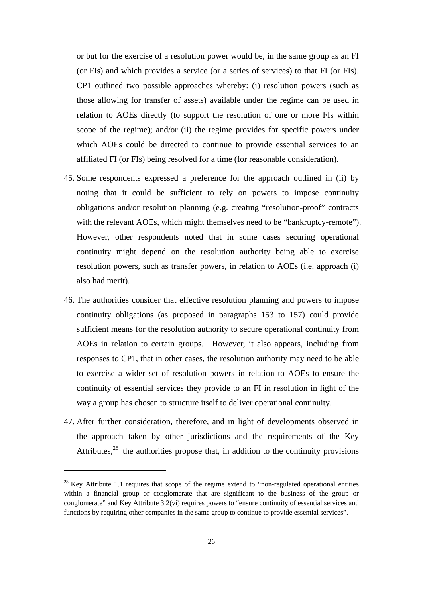or but for the exercise of a resolution power would be, in the same group as an FI (or FIs) and which provides a service (or a series of services) to that FI (or FIs). CP1 outlined two possible approaches whereby: (i) resolution powers (such as those allowing for transfer of assets) available under the regime can be used in relation to AOEs directly (to support the resolution of one or more FIs within scope of the regime); and/or (ii) the regime provides for specific powers under which AOEs could be directed to continue to provide essential services to an affiliated FI (or FIs) being resolved for a time (for reasonable consideration).

- 45. Some respondents expressed a preference for the approach outlined in (ii) by noting that it could be sufficient to rely on powers to impose continuity obligations and/or resolution planning (e.g. creating "resolution-proof" contracts with the relevant AOEs, which might themselves need to be "bankruptcy-remote"). However, other respondents noted that in some cases securing operational continuity might depend on the resolution authority being able to exercise resolution powers, such as transfer powers, in relation to AOEs (i.e. approach (i) also had merit).
- 46. The authorities consider that effective resolution planning and powers to impose continuity obligations (as proposed in paragraphs 153 to 157) could provide sufficient means for the resolution authority to secure operational continuity from AOEs in relation to certain groups. However, it also appears, including from responses to CP1, that in other cases, the resolution authority may need to be able to exercise a wider set of resolution powers in relation to AOEs to ensure the continuity of essential services they provide to an FI in resolution in light of the way a group has chosen to structure itself to deliver operational continuity.
- 47. After further consideration, therefore, and in light of developments observed in the approach taken by other jurisdictions and the requirements of the Key Attributes, $28$  the authorities propose that, in addition to the continuity provisions

<sup>&</sup>lt;sup>28</sup> Key Attribute 1.1 requires that scope of the regime extend to "non-regulated operational entities" within a financial group or conglomerate that are significant to the business of the group or conglomerate" and Key Attribute 3.2(vi) requires powers to "ensure continuity of essential services and functions by requiring other companies in the same group to continue to provide essential services".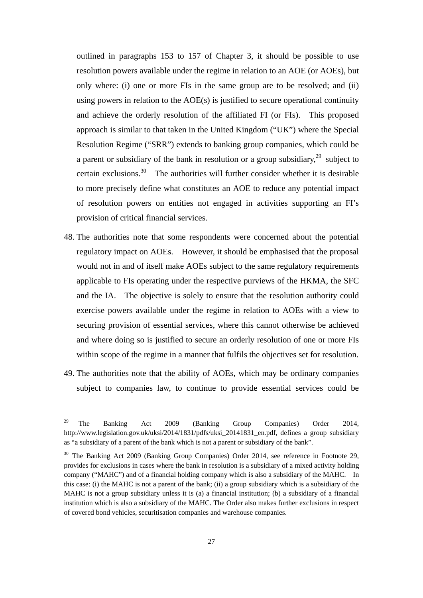outlined in paragraphs 153 to 157 of Chapter 3, it should be possible to use resolution powers available under the regime in relation to an AOE (or AOEs), but only where: (i) one or more FIs in the same group are to be resolved; and (ii) using powers in relation to the AOE(s) is justified to secure operational continuity and achieve the orderly resolution of the affiliated FI (or FIs). This proposed approach is similar to that taken in the United Kingdom ("UK") where the Special Resolution Regime ("SRR") extends to banking group companies, which could be a parent or subsidiary of the bank in resolution or a group subsidiary,  $2^9$  subject to certain exclusions.30 The authorities will further consider whether it is desirable to more precisely define what constitutes an AOE to reduce any potential impact of resolution powers on entities not engaged in activities supporting an FI's provision of critical financial services.

- 48. The authorities note that some respondents were concerned about the potential regulatory impact on AOEs. However, it should be emphasised that the proposal would not in and of itself make AOEs subject to the same regulatory requirements applicable to FIs operating under the respective purviews of the HKMA, the SFC and the IA. The objective is solely to ensure that the resolution authority could exercise powers available under the regime in relation to AOEs with a view to securing provision of essential services, where this cannot otherwise be achieved and where doing so is justified to secure an orderly resolution of one or more FIs within scope of the regime in a manner that fulfils the objectives set for resolution.
- 49. The authorities note that the ability of AOEs, which may be ordinary companies subject to companies law, to continue to provide essential services could be

<sup>&</sup>lt;sup>29</sup> The Banking Act 2009 (Banking Group Companies) Order 2014, http://www.legislation.gov.uk/uksi/2014/1831/pdfs/uksi\_20141831\_en.pdf, defines a group subsidiary as "a subsidiary of a parent of the bank which is not a parent or subsidiary of the bank".

<sup>&</sup>lt;sup>30</sup> The Banking Act 2009 (Banking Group Companies) Order 2014, see reference in Footnote 29, provides for exclusions in cases where the bank in resolution is a subsidiary of a mixed activity holding company ("MAHC") and of a financial holding company which is also a subsidiary of the MAHC. In this case: (i) the MAHC is not a parent of the bank; (ii) a group subsidiary which is a subsidiary of the MAHC is not a group subsidiary unless it is (a) a financial institution; (b) a subsidiary of a financial institution which is also a subsidiary of the MAHC. The Order also makes further exclusions in respect of covered bond vehicles, securitisation companies and warehouse companies.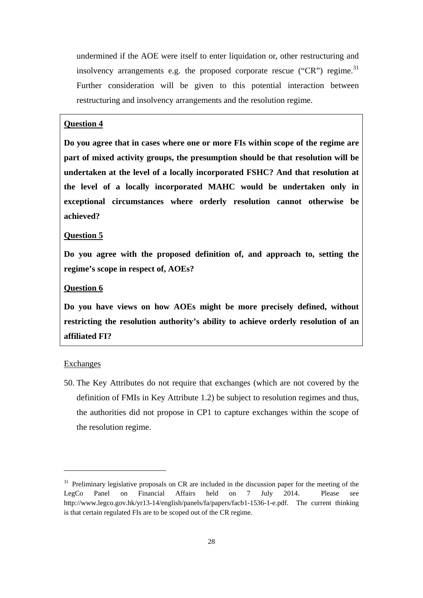undermined if the AOE were itself to enter liquidation or, other restructuring and insolvency arrangements e.g. the proposed corporate rescue ("CR") regime.<sup>31</sup> Further consideration will be given to this potential interaction between restructuring and insolvency arrangements and the resolution regime.

# **Question 4**

**Do you agree that in cases where one or more FIs within scope of the regime are part of mixed activity groups, the presumption should be that resolution will be undertaken at the level of a locally incorporated FSHC? And that resolution at the level of a locally incorporated MAHC would be undertaken only in exceptional circumstances where orderly resolution cannot otherwise be achieved?** 

#### **Question 5**

**Do you agree with the proposed definition of, and approach to, setting the regime's scope in respect of, AOEs?** 

# **Question 6**

**Do you have views on how AOEs might be more precisely defined, without restricting the resolution authority's ability to achieve orderly resolution of an affiliated FI?** 

#### Exchanges

50. The Key Attributes do not require that exchanges (which are not covered by the definition of FMIs in Key Attribute 1.2) be subject to resolution regimes and thus, the authorities did not propose in CP1 to capture exchanges within the scope of the resolution regime.

<sup>&</sup>lt;sup>31</sup> Preliminary legislative proposals on CR are included in the discussion paper for the meeting of the LegCo Panel on Financial Affairs held on 7 July 2014. Please see http://www.legco.gov.hk/yr13-14/english/panels/fa/papers/facb1-1536-1-e.pdf. The current thinking is that certain regulated FIs are to be scoped out of the CR regime.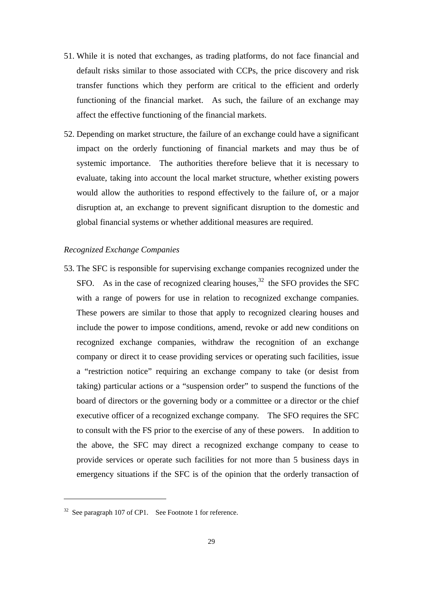- 51. While it is noted that exchanges, as trading platforms, do not face financial and default risks similar to those associated with CCPs, the price discovery and risk transfer functions which they perform are critical to the efficient and orderly functioning of the financial market. As such, the failure of an exchange may affect the effective functioning of the financial markets.
- 52. Depending on market structure, the failure of an exchange could have a significant impact on the orderly functioning of financial markets and may thus be of systemic importance. The authorities therefore believe that it is necessary to evaluate, taking into account the local market structure, whether existing powers would allow the authorities to respond effectively to the failure of, or a major disruption at, an exchange to prevent significant disruption to the domestic and global financial systems or whether additional measures are required.

### *Recognized Exchange Companies*

53. The SFC is responsible for supervising exchange companies recognized under the SFO. As in the case of recognized clearing houses.<sup>32</sup> the SFO provides the SFC with a range of powers for use in relation to recognized exchange companies. These powers are similar to those that apply to recognized clearing houses and include the power to impose conditions, amend, revoke or add new conditions on recognized exchange companies, withdraw the recognition of an exchange company or direct it to cease providing services or operating such facilities, issue a "restriction notice" requiring an exchange company to take (or desist from taking) particular actions or a "suspension order" to suspend the functions of the board of directors or the governing body or a committee or a director or the chief executive officer of a recognized exchange company. The SFO requires the SFC to consult with the FS prior to the exercise of any of these powers. In addition to the above, the SFC may direct a recognized exchange company to cease to provide services or operate such facilities for not more than 5 business days in emergency situations if the SFC is of the opinion that the orderly transaction of

 $32$  See paragraph 107 of CP1. See Footnote 1 for reference.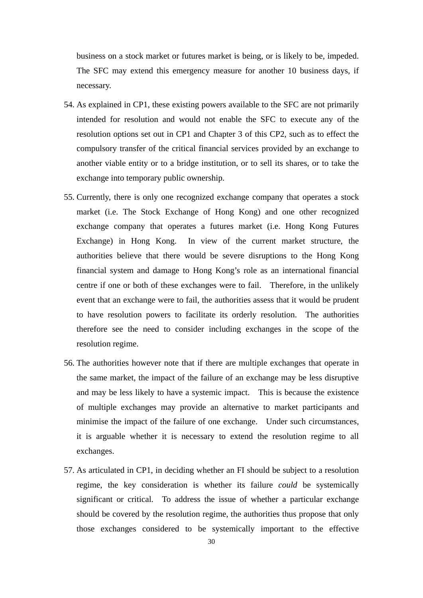business on a stock market or futures market is being, or is likely to be, impeded. The SFC may extend this emergency measure for another 10 business days, if necessary.

- 54. As explained in CP1, these existing powers available to the SFC are not primarily intended for resolution and would not enable the SFC to execute any of the resolution options set out in CP1 and Chapter 3 of this CP2, such as to effect the compulsory transfer of the critical financial services provided by an exchange to another viable entity or to a bridge institution, or to sell its shares, or to take the exchange into temporary public ownership.
- 55. Currently, there is only one recognized exchange company that operates a stock market (i.e. The Stock Exchange of Hong Kong) and one other recognized exchange company that operates a futures market (i.e. Hong Kong Futures Exchange) in Hong Kong. In view of the current market structure, the authorities believe that there would be severe disruptions to the Hong Kong financial system and damage to Hong Kong's role as an international financial centre if one or both of these exchanges were to fail. Therefore, in the unlikely event that an exchange were to fail, the authorities assess that it would be prudent to have resolution powers to facilitate its orderly resolution. The authorities therefore see the need to consider including exchanges in the scope of the resolution regime.
- 56. The authorities however note that if there are multiple exchanges that operate in the same market, the impact of the failure of an exchange may be less disruptive and may be less likely to have a systemic impact. This is because the existence of multiple exchanges may provide an alternative to market participants and minimise the impact of the failure of one exchange. Under such circumstances, it is arguable whether it is necessary to extend the resolution regime to all exchanges.
- 57. As articulated in CP1, in deciding whether an FI should be subject to a resolution regime, the key consideration is whether its failure *could* be systemically significant or critical. To address the issue of whether a particular exchange should be covered by the resolution regime, the authorities thus propose that only those exchanges considered to be systemically important to the effective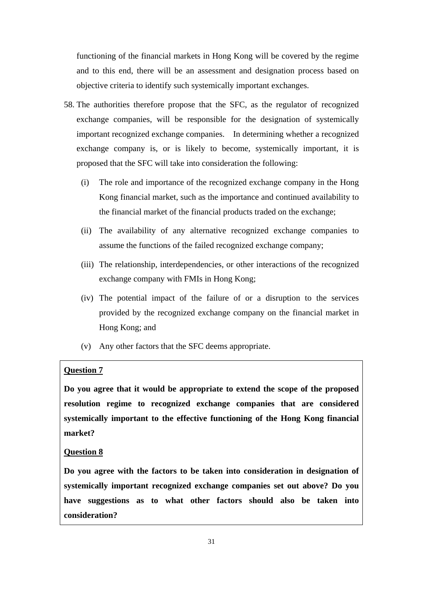functioning of the financial markets in Hong Kong will be covered by the regime and to this end, there will be an assessment and designation process based on objective criteria to identify such systemically important exchanges.

- 58. The authorities therefore propose that the SFC, as the regulator of recognized exchange companies, will be responsible for the designation of systemically important recognized exchange companies. In determining whether a recognized exchange company is, or is likely to become, systemically important, it is proposed that the SFC will take into consideration the following:
	- (i) The role and importance of the recognized exchange company in the Hong Kong financial market, such as the importance and continued availability to the financial market of the financial products traded on the exchange;
	- (ii) The availability of any alternative recognized exchange companies to assume the functions of the failed recognized exchange company;
	- (iii) The relationship, interdependencies, or other interactions of the recognized exchange company with FMIs in Hong Kong;
	- (iv) The potential impact of the failure of or a disruption to the services provided by the recognized exchange company on the financial market in Hong Kong; and
	- (v) Any other factors that the SFC deems appropriate.

# **Question 7**

**Do you agree that it would be appropriate to extend the scope of the proposed resolution regime to recognized exchange companies that are considered systemically important to the effective functioning of the Hong Kong financial market?** 

### **Question 8**

**Do you agree with the factors to be taken into consideration in designation of systemically important recognized exchange companies set out above? Do you have suggestions as to what other factors should also be taken into consideration?**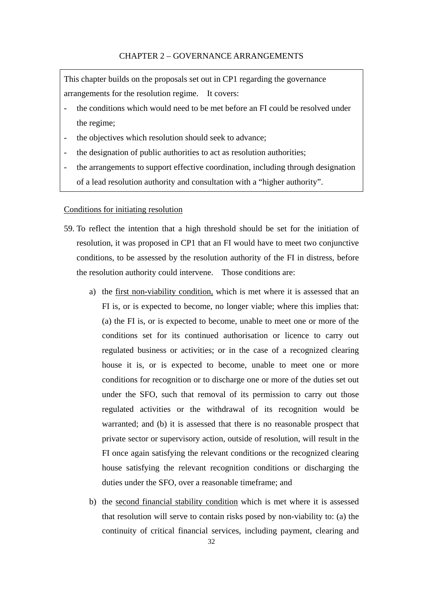### CHAPTER 2 – GOVERNANCE ARRANGEMENTS

This chapter builds on the proposals set out in CP1 regarding the governance arrangements for the resolution regime. It covers:

- the conditions which would need to be met before an FI could be resolved under the regime;
- the objectives which resolution should seek to advance;
- the designation of public authorities to act as resolution authorities;
- the arrangements to support effective coordination, including through designation of a lead resolution authority and consultation with a "higher authority".

#### Conditions for initiating resolution

- 59. To reflect the intention that a high threshold should be set for the initiation of resolution, it was proposed in CP1 that an FI would have to meet two conjunctive conditions, to be assessed by the resolution authority of the FI in distress, before the resolution authority could intervene. Those conditions are:
	- a) the first non-viability condition, which is met where it is assessed that an FI is, or is expected to become, no longer viable; where this implies that: (a) the FI is, or is expected to become, unable to meet one or more of the conditions set for its continued authorisation or licence to carry out regulated business or activities; or in the case of a recognized clearing house it is, or is expected to become, unable to meet one or more conditions for recognition or to discharge one or more of the duties set out under the SFO, such that removal of its permission to carry out those regulated activities or the withdrawal of its recognition would be warranted; and (b) it is assessed that there is no reasonable prospect that private sector or supervisory action, outside of resolution, will result in the FI once again satisfying the relevant conditions or the recognized clearing house satisfying the relevant recognition conditions or discharging the duties under the SFO, over a reasonable timeframe; and
	- b) the second financial stability condition which is met where it is assessed that resolution will serve to contain risks posed by non-viability to: (a) the continuity of critical financial services, including payment, clearing and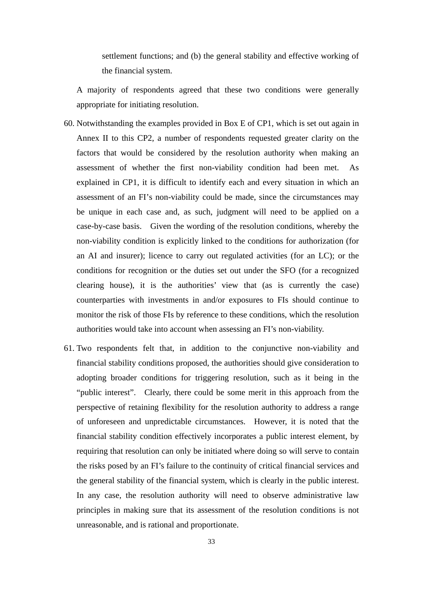settlement functions; and (b) the general stability and effective working of the financial system.

A majority of respondents agreed that these two conditions were generally appropriate for initiating resolution.

- 60. Notwithstanding the examples provided in Box E of CP1, which is set out again in Annex II to this CP2, a number of respondents requested greater clarity on the factors that would be considered by the resolution authority when making an assessment of whether the first non-viability condition had been met. As explained in CP1, it is difficult to identify each and every situation in which an assessment of an FI's non-viability could be made, since the circumstances may be unique in each case and, as such, judgment will need to be applied on a case-by-case basis. Given the wording of the resolution conditions, whereby the non-viability condition is explicitly linked to the conditions for authorization (for an AI and insurer); licence to carry out regulated activities (for an LC); or the conditions for recognition or the duties set out under the SFO (for a recognized clearing house), it is the authorities' view that (as is currently the case) counterparties with investments in and/or exposures to FIs should continue to monitor the risk of those FIs by reference to these conditions, which the resolution authorities would take into account when assessing an FI's non-viability.
- 61. Two respondents felt that, in addition to the conjunctive non-viability and financial stability conditions proposed, the authorities should give consideration to adopting broader conditions for triggering resolution, such as it being in the "public interest". Clearly, there could be some merit in this approach from the perspective of retaining flexibility for the resolution authority to address a range of unforeseen and unpredictable circumstances. However, it is noted that the financial stability condition effectively incorporates a public interest element, by requiring that resolution can only be initiated where doing so will serve to contain the risks posed by an FI's failure to the continuity of critical financial services and the general stability of the financial system, which is clearly in the public interest. In any case, the resolution authority will need to observe administrative law principles in making sure that its assessment of the resolution conditions is not unreasonable, and is rational and proportionate.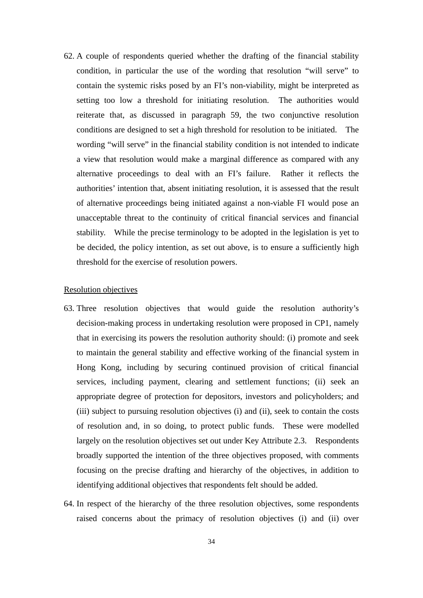62. A couple of respondents queried whether the drafting of the financial stability condition, in particular the use of the wording that resolution "will serve" to contain the systemic risks posed by an FI's non-viability, might be interpreted as setting too low a threshold for initiating resolution. The authorities would reiterate that, as discussed in paragraph 59, the two conjunctive resolution conditions are designed to set a high threshold for resolution to be initiated. The wording "will serve" in the financial stability condition is not intended to indicate a view that resolution would make a marginal difference as compared with any alternative proceedings to deal with an FI's failure. Rather it reflects the authorities' intention that, absent initiating resolution, it is assessed that the result of alternative proceedings being initiated against a non-viable FI would pose an unacceptable threat to the continuity of critical financial services and financial stability. While the precise terminology to be adopted in the legislation is yet to be decided, the policy intention, as set out above, is to ensure a sufficiently high threshold for the exercise of resolution powers.

#### Resolution objectives

- 63. Three resolution objectives that would guide the resolution authority's decision-making process in undertaking resolution were proposed in CP1, namely that in exercising its powers the resolution authority should: (i) promote and seek to maintain the general stability and effective working of the financial system in Hong Kong, including by securing continued provision of critical financial services, including payment, clearing and settlement functions; (ii) seek an appropriate degree of protection for depositors, investors and policyholders; and (iii) subject to pursuing resolution objectives (i) and (ii), seek to contain the costs of resolution and, in so doing, to protect public funds. These were modelled largely on the resolution objectives set out under Key Attribute 2.3. Respondents broadly supported the intention of the three objectives proposed, with comments focusing on the precise drafting and hierarchy of the objectives, in addition to identifying additional objectives that respondents felt should be added.
- 64. In respect of the hierarchy of the three resolution objectives, some respondents raised concerns about the primacy of resolution objectives (i) and (ii) over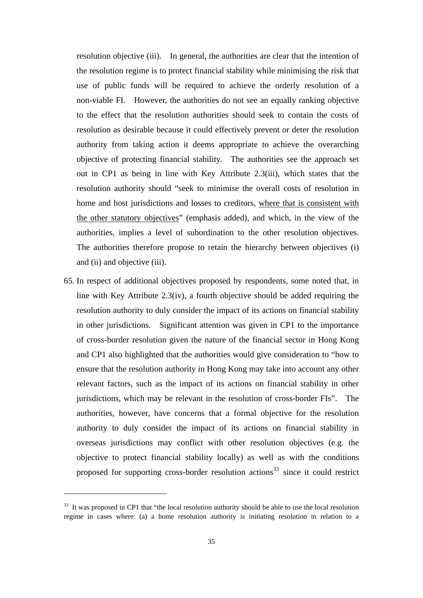resolution objective (iii). In general, the authorities are clear that the intention of the resolution regime is to protect financial stability while minimising the risk that use of public funds will be required to achieve the orderly resolution of a non-viable FI. However, the authorities do not see an equally ranking objective to the effect that the resolution authorities should seek to contain the costs of resolution as desirable because it could effectively prevent or deter the resolution authority from taking action it deems appropriate to achieve the overarching objective of protecting financial stability. The authorities see the approach set out in CP1 as being in line with Key Attribute 2.3(iii), which states that the resolution authority should "seek to minimise the overall costs of resolution in home and host jurisdictions and losses to creditors, where that is consistent with the other statutory objectives" (emphasis added), and which, in the view of the authorities, implies a level of subordination to the other resolution objectives. The authorities therefore propose to retain the hierarchy between objectives (i) and (ii) and objective (iii).

65. In respect of additional objectives proposed by respondents, some noted that, in line with Key Attribute 2.3(iv), a fourth objective should be added requiring the resolution authority to duly consider the impact of its actions on financial stability in other jurisdictions. Significant attention was given in CP1 to the importance of cross-border resolution given the nature of the financial sector in Hong Kong and CP1 also highlighted that the authorities would give consideration to "how to ensure that the resolution authority in Hong Kong may take into account any other relevant factors, such as the impact of its actions on financial stability in other jurisdictions, which may be relevant in the resolution of cross-border FIs". The authorities, however, have concerns that a formal objective for the resolution authority to duly consider the impact of its actions on financial stability in overseas jurisdictions may conflict with other resolution objectives (e.g. the objective to protect financial stability locally) as well as with the conditions proposed for supporting cross-border resolution actions<sup>33</sup> since it could restrict

<sup>&</sup>lt;sup>33</sup> It was proposed in CP1 that "the local resolution authority should be able to use the local resolution regime in cases where: (a) a home resolution authority is initiating resolution in relation to a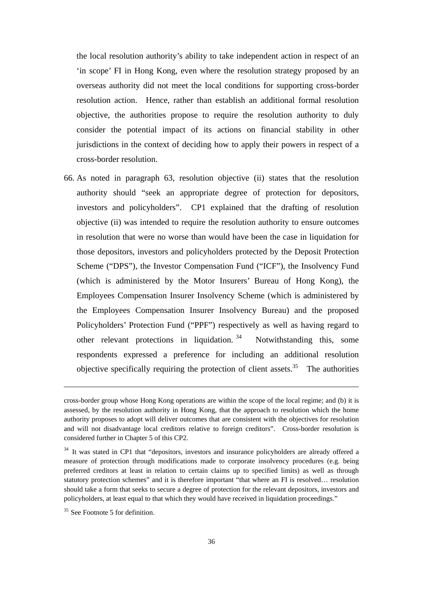the local resolution authority's ability to take independent action in respect of an 'in scope' FI in Hong Kong, even where the resolution strategy proposed by an overseas authority did not meet the local conditions for supporting cross-border resolution action. Hence, rather than establish an additional formal resolution objective, the authorities propose to require the resolution authority to duly consider the potential impact of its actions on financial stability in other jurisdictions in the context of deciding how to apply their powers in respect of a cross-border resolution.

66. As noted in paragraph 63, resolution objective (ii) states that the resolution authority should "seek an appropriate degree of protection for depositors, investors and policyholders". CP1 explained that the drafting of resolution objective (ii) was intended to require the resolution authority to ensure outcomes in resolution that were no worse than would have been the case in liquidation for those depositors, investors and policyholders protected by the Deposit Protection Scheme ("DPS"), the Investor Compensation Fund ("ICF"), the Insolvency Fund (which is administered by the Motor Insurers' Bureau of Hong Kong), the Employees Compensation Insurer Insolvency Scheme (which is administered by the Employees Compensation Insurer Insolvency Bureau) and the proposed Policyholders' Protection Fund ("PPF") respectively as well as having regard to other relevant protections in liquidation.  $34$  Notwithstanding this, some respondents expressed a preference for including an additional resolution objective specifically requiring the protection of client assets.<sup>35</sup> The authorities

<u> Andreas Andreas Andreas Andreas Andreas Andreas Andreas Andreas Andreas Andreas Andreas Andreas Andreas Andr</u>

cross-border group whose Hong Kong operations are within the scope of the local regime; and (b) it is assessed, by the resolution authority in Hong Kong, that the approach to resolution which the home authority proposes to adopt will deliver outcomes that are consistent with the objectives for resolution and will not disadvantage local creditors relative to foreign creditors". Cross-border resolution is considered further in Chapter 5 of this CP2.

<sup>&</sup>lt;sup>34</sup> It was stated in CP1 that "depositors, investors and insurance policyholders are already offered a measure of protection through modifications made to corporate insolvency procedures (e.g. being preferred creditors at least in relation to certain claims up to specified limits) as well as through statutory protection schemes" and it is therefore important "that where an FI is resolved… resolution should take a form that seeks to secure a degree of protection for the relevant depositors, investors and policyholders, at least equal to that which they would have received in liquidation proceedings."

<sup>&</sup>lt;sup>35</sup> See Footnote 5 for definition.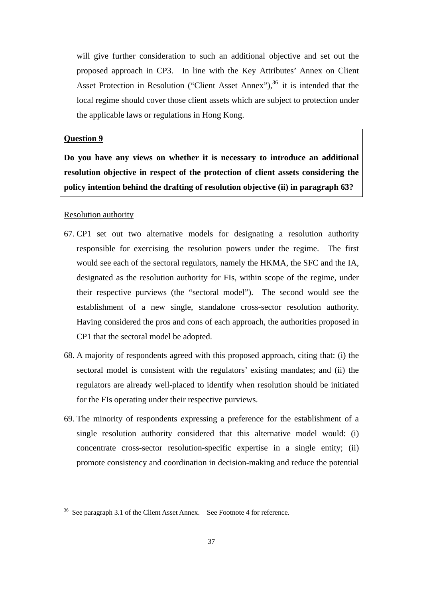will give further consideration to such an additional objective and set out the proposed approach in CP3. In line with the Key Attributes' Annex on Client Asset Protection in Resolution ("Client Asset Annex"),  $36$  it is intended that the local regime should cover those client assets which are subject to protection under the applicable laws or regulations in Hong Kong.

# **Question 9**

**Do you have any views on whether it is necessary to introduce an additional resolution objective in respect of the protection of client assets considering the policy intention behind the drafting of resolution objective (ii) in paragraph 63?** 

### Resolution authority

- 67. CP1 set out two alternative models for designating a resolution authority responsible for exercising the resolution powers under the regime. The first would see each of the sectoral regulators, namely the HKMA, the SFC and the IA, designated as the resolution authority for FIs, within scope of the regime, under their respective purviews (the "sectoral model"). The second would see the establishment of a new single, standalone cross-sector resolution authority. Having considered the pros and cons of each approach, the authorities proposed in CP1 that the sectoral model be adopted.
- 68. A majority of respondents agreed with this proposed approach, citing that: (i) the sectoral model is consistent with the regulators' existing mandates; and (ii) the regulators are already well-placed to identify when resolution should be initiated for the FIs operating under their respective purviews.
- 69. The minority of respondents expressing a preference for the establishment of a single resolution authority considered that this alternative model would: (i) concentrate cross-sector resolution-specific expertise in a single entity; (ii) promote consistency and coordination in decision-making and reduce the potential

<sup>&</sup>lt;sup>36</sup> See paragraph 3.1 of the Client Asset Annex. See Footnote 4 for reference.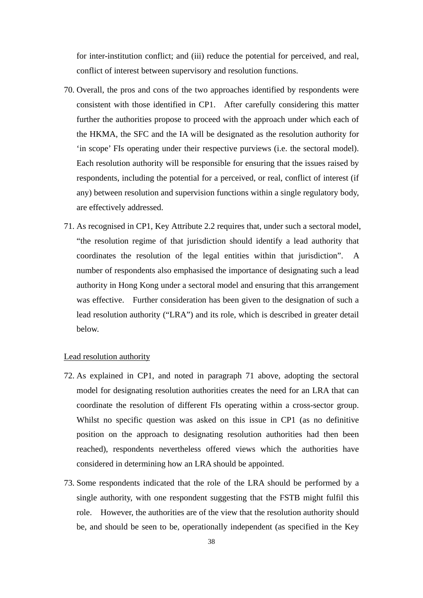for inter-institution conflict; and (iii) reduce the potential for perceived, and real, conflict of interest between supervisory and resolution functions.

- 70. Overall, the pros and cons of the two approaches identified by respondents were consistent with those identified in CP1. After carefully considering this matter further the authorities propose to proceed with the approach under which each of the HKMA, the SFC and the IA will be designated as the resolution authority for 'in scope' FIs operating under their respective purviews (i.e. the sectoral model). Each resolution authority will be responsible for ensuring that the issues raised by respondents, including the potential for a perceived, or real, conflict of interest (if any) between resolution and supervision functions within a single regulatory body, are effectively addressed.
- 71. As recognised in CP1, Key Attribute 2.2 requires that, under such a sectoral model, "the resolution regime of that jurisdiction should identify a lead authority that coordinates the resolution of the legal entities within that jurisdiction". A number of respondents also emphasised the importance of designating such a lead authority in Hong Kong under a sectoral model and ensuring that this arrangement was effective. Further consideration has been given to the designation of such a lead resolution authority ("LRA") and its role, which is described in greater detail below.

#### Lead resolution authority

- 72. As explained in CP1, and noted in paragraph 71 above, adopting the sectoral model for designating resolution authorities creates the need for an LRA that can coordinate the resolution of different FIs operating within a cross-sector group. Whilst no specific question was asked on this issue in CP1 (as no definitive position on the approach to designating resolution authorities had then been reached), respondents nevertheless offered views which the authorities have considered in determining how an LRA should be appointed.
- 73. Some respondents indicated that the role of the LRA should be performed by a single authority, with one respondent suggesting that the FSTB might fulfil this role. However, the authorities are of the view that the resolution authority should be, and should be seen to be, operationally independent (as specified in the Key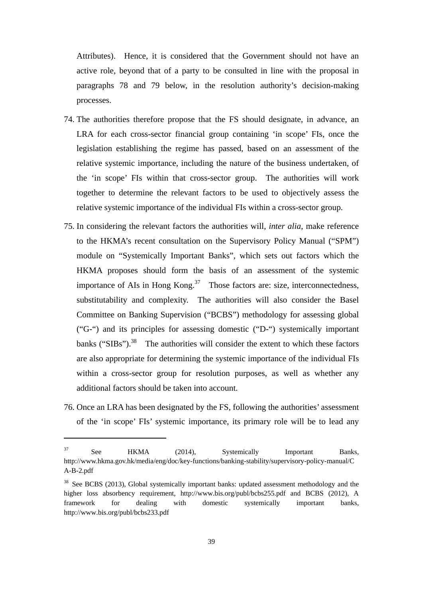Attributes). Hence, it is considered that the Government should not have an active role, beyond that of a party to be consulted in line with the proposal in paragraphs 78 and 79 below, in the resolution authority's decision-making processes.

- 74. The authorities therefore propose that the FS should designate, in advance, an LRA for each cross-sector financial group containing 'in scope' FIs, once the legislation establishing the regime has passed*,* based on an assessment of the relative systemic importance, including the nature of the business undertaken, of the 'in scope' FIs within that cross-sector group. The authorities will work together to determine the relevant factors to be used to objectively assess the relative systemic importance of the individual FIs within a cross-sector group.
- 75. In considering the relevant factors the authorities will, *inter alia*, make reference to the HKMA's recent consultation on the Supervisory Policy Manual ("SPM") module on "Systemically Important Banks", which sets out factors which the HKMA proposes should form the basis of an assessment of the systemic importance of AIs in Hong Kong.<sup>37</sup> Those factors are: size, interconnectedness, substitutability and complexity. The authorities will also consider the Basel Committee on Banking Supervision ("BCBS") methodology for assessing global ("G-") and its principles for assessing domestic ("D-") systemically important banks ("SIBs"). $^{38}$  The authorities will consider the extent to which these factors are also appropriate for determining the systemic importance of the individual FIs within a cross-sector group for resolution purposes, as well as whether any additional factors should be taken into account.
- 76. Once an LRA has been designated by the FS, following the authorities' assessment of the 'in scope' FIs' systemic importance, its primary role will be to lead any

<sup>&</sup>lt;sup>37</sup> See HKMA (2014), Systemically Important Banks, http://www.hkma.gov.hk/media/eng/doc/key-functions/banking-stability/supervisory-policy-manual/C A-B-2.pdf

<sup>&</sup>lt;sup>38</sup> See BCBS (2013), Global systemically important banks: updated assessment methodology and the higher loss absorbency requirement, http://www.bis.org/publ/bcbs255.pdf and BCBS (2012), A framework for dealing with domestic systemically important banks, http://www.bis.org/publ/bcbs233.pdf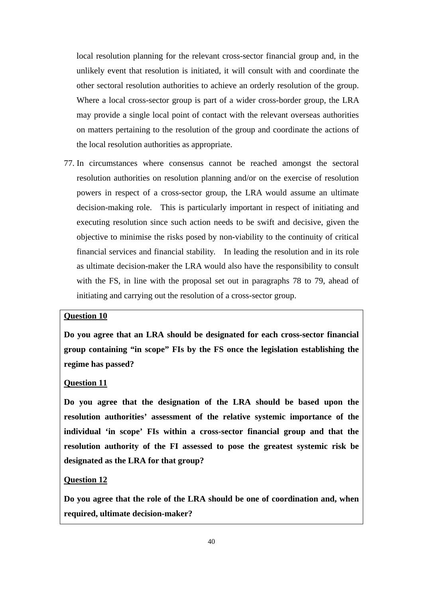local resolution planning for the relevant cross-sector financial group and, in the unlikely event that resolution is initiated, it will consult with and coordinate the other sectoral resolution authorities to achieve an orderly resolution of the group. Where a local cross-sector group is part of a wider cross-border group, the LRA may provide a single local point of contact with the relevant overseas authorities on matters pertaining to the resolution of the group and coordinate the actions of the local resolution authorities as appropriate.

77. In circumstances where consensus cannot be reached amongst the sectoral resolution authorities on resolution planning and/or on the exercise of resolution powers in respect of a cross-sector group, the LRA would assume an ultimate decision-making role. This is particularly important in respect of initiating and executing resolution since such action needs to be swift and decisive, given the objective to minimise the risks posed by non-viability to the continuity of critical financial services and financial stability. In leading the resolution and in its role as ultimate decision-maker the LRA would also have the responsibility to consult with the FS, in line with the proposal set out in paragraphs 78 to 79, ahead of initiating and carrying out the resolution of a cross-sector group.

# **Question 10**

**Do you agree that an LRA should be designated for each cross-sector financial group containing "in scope" FIs by the FS once the legislation establishing the regime has passed?** 

#### **Question 11**

**Do you agree that the designation of the LRA should be based upon the resolution authorities' assessment of the relative systemic importance of the individual 'in scope' FIs within a cross-sector financial group and that the resolution authority of the FI assessed to pose the greatest systemic risk be designated as the LRA for that group?** 

### **Question 12**

**Do you agree that the role of the LRA should be one of coordination and, when required, ultimate decision-maker?**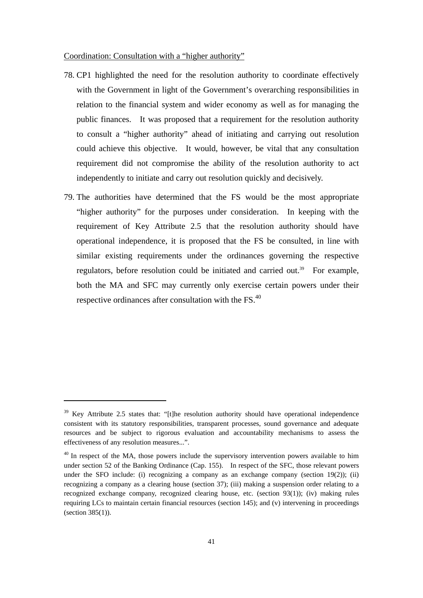Coordination: Consultation with a "higher authority"

- 78. CP1 highlighted the need for the resolution authority to coordinate effectively with the Government in light of the Government's overarching responsibilities in relation to the financial system and wider economy as well as for managing the public finances. It was proposed that a requirement for the resolution authority to consult a "higher authority" ahead of initiating and carrying out resolution could achieve this objective. It would, however, be vital that any consultation requirement did not compromise the ability of the resolution authority to act independently to initiate and carry out resolution quickly and decisively.
- 79. The authorities have determined that the FS would be the most appropriate "higher authority" for the purposes under consideration. In keeping with the requirement of Key Attribute 2.5 that the resolution authority should have operational independence, it is proposed that the FS be consulted, in line with similar existing requirements under the ordinances governing the respective regulators, before resolution could be initiated and carried out.<sup>39</sup> For example, both the MA and SFC may currently only exercise certain powers under their respective ordinances after consultation with the FS.<sup>40</sup>

<sup>&</sup>lt;sup>39</sup> Key Attribute 2.5 states that: "[t]he resolution authority should have operational independence consistent with its statutory responsibilities, transparent processes, sound governance and adequate resources and be subject to rigorous evaluation and accountability mechanisms to assess the effectiveness of any resolution measures...".

<sup>&</sup>lt;sup>40</sup> In respect of the MA, those powers include the supervisory intervention powers available to him under section 52 of the Banking Ordinance (Cap. 155). In respect of the SFC, those relevant powers under the SFO include: (i) recognizing a company as an exchange company (section 19(2)); (ii) recognizing a company as a clearing house (section 37); (iii) making a suspension order relating to a recognized exchange company, recognized clearing house, etc. (section 93(1)); (iv) making rules requiring LCs to maintain certain financial resources (section 145); and (v) intervening in proceedings (section 385(1)).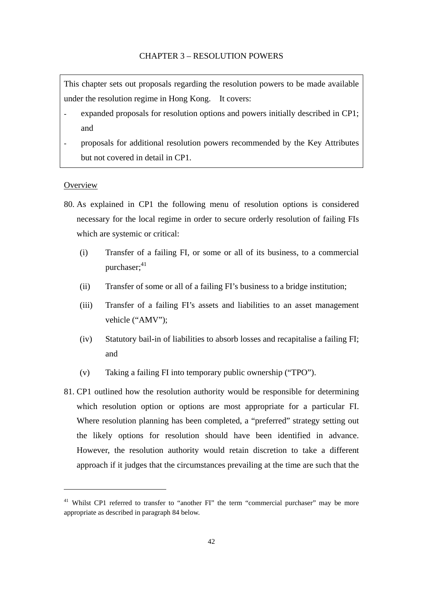This chapter sets out proposals regarding the resolution powers to be made available under the resolution regime in Hong Kong. It covers:

- expanded proposals for resolution options and powers initially described in CP1; and
- proposals for additional resolution powers recommended by the Key Attributes but not covered in detail in CP1.

## **Overview**

- 80. As explained in CP1 the following menu of resolution options is considered necessary for the local regime in order to secure orderly resolution of failing FIs which are systemic or critical:
	- (i) Transfer of a failing FI, or some or all of its business, to a commercial purchaser: $41$
	- (ii) Transfer of some or all of a failing FI's business to a bridge institution;
	- (iii) Transfer of a failing FI's assets and liabilities to an asset management vehicle ("AMV");
	- (iv) Statutory bail-in of liabilities to absorb losses and recapitalise a failing FI; and
	- (v) Taking a failing FI into temporary public ownership ("TPO").
- 81. CP1 outlined how the resolution authority would be responsible for determining which resolution option or options are most appropriate for a particular FI. Where resolution planning has been completed, a "preferred" strategy setting out the likely options for resolution should have been identified in advance. However, the resolution authority would retain discretion to take a different approach if it judges that the circumstances prevailing at the time are such that the

<sup>&</sup>lt;sup>41</sup> Whilst CP1 referred to transfer to "another FI" the term "commercial purchaser" may be more appropriate as described in paragraph 84 below.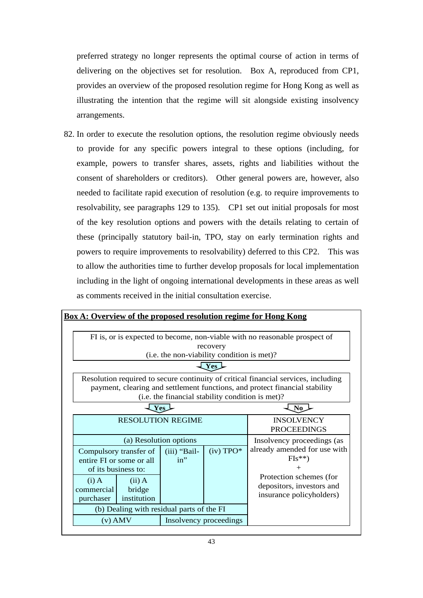preferred strategy no longer represents the optimal course of action in terms of delivering on the objectives set for resolution. Box A, reproduced from CP1, provides an overview of the proposed resolution regime for Hong Kong as well as illustrating the intention that the regime will sit alongside existing insolvency arrangements.

82. In order to execute the resolution options, the resolution regime obviously needs to provide for any specific powers integral to these options (including, for example, powers to transfer shares, assets, rights and liabilities without the consent of shareholders or creditors). Other general powers are, however, also needed to facilitate rapid execution of resolution (e.g. to require improvements to resolvability, see paragraphs 129 to 135). CP1 set out initial proposals for most of the key resolution options and powers with the details relating to certain of these (principally statutory bail-in, TPO, stay on early termination rights and powers to require improvements to resolvability) deferred to this CP2. This was to allow the authorities time to further develop proposals for local implementation including in the light of ongoing international developments in these areas as well as comments received in the initial consultation exercise.

|                                                                                                                                                                                                                       |                       |                        |                                         | <b>Box A: Overview of the proposed resolution regime for Hong Kong</b>                                                                |
|-----------------------------------------------------------------------------------------------------------------------------------------------------------------------------------------------------------------------|-----------------------|------------------------|-----------------------------------------|---------------------------------------------------------------------------------------------------------------------------------------|
| FI is, or is expected to become, non-viable with no reasonable prospect of<br>recovery<br>(i.e. the non-viability condition is met)?                                                                                  |                       |                        |                                         |                                                                                                                                       |
| <b>Yes</b>                                                                                                                                                                                                            |                       |                        |                                         |                                                                                                                                       |
| Resolution required to secure continuity of critical financial services, including<br>payment, clearing and settlement functions, and protect financial stability<br>(i.e. the financial stability condition is met)? |                       |                        |                                         |                                                                                                                                       |
| Yes                                                                                                                                                                                                                   |                       |                        |                                         | N <sub>0</sub>                                                                                                                        |
| <b>RESOLUTION REGIME</b>                                                                                                                                                                                              |                       |                        | <b>INSOLVENCY</b><br><b>PROCEEDINGS</b> |                                                                                                                                       |
| (a) Resolution options                                                                                                                                                                                                |                       |                        | Insolvency proceedings (as              |                                                                                                                                       |
| Compulsory transfer of<br>entire FI or some or all<br>of its business to:<br>$(i)$ A                                                                                                                                  | $(ii)$ A              | (iii) "Bail-<br>$in$ " | $(iv)$ TPO*                             | already amended for use with<br>$FIs**$<br>$\, +$<br>Protection schemes (for<br>depositors, investors and<br>insurance policyholders) |
| commercial<br>purchaser                                                                                                                                                                                               | bridge<br>institution |                        |                                         |                                                                                                                                       |
| (b) Dealing with residual parts of the FI                                                                                                                                                                             |                       |                        |                                         |                                                                                                                                       |
| $(v)$ AMV                                                                                                                                                                                                             |                       | Insolvency proceedings |                                         |                                                                                                                                       |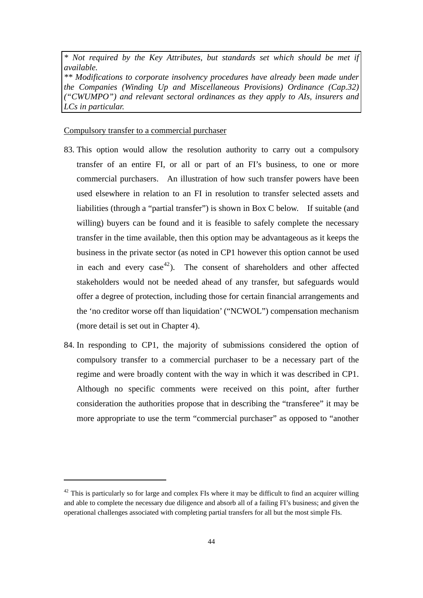*\* Not required by the Key Attributes, but standards set which should be met if available. \*\* Modifications to corporate insolvency procedures have already been made under the Companies (Winding Up and Miscellaneous Provisions) Ordinance (Cap.32) ("CWUMPO") and relevant sectoral ordinances as they apply to AIs, insurers and LCs in particular.*

#### Compulsory transfer to a commercial purchaser

- 83. This option would allow the resolution authority to carry out a compulsory transfer of an entire FI, or all or part of an FI's business, to one or more commercial purchasers. An illustration of how such transfer powers have been used elsewhere in relation to an FI in resolution to transfer selected assets and liabilities (through a "partial transfer") is shown in Box C below. If suitable (and willing) buyers can be found and it is feasible to safely complete the necessary transfer in the time available, then this option may be advantageous as it keeps the business in the private sector (as noted in CP1 however this option cannot be used in each and every case<sup>42</sup>). The consent of shareholders and other affected stakeholders would not be needed ahead of any transfer, but safeguards would offer a degree of protection, including those for certain financial arrangements and the 'no creditor worse off than liquidation' ("NCWOL") compensation mechanism (more detail is set out in Chapter 4).
- 84. In responding to CP1, the majority of submissions considered the option of compulsory transfer to a commercial purchaser to be a necessary part of the regime and were broadly content with the way in which it was described in CP1. Although no specific comments were received on this point, after further consideration the authorities propose that in describing the "transferee" it may be more appropriate to use the term "commercial purchaser" as opposed to "another

 $42$  This is particularly so for large and complex FIs where it may be difficult to find an acquirer willing and able to complete the necessary due diligence and absorb all of a failing FI's business; and given the operational challenges associated with completing partial transfers for all but the most simple FIs.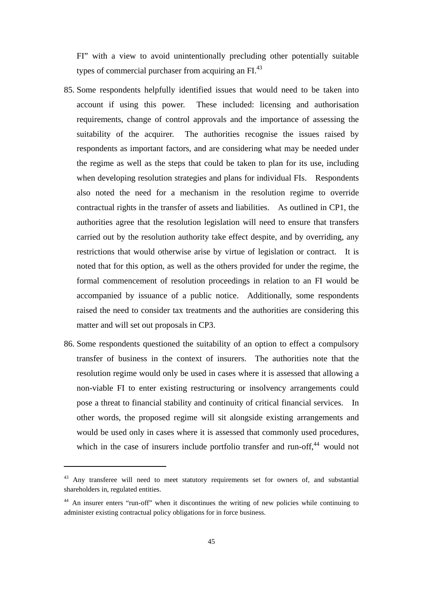FI" with a view to avoid unintentionally precluding other potentially suitable types of commercial purchaser from acquiring an FI.<sup>43</sup>

- 85. Some respondents helpfully identified issues that would need to be taken into account if using this power. These included: licensing and authorisation requirements, change of control approvals and the importance of assessing the suitability of the acquirer. The authorities recognise the issues raised by respondents as important factors, and are considering what may be needed under the regime as well as the steps that could be taken to plan for its use, including when developing resolution strategies and plans for individual FIs. Respondents also noted the need for a mechanism in the resolution regime to override contractual rights in the transfer of assets and liabilities. As outlined in CP1, the authorities agree that the resolution legislation will need to ensure that transfers carried out by the resolution authority take effect despite, and by overriding, any restrictions that would otherwise arise by virtue of legislation or contract. It is noted that for this option, as well as the others provided for under the regime, the formal commencement of resolution proceedings in relation to an FI would be accompanied by issuance of a public notice. Additionally, some respondents raised the need to consider tax treatments and the authorities are considering this matter and will set out proposals in CP3.
- 86. Some respondents questioned the suitability of an option to effect a compulsory transfer of business in the context of insurers. The authorities note that the resolution regime would only be used in cases where it is assessed that allowing a non-viable FI to enter existing restructuring or insolvency arrangements could pose a threat to financial stability and continuity of critical financial services. In other words, the proposed regime will sit alongside existing arrangements and would be used only in cases where it is assessed that commonly used procedures, which in the case of insurers include portfolio transfer and run-off.<sup>44</sup> would not

<sup>&</sup>lt;sup>43</sup> Any transferee will need to meet statutory requirements set for owners of, and substantial shareholders in, regulated entities.

<sup>&</sup>lt;sup>44</sup> An insurer enters "run-off" when it discontinues the writing of new policies while continuing to administer existing contractual policy obligations for in force business.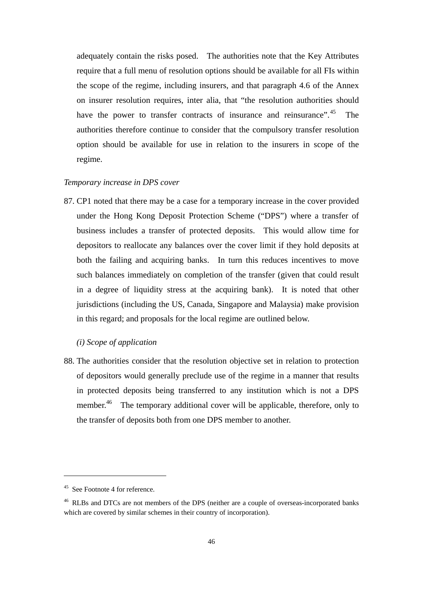adequately contain the risks posed. The authorities note that the Key Attributes require that a full menu of resolution options should be available for all FIs within the scope of the regime, including insurers, and that paragraph 4.6 of the Annex on insurer resolution requires, inter alia, that "the resolution authorities should have the power to transfer contracts of insurance and reinsurance".<sup>45</sup> The authorities therefore continue to consider that the compulsory transfer resolution option should be available for use in relation to the insurers in scope of the regime.

# *Temporary increase in DPS cover*

87. CP1 noted that there may be a case for a temporary increase in the cover provided under the Hong Kong Deposit Protection Scheme ("DPS") where a transfer of business includes a transfer of protected deposits. This would allow time for depositors to reallocate any balances over the cover limit if they hold deposits at both the failing and acquiring banks. In turn this reduces incentives to move such balances immediately on completion of the transfer (given that could result in a degree of liquidity stress at the acquiring bank). It is noted that other jurisdictions (including the US, Canada, Singapore and Malaysia) make provision in this regard; and proposals for the local regime are outlined below.

### *(i) Scope of application*

88. The authorities consider that the resolution objective set in relation to protection of depositors would generally preclude use of the regime in a manner that results in protected deposits being transferred to any institution which is not a DPS member.<sup>46</sup> The temporary additional cover will be applicable, therefore, only to the transfer of deposits both from one DPS member to another.

<sup>45</sup> See Footnote 4 for reference.

<sup>&</sup>lt;sup>46</sup> RLBs and DTCs are not members of the DPS (neither are a couple of overseas-incorporated banks which are covered by similar schemes in their country of incorporation).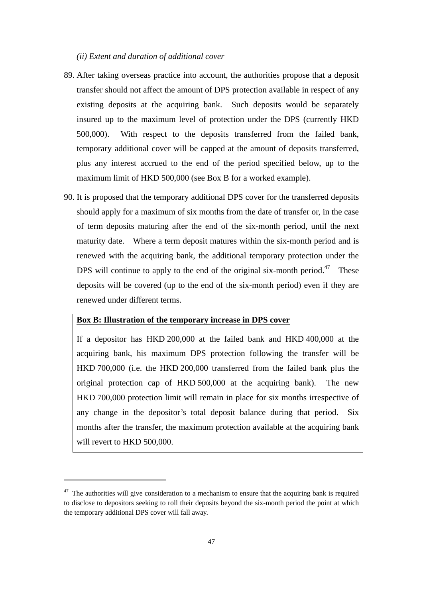#### *(ii) Extent and duration of additional cover*

- 89. After taking overseas practice into account, the authorities propose that a deposit transfer should not affect the amount of DPS protection available in respect of any existing deposits at the acquiring bank. Such deposits would be separately insured up to the maximum level of protection under the DPS (currently HKD 500,000). With respect to the deposits transferred from the failed bank, temporary additional cover will be capped at the amount of deposits transferred, plus any interest accrued to the end of the period specified below, up to the maximum limit of HKD 500,000 (see Box B for a worked example).
- 90. It is proposed that the temporary additional DPS cover for the transferred deposits should apply for a maximum of six months from the date of transfer or, in the case of term deposits maturing after the end of the six-month period, until the next maturity date. Where a term deposit matures within the six-month period and is renewed with the acquiring bank, the additional temporary protection under the DPS will continue to apply to the end of the original six-month period.<sup>47</sup> These deposits will be covered (up to the end of the six-month period) even if they are renewed under different terms.

# **Box B: Illustration of the temporary increase in DPS cover**

If a depositor has HKD 200,000 at the failed bank and HKD 400,000 at the acquiring bank, his maximum DPS protection following the transfer will be HKD 700,000 (i.e. the HKD 200,000 transferred from the failed bank plus the original protection cap of HKD 500,000 at the acquiring bank). The new HKD 700,000 protection limit will remain in place for six months irrespective of any change in the depositor's total deposit balance during that period. Six months after the transfer, the maximum protection available at the acquiring bank will revert to HKD 500,000.

 $47$  The authorities will give consideration to a mechanism to ensure that the acquiring bank is required to disclose to depositors seeking to roll their deposits beyond the six-month period the point at which the temporary additional DPS cover will fall away.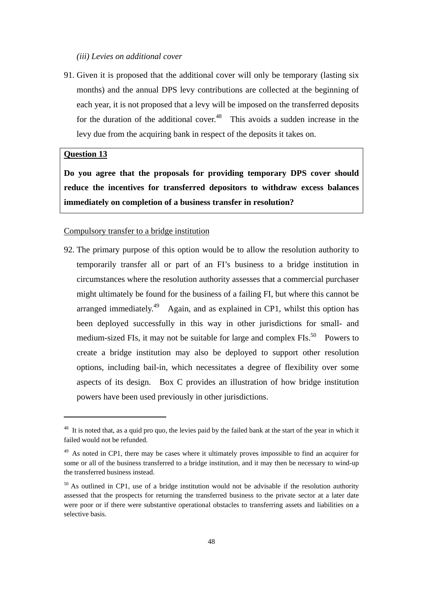### *(iii) Levies on additional cover*

91. Given it is proposed that the additional cover will only be temporary (lasting six months) and the annual DPS levy contributions are collected at the beginning of each year, it is not proposed that a levy will be imposed on the transferred deposits for the duration of the additional cover.<sup>48</sup> This avoids a sudden increase in the levy due from the acquiring bank in respect of the deposits it takes on.

# **Question 13**

**Do you agree that the proposals for providing temporary DPS cover should reduce the incentives for transferred depositors to withdraw excess balances immediately on completion of a business transfer in resolution?** 

#### Compulsory transfer to a bridge institution

92. The primary purpose of this option would be to allow the resolution authority to temporarily transfer all or part of an FI's business to a bridge institution in circumstances where the resolution authority assesses that a commercial purchaser might ultimately be found for the business of a failing FI, but where this cannot be arranged immediately.<sup>49</sup> Again, and as explained in CP1, whilst this option has been deployed successfully in this way in other jurisdictions for small- and medium-sized FIs, it may not be suitable for large and complex FIs.<sup>50</sup> Powers to create a bridge institution may also be deployed to support other resolution options, including bail-in, which necessitates a degree of flexibility over some aspects of its design. Box C provides an illustration of how bridge institution powers have been used previously in other jurisdictions.

<sup>&</sup>lt;sup>48</sup> It is noted that, as a quid pro quo, the levies paid by the failed bank at the start of the year in which it failed would not be refunded.

<sup>&</sup>lt;sup>49</sup> As noted in CP1, there may be cases where it ultimately proves impossible to find an acquirer for some or all of the business transferred to a bridge institution, and it may then be necessary to wind-up the transferred business instead.

<sup>&</sup>lt;sup>50</sup> As outlined in CP1, use of a bridge institution would not be advisable if the resolution authority assessed that the prospects for returning the transferred business to the private sector at a later date were poor or if there were substantive operational obstacles to transferring assets and liabilities on a selective basis.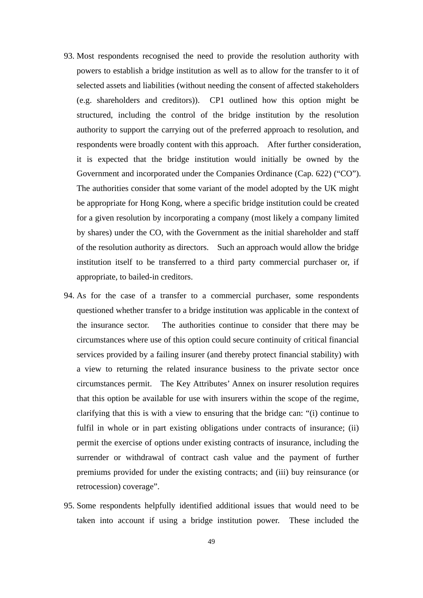- 93. Most respondents recognised the need to provide the resolution authority with powers to establish a bridge institution as well as to allow for the transfer to it of selected assets and liabilities (without needing the consent of affected stakeholders (e.g. shareholders and creditors)). CP1 outlined how this option might be structured, including the control of the bridge institution by the resolution authority to support the carrying out of the preferred approach to resolution, and respondents were broadly content with this approach. After further consideration, it is expected that the bridge institution would initially be owned by the Government and incorporated under the Companies Ordinance (Cap. 622) ("CO"). The authorities consider that some variant of the model adopted by the UK might be appropriate for Hong Kong, where a specific bridge institution could be created for a given resolution by incorporating a company (most likely a company limited by shares) under the CO, with the Government as the initial shareholder and staff of the resolution authority as directors. Such an approach would allow the bridge institution itself to be transferred to a third party commercial purchaser or, if appropriate, to bailed-in creditors.
- 94. As for the case of a transfer to a commercial purchaser, some respondents questioned whether transfer to a bridge institution was applicable in the context of the insurance sector. The authorities continue to consider that there may be circumstances where use of this option could secure continuity of critical financial services provided by a failing insurer (and thereby protect financial stability) with a view to returning the related insurance business to the private sector once circumstances permit. The Key Attributes' Annex on insurer resolution requires that this option be available for use with insurers within the scope of the regime, clarifying that this is with a view to ensuring that the bridge can: "(i) continue to fulfil in whole or in part existing obligations under contracts of insurance; (ii) permit the exercise of options under existing contracts of insurance, including the surrender or withdrawal of contract cash value and the payment of further premiums provided for under the existing contracts; and (iii) buy reinsurance (or retrocession) coverage".
- 95. Some respondents helpfully identified additional issues that would need to be taken into account if using a bridge institution power. These included the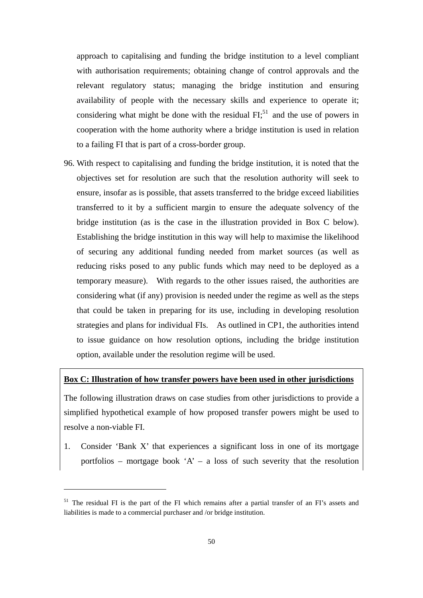approach to capitalising and funding the bridge institution to a level compliant with authorisation requirements; obtaining change of control approvals and the relevant regulatory status; managing the bridge institution and ensuring availability of people with the necessary skills and experience to operate it; considering what might be done with the residual  $FI$ <sup>51</sup> and the use of powers in cooperation with the home authority where a bridge institution is used in relation to a failing FI that is part of a cross-border group.

96. With respect to capitalising and funding the bridge institution, it is noted that the objectives set for resolution are such that the resolution authority will seek to ensure, insofar as is possible, that assets transferred to the bridge exceed liabilities transferred to it by a sufficient margin to ensure the adequate solvency of the bridge institution (as is the case in the illustration provided in Box C below). Establishing the bridge institution in this way will help to maximise the likelihood of securing any additional funding needed from market sources (as well as reducing risks posed to any public funds which may need to be deployed as a temporary measure). With regards to the other issues raised, the authorities are considering what (if any) provision is needed under the regime as well as the steps that could be taken in preparing for its use, including in developing resolution strategies and plans for individual FIs. As outlined in CP1, the authorities intend to issue guidance on how resolution options, including the bridge institution option, available under the resolution regime will be used.

### **Box C: Illustration of how transfer powers have been used in other jurisdictions**

The following illustration draws on case studies from other jurisdictions to provide a simplified hypothetical example of how proposed transfer powers might be used to resolve a non-viable FI.

1. Consider 'Bank X' that experiences a significant loss in one of its mortgage portfolios – mortgage book 'A' – a loss of such severity that the resolution

<sup>&</sup>lt;sup>51</sup> The residual FI is the part of the FI which remains after a partial transfer of an FI's assets and liabilities is made to a commercial purchaser and /or bridge institution.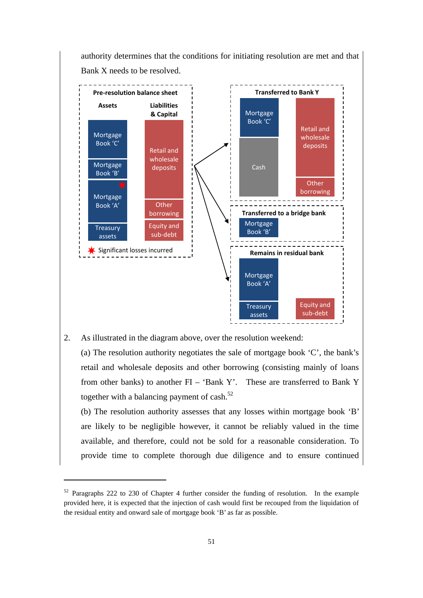

2. As illustrated in the diagram above, over the resolution weekend:

(a) The resolution authority negotiates the sale of mortgage book 'C', the bank's retail and wholesale deposits and other borrowing (consisting mainly of loans from other banks) to another FI – 'Bank Y'. These are transferred to Bank Y together with a balancing payment of cash.<sup>52</sup>

(b) The resolution authority assesses that any losses within mortgage book 'B' are likely to be negligible however, it cannot be reliably valued in the time available, and therefore, could not be sold for a reasonable consideration. To provide time to complete thorough due diligence and to ensure continued

<sup>&</sup>lt;sup>52</sup> Paragraphs 222 to 230 of Chapter 4 further consider the funding of resolution. In the example provided here, it is expected that the injection of cash would first be recouped from the liquidation of the residual entity and onward sale of mortgage book 'B' as far as possible.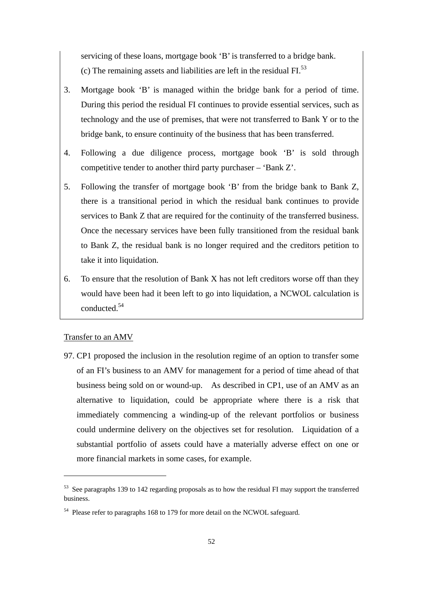servicing of these loans, mortgage book 'B' is transferred to a bridge bank. (c) The remaining assets and liabilities are left in the residual  $FI$ <sup>53</sup>

- 3. Mortgage book 'B' is managed within the bridge bank for a period of time. During this period the residual FI continues to provide essential services, such as technology and the use of premises, that were not transferred to Bank Y or to the bridge bank, to ensure continuity of the business that has been transferred.
- 4. Following a due diligence process, mortgage book 'B' is sold through competitive tender to another third party purchaser – 'Bank Z'.
- 5. Following the transfer of mortgage book 'B' from the bridge bank to Bank Z, there is a transitional period in which the residual bank continues to provide services to Bank Z that are required for the continuity of the transferred business. Once the necessary services have been fully transitioned from the residual bank to Bank Z, the residual bank is no longer required and the creditors petition to take it into liquidation.
- 6. To ensure that the resolution of Bank X has not left creditors worse off than they would have been had it been left to go into liquidation, a NCWOL calculation is conducted.54

#### Transfer to an AMV

97. CP1 proposed the inclusion in the resolution regime of an option to transfer some of an FI's business to an AMV for management for a period of time ahead of that business being sold on or wound-up. As described in CP1, use of an AMV as an alternative to liquidation, could be appropriate where there is a risk that immediately commencing a winding-up of the relevant portfolios or business could undermine delivery on the objectives set for resolution. Liquidation of a substantial portfolio of assets could have a materially adverse effect on one or more financial markets in some cases, for example.

 $53$  See paragraphs 139 to 142 regarding proposals as to how the residual FI may support the transferred business.

<sup>&</sup>lt;sup>54</sup> Please refer to paragraphs 168 to 179 for more detail on the NCWOL safeguard.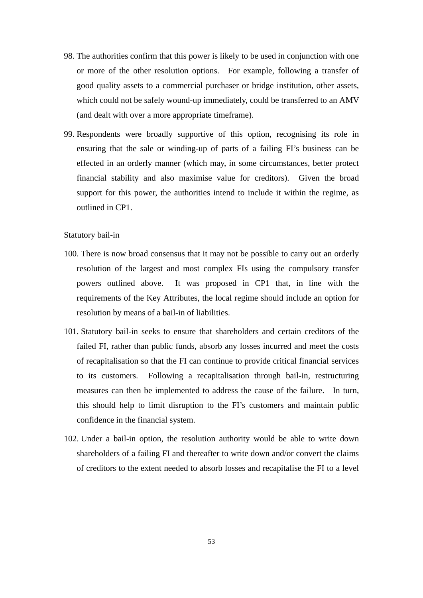- 98. The authorities confirm that this power is likely to be used in conjunction with one or more of the other resolution options. For example, following a transfer of good quality assets to a commercial purchaser or bridge institution, other assets, which could not be safely wound-up immediately, could be transferred to an AMV (and dealt with over a more appropriate timeframe).
- 99. Respondents were broadly supportive of this option, recognising its role in ensuring that the sale or winding-up of parts of a failing FI's business can be effected in an orderly manner (which may, in some circumstances, better protect financial stability and also maximise value for creditors). Given the broad support for this power, the authorities intend to include it within the regime, as outlined in CP1.

#### Statutory bail-in

- 100. There is now broad consensus that it may not be possible to carry out an orderly resolution of the largest and most complex FIs using the compulsory transfer powers outlined above. It was proposed in CP1 that, in line with the requirements of the Key Attributes, the local regime should include an option for resolution by means of a bail-in of liabilities.
- 101. Statutory bail-in seeks to ensure that shareholders and certain creditors of the failed FI, rather than public funds, absorb any losses incurred and meet the costs of recapitalisation so that the FI can continue to provide critical financial services to its customers. Following a recapitalisation through bail-in, restructuring measures can then be implemented to address the cause of the failure. In turn, this should help to limit disruption to the FI's customers and maintain public confidence in the financial system.
- 102. Under a bail-in option, the resolution authority would be able to write down shareholders of a failing FI and thereafter to write down and/or convert the claims of creditors to the extent needed to absorb losses and recapitalise the FI to a level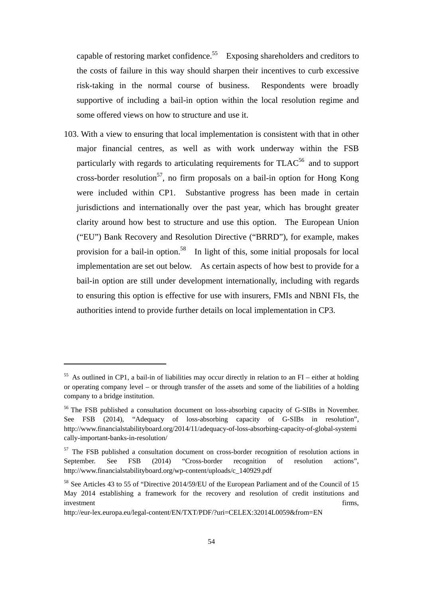capable of restoring market confidence.<sup>55</sup> Exposing shareholders and creditors to the costs of failure in this way should sharpen their incentives to curb excessive risk-taking in the normal course of business. Respondents were broadly supportive of including a bail-in option within the local resolution regime and some offered views on how to structure and use it.

103. With a view to ensuring that local implementation is consistent with that in other major financial centres, as well as with work underway within the FSB particularly with regards to articulating requirements for  $TLAC^{56}$  and to support cross-border resolution<sup>57</sup>, no firm proposals on a bail-in option for Hong Kong were included within CP1. Substantive progress has been made in certain jurisdictions and internationally over the past year, which has brought greater clarity around how best to structure and use this option. The European Union ("EU") Bank Recovery and Resolution Directive ("BRRD"), for example, makes provision for a bail-in option.<sup>58</sup> In light of this, some initial proposals for local implementation are set out below. As certain aspects of how best to provide for a bail-in option are still under development internationally, including with regards to ensuring this option is effective for use with insurers, FMIs and NBNI FIs, the authorities intend to provide further details on local implementation in CP3.

<sup>&</sup>lt;sup>55</sup> As outlined in CP1, a bail-in of liabilities may occur directly in relation to an FI – either at holding or operating company level – or through transfer of the assets and some of the liabilities of a holding company to a bridge institution.

<sup>&</sup>lt;sup>56</sup> The FSB published a consultation document on loss-absorbing capacity of G-SIBs in November. See FSB (2014), "Adequacy of loss-absorbing capacity of G-SIBs in resolution", http://www.financialstabilityboard.org/2014/11/adequacy-of-loss-absorbing-capacity-of-global-systemi cally-important-banks-in-resolution/

<sup>&</sup>lt;sup>57</sup> The FSB published a consultation document on cross-border recognition of resolution actions in September. See FSB (2014) "Cross-border recognition of resolution actions", http://www.financialstabilityboard.org/wp-content/uploads/c\_140929.pdf

<sup>58</sup> See Articles 43 to 55 of "Directive 2014/59/EU of the European Parliament and of the Council of 15 May 2014 establishing a framework for the recovery and resolution of credit institutions and investment firms,

http://eur-lex.europa.eu/legal-content/EN/TXT/PDF/?uri=CELEX:32014L0059&from=EN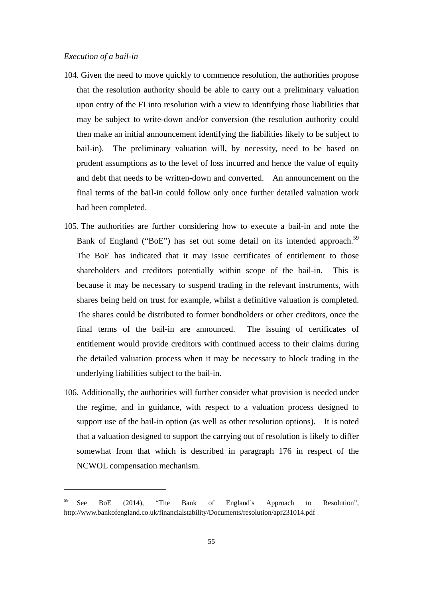- 104. Given the need to move quickly to commence resolution, the authorities propose that the resolution authority should be able to carry out a preliminary valuation upon entry of the FI into resolution with a view to identifying those liabilities that may be subject to write-down and/or conversion (the resolution authority could then make an initial announcement identifying the liabilities likely to be subject to bail-in). The preliminary valuation will, by necessity, need to be based on prudent assumptions as to the level of loss incurred and hence the value of equity and debt that needs to be written-down and converted. An announcement on the final terms of the bail-in could follow only once further detailed valuation work had been completed.
- 105. The authorities are further considering how to execute a bail-in and note the Bank of England ("BoE") has set out some detail on its intended approach.<sup>59</sup> The BoE has indicated that it may issue certificates of entitlement to those shareholders and creditors potentially within scope of the bail-in. This is because it may be necessary to suspend trading in the relevant instruments, with shares being held on trust for example, whilst a definitive valuation is completed. The shares could be distributed to former bondholders or other creditors, once the final terms of the bail-in are announced. The issuing of certificates of entitlement would provide creditors with continued access to their claims during the detailed valuation process when it may be necessary to block trading in the underlying liabilities subject to the bail-in.
- 106. Additionally, the authorities will further consider what provision is needed under the regime, and in guidance, with respect to a valuation process designed to support use of the bail-in option (as well as other resolution options). It is noted that a valuation designed to support the carrying out of resolution is likely to differ somewhat from that which is described in paragraph 176 in respect of the NCWOL compensation mechanism.

 $59$  See BoE (2014), "The Bank of England's Approach to Resolution", http://www.bankofengland.co.uk/financialstability/Documents/resolution/apr231014.pdf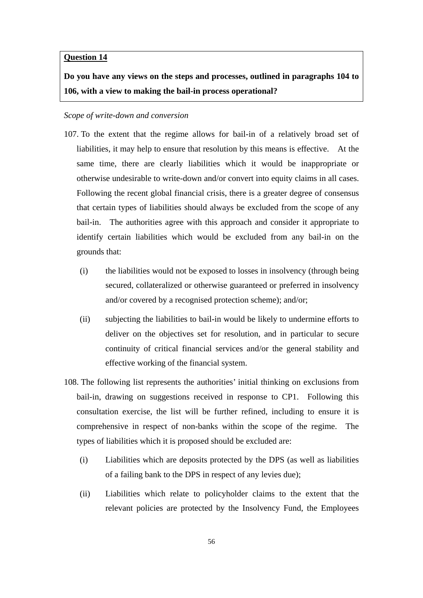#### **Question 14**

**Do you have any views on the steps and processes, outlined in paragraphs 104 to 106, with a view to making the bail-in process operational?** 

#### *Scope of write-down and conversion*

- 107. To the extent that the regime allows for bail-in of a relatively broad set of liabilities, it may help to ensure that resolution by this means is effective. At the same time, there are clearly liabilities which it would be inappropriate or otherwise undesirable to write-down and/or convert into equity claims in all cases. Following the recent global financial crisis, there is a greater degree of consensus that certain types of liabilities should always be excluded from the scope of any bail-in. The authorities agree with this approach and consider it appropriate to identify certain liabilities which would be excluded from any bail-in on the grounds that:
	- (i) the liabilities would not be exposed to losses in insolvency (through being secured, collateralized or otherwise guaranteed or preferred in insolvency and/or covered by a recognised protection scheme); and/or;
	- (ii) subjecting the liabilities to bail-in would be likely to undermine efforts to deliver on the objectives set for resolution, and in particular to secure continuity of critical financial services and/or the general stability and effective working of the financial system.
- 108. The following list represents the authorities' initial thinking on exclusions from bail-in, drawing on suggestions received in response to CP1. Following this consultation exercise, the list will be further refined, including to ensure it is comprehensive in respect of non-banks within the scope of the regime. The types of liabilities which it is proposed should be excluded are:
	- (i) Liabilities which are deposits protected by the DPS (as well as liabilities of a failing bank to the DPS in respect of any levies due);
	- (ii) Liabilities which relate to policyholder claims to the extent that the relevant policies are protected by the Insolvency Fund, the Employees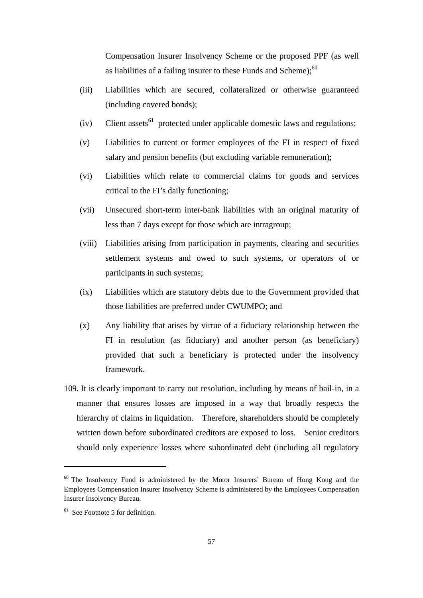Compensation Insurer Insolvency Scheme or the proposed PPF (as well as liabilities of a failing insurer to these Funds and Scheme); $60$ 

- (iii) Liabilities which are secured, collateralized or otherwise guaranteed (including covered bonds);
- $(iv)$  Client assets<sup>61</sup> protected under applicable domestic laws and regulations;
- (v) Liabilities to current or former employees of the FI in respect of fixed salary and pension benefits (but excluding variable remuneration);
- (vi) Liabilities which relate to commercial claims for goods and services critical to the FI's daily functioning;
- (vii) Unsecured short-term inter-bank liabilities with an original maturity of less than 7 days except for those which are intragroup;
- (viii) Liabilities arising from participation in payments, clearing and securities settlement systems and owed to such systems, or operators of or participants in such systems;
- (ix) Liabilities which are statutory debts due to the Government provided that those liabilities are preferred under CWUMPO; and
- (x) Any liability that arises by virtue of a fiduciary relationship between the FI in resolution (as fiduciary) and another person (as beneficiary) provided that such a beneficiary is protected under the insolvency framework.
- 109. It is clearly important to carry out resolution, including by means of bail-in, in a manner that ensures losses are imposed in a way that broadly respects the hierarchy of claims in liquidation. Therefore, shareholders should be completely written down before subordinated creditors are exposed to loss. Senior creditors should only experience losses where subordinated debt (including all regulatory

<sup>&</sup>lt;sup>60</sup> The Insolvency Fund is administered by the Motor Insurers' Bureau of Hong Kong and the Employees Compensation Insurer Insolvency Scheme is administered by the Employees Compensation Insurer Insolvency Bureau.

 $61$  See Footnote 5 for definition.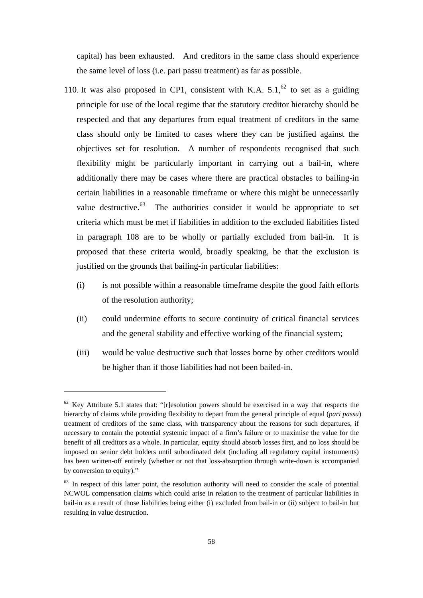capital) has been exhausted. And creditors in the same class should experience the same level of loss (i.e. pari passu treatment) as far as possible.

- 110. It was also proposed in CP1, consistent with K.A.  $5.1$ ,  $62$  to set as a guiding principle for use of the local regime that the statutory creditor hierarchy should be respected and that any departures from equal treatment of creditors in the same class should only be limited to cases where they can be justified against the objectives set for resolution. A number of respondents recognised that such flexibility might be particularly important in carrying out a bail-in, where additionally there may be cases where there are practical obstacles to bailing-in certain liabilities in a reasonable timeframe or where this might be unnecessarily value destructive. $^{63}$  The authorities consider it would be appropriate to set criteria which must be met if liabilities in addition to the excluded liabilities listed in paragraph 108 are to be wholly or partially excluded from bail-in. It is proposed that these criteria would, broadly speaking, be that the exclusion is justified on the grounds that bailing-in particular liabilities:
	- (i) is not possible within a reasonable timeframe despite the good faith efforts of the resolution authority;
	- (ii) could undermine efforts to secure continuity of critical financial services and the general stability and effective working of the financial system;
	- (iii) would be value destructive such that losses borne by other creditors would be higher than if those liabilities had not been bailed-in.

 $62$  Key Attribute 5.1 states that: "[r]esolution powers should be exercised in a way that respects the hierarchy of claims while providing flexibility to depart from the general principle of equal (*pari passu*) treatment of creditors of the same class, with transparency about the reasons for such departures, if necessary to contain the potential systemic impact of a firm's failure or to maximise the value for the benefit of all creditors as a whole. In particular, equity should absorb losses first, and no loss should be imposed on senior debt holders until subordinated debt (including all regulatory capital instruments) has been written-off entirely (whether or not that loss-absorption through write-down is accompanied by conversion to equity)."

 $<sup>63</sup>$  In respect of this latter point, the resolution authority will need to consider the scale of potential</sup> NCWOL compensation claims which could arise in relation to the treatment of particular liabilities in bail-in as a result of those liabilities being either (i) excluded from bail-in or (ii) subject to bail-in but resulting in value destruction.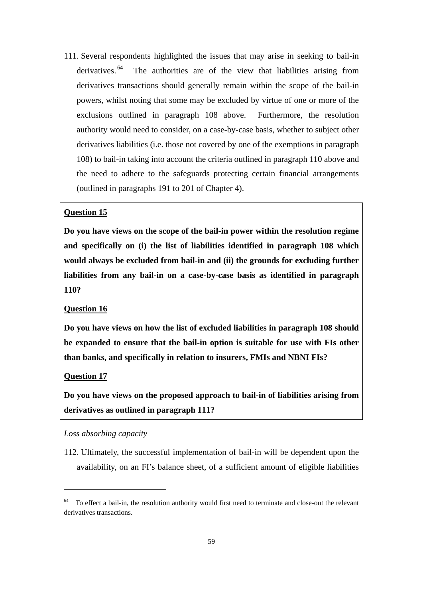111. Several respondents highlighted the issues that may arise in seeking to bail-in derivatives. 64 The authorities are of the view that liabilities arising from derivatives transactions should generally remain within the scope of the bail-in powers, whilst noting that some may be excluded by virtue of one or more of the exclusions outlined in paragraph 108 above. Furthermore, the resolution authority would need to consider, on a case-by-case basis, whether to subject other derivatives liabilities (i.e. those not covered by one of the exemptions in paragraph 108) to bail-in taking into account the criteria outlined in paragraph 110 above and the need to adhere to the safeguards protecting certain financial arrangements (outlined in paragraphs 191 to 201 of Chapter 4).

### **Question 15**

**Do you have views on the scope of the bail-in power within the resolution regime and specifically on (i) the list of liabilities identified in paragraph 108 which would always be excluded from bail-in and (ii) the grounds for excluding further liabilities from any bail-in on a case-by-case basis as identified in paragraph 110?** 

## **Question 16**

**Do you have views on how the list of excluded liabilities in paragraph 108 should be expanded to ensure that the bail-in option is suitable for use with FIs other than banks, and specifically in relation to insurers, FMIs and NBNI FIs?** 

#### **Question 17**

**Do you have views on the proposed approach to bail-in of liabilities arising from derivatives as outlined in paragraph 111?** 

## *Loss absorbing capacity*

112. Ultimately, the successful implementation of bail-in will be dependent upon the availability, on an FI's balance sheet, of a sufficient amount of eligible liabilities

<sup>&</sup>lt;sup>64</sup> To effect a bail-in, the resolution authority would first need to terminate and close-out the relevant derivatives transactions.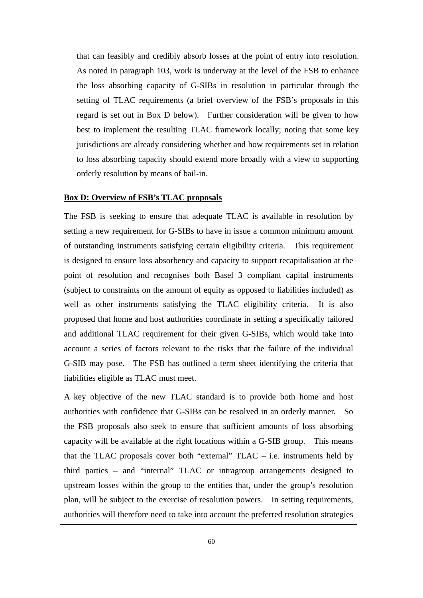that can feasibly and credibly absorb losses at the point of entry into resolution. As noted in paragraph 103, work is underway at the level of the FSB to enhance the loss absorbing capacity of G-SIBs in resolution in particular through the setting of TLAC requirements (a brief overview of the FSB's proposals in this regard is set out in Box D below). Further consideration will be given to how best to implement the resulting TLAC framework locally; noting that some key jurisdictions are already considering whether and how requirements set in relation to loss absorbing capacity should extend more broadly with a view to supporting orderly resolution by means of bail-in.

#### **Box D: Overview of FSB's TLAC proposals**

The FSB is seeking to ensure that adequate TLAC is available in resolution by setting a new requirement for G-SIBs to have in issue a common minimum amount of outstanding instruments satisfying certain eligibility criteria. This requirement is designed to ensure loss absorbency and capacity to support recapitalisation at the point of resolution and recognises both Basel 3 compliant capital instruments (subject to constraints on the amount of equity as opposed to liabilities included) as well as other instruments satisfying the TLAC eligibility criteria. It is also proposed that home and host authorities coordinate in setting a specifically tailored and additional TLAC requirement for their given G-SIBs, which would take into account a series of factors relevant to the risks that the failure of the individual G-SIB may pose. The FSB has outlined a term sheet identifying the criteria that liabilities eligible as TLAC must meet.

A key objective of the new TLAC standard is to provide both home and host authorities with confidence that G-SIBs can be resolved in an orderly manner. So the FSB proposals also seek to ensure that sufficient amounts of loss absorbing capacity will be available at the right locations within a G-SIB group. This means that the TLAC proposals cover both "external"  $TLAC - i.e.$  instruments held by third parties – and "internal" TLAC or intragroup arrangements designed to upstream losses within the group to the entities that, under the group's resolution plan, will be subject to the exercise of resolution powers. In setting requirements, authorities will therefore need to take into account the preferred resolution strategies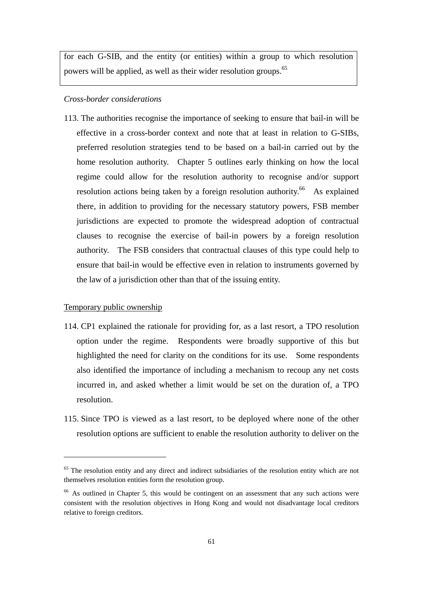for each G-SIB, and the entity (or entities) within a group to which resolution powers will be applied, as well as their wider resolution groups.<sup>65</sup>

# *Cross-border considerations*

113. The authorities recognise the importance of seeking to ensure that bail-in will be effective in a cross-border context and note that at least in relation to G-SIBs, preferred resolution strategies tend to be based on a bail-in carried out by the home resolution authority. Chapter 5 outlines early thinking on how the local regime could allow for the resolution authority to recognise and/or support resolution actions being taken by a foreign resolution authority.<sup>66</sup> As explained there, in addition to providing for the necessary statutory powers, FSB member jurisdictions are expected to promote the widespread adoption of contractual clauses to recognise the exercise of bail-in powers by a foreign resolution authority. The FSB considers that contractual clauses of this type could help to ensure that bail-in would be effective even in relation to instruments governed by the law of a jurisdiction other than that of the issuing entity.

### Temporary public ownership

- 114. CP1 explained the rationale for providing for, as a last resort, a TPO resolution option under the regime. Respondents were broadly supportive of this but highlighted the need for clarity on the conditions for its use. Some respondents also identified the importance of including a mechanism to recoup any net costs incurred in, and asked whether a limit would be set on the duration of, a TPO resolution.
- 115. Since TPO is viewed as a last resort, to be deployed where none of the other resolution options are sufficient to enable the resolution authority to deliver on the

 $65$  The resolution entity and any direct and indirect subsidiaries of the resolution entity which are not themselves resolution entities form the resolution group.

<sup>&</sup>lt;sup>66</sup> As outlined in Chapter 5, this would be contingent on an assessment that any such actions were consistent with the resolution objectives in Hong Kong and would not disadvantage local creditors relative to foreign creditors.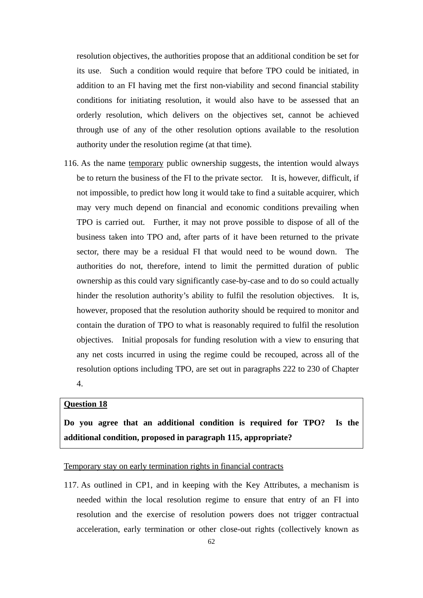resolution objectives, the authorities propose that an additional condition be set for its use. Such a condition would require that before TPO could be initiated, in addition to an FI having met the first non-viability and second financial stability conditions for initiating resolution, it would also have to be assessed that an orderly resolution, which delivers on the objectives set, cannot be achieved through use of any of the other resolution options available to the resolution authority under the resolution regime (at that time).

116. As the name temporary public ownership suggests, the intention would always be to return the business of the FI to the private sector. It is, however, difficult, if not impossible, to predict how long it would take to find a suitable acquirer, which may very much depend on financial and economic conditions prevailing when TPO is carried out. Further, it may not prove possible to dispose of all of the business taken into TPO and, after parts of it have been returned to the private sector, there may be a residual FI that would need to be wound down. The authorities do not, therefore, intend to limit the permitted duration of public ownership as this could vary significantly case-by-case and to do so could actually hinder the resolution authority's ability to fulfil the resolution objectives. It is, however, proposed that the resolution authority should be required to monitor and contain the duration of TPO to what is reasonably required to fulfil the resolution objectives. Initial proposals for funding resolution with a view to ensuring that any net costs incurred in using the regime could be recouped, across all of the resolution options including TPO, are set out in paragraphs 222 to 230 of Chapter

4.

#### **Question 18**

**Do you agree that an additional condition is required for TPO? Is the additional condition, proposed in paragraph 115, appropriate?** 

## Temporary stay on early termination rights in financial contracts

117. As outlined in CP1, and in keeping with the Key Attributes, a mechanism is needed within the local resolution regime to ensure that entry of an FI into resolution and the exercise of resolution powers does not trigger contractual acceleration, early termination or other close-out rights (collectively known as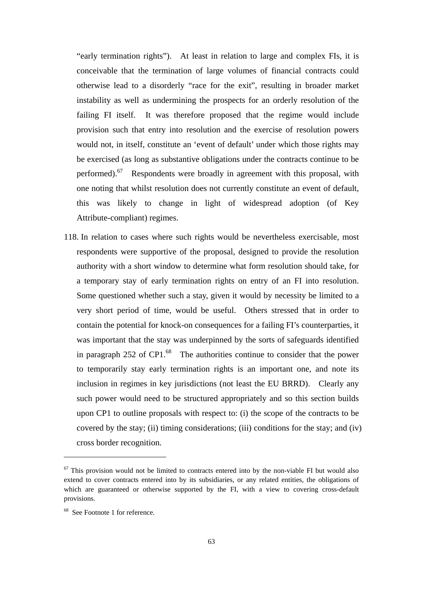"early termination rights"). At least in relation to large and complex FIs, it is conceivable that the termination of large volumes of financial contracts could otherwise lead to a disorderly "race for the exit", resulting in broader market instability as well as undermining the prospects for an orderly resolution of the failing FI itself. It was therefore proposed that the regime would include provision such that entry into resolution and the exercise of resolution powers would not, in itself, constitute an 'event of default' under which those rights may be exercised (as long as substantive obligations under the contracts continue to be performed).<sup>67</sup> Respondents were broadly in agreement with this proposal, with one noting that whilst resolution does not currently constitute an event of default, this was likely to change in light of widespread adoption (of Key Attribute-compliant) regimes.

118. In relation to cases where such rights would be nevertheless exercisable, most respondents were supportive of the proposal, designed to provide the resolution authority with a short window to determine what form resolution should take, for a temporary stay of early termination rights on entry of an FI into resolution. Some questioned whether such a stay, given it would by necessity be limited to a very short period of time, would be useful. Others stressed that in order to contain the potential for knock-on consequences for a failing FI's counterparties, it was important that the stay was underpinned by the sorts of safeguards identified in paragraph  $252$  of CP1.<sup>68</sup> The authorities continue to consider that the power to temporarily stay early termination rights is an important one, and note its inclusion in regimes in key jurisdictions (not least the EU BRRD). Clearly any such power would need to be structured appropriately and so this section builds upon CP1 to outline proposals with respect to: (i) the scope of the contracts to be covered by the stay; (ii) timing considerations; (iii) conditions for the stay; and (iv) cross border recognition.

 $67$  This provision would not be limited to contracts entered into by the non-viable FI but would also extend to cover contracts entered into by its subsidiaries, or any related entities, the obligations of which are guaranteed or otherwise supported by the FI, with a view to covering cross-default provisions.

<sup>68</sup> See Footnote 1 for reference.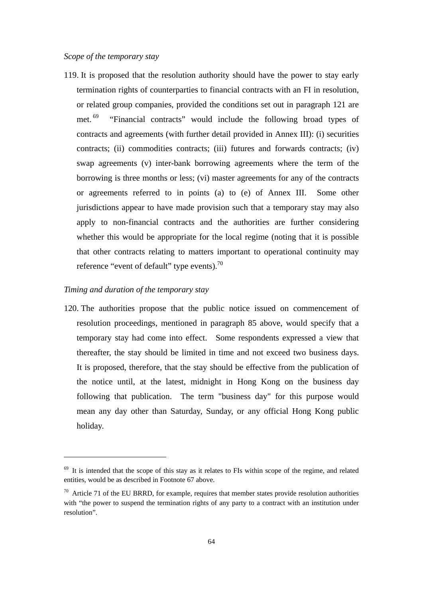119. It is proposed that the resolution authority should have the power to stay early termination rights of counterparties to financial contracts with an FI in resolution, or related group companies, provided the conditions set out in paragraph 121 are met. 69 "Financial contracts" would include the following broad types of contracts and agreements (with further detail provided in Annex III): (i) securities contracts; (ii) commodities contracts; (iii) futures and forwards contracts; (iv) swap agreements (v) inter-bank borrowing agreements where the term of the borrowing is three months or less; (vi) master agreements for any of the contracts or agreements referred to in points (a) to (e) of Annex III. Some other jurisdictions appear to have made provision such that a temporary stay may also apply to non-financial contracts and the authorities are further considering whether this would be appropriate for the local regime (noting that it is possible that other contracts relating to matters important to operational continuity may reference "event of default" type events). $^{70}$ 

### *Timing and duration of the temporary stay*

120. The authorities propose that the public notice issued on commencement of resolution proceedings, mentioned in paragraph 85 above, would specify that a temporary stay had come into effect. Some respondents expressed a view that thereafter, the stay should be limited in time and not exceed two business days. It is proposed, therefore, that the stay should be effective from the publication of the notice until, at the latest, midnight in Hong Kong on the business day following that publication. The term "business day" for this purpose would mean any day other than Saturday, Sunday, or any official Hong Kong public holiday.

 $69$  It is intended that the scope of this stay as it relates to FIs within scope of the regime, and related entities, would be as described in Footnote 67 above.

 $70$  Article 71 of the EU BRRD, for example, requires that member states provide resolution authorities with "the power to suspend the termination rights of any party to a contract with an institution under resolution".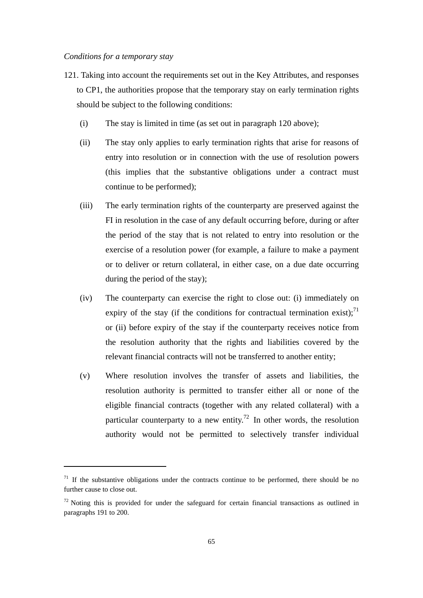- 121. Taking into account the requirements set out in the Key Attributes, and responses to CP1, the authorities propose that the temporary stay on early termination rights should be subject to the following conditions:
	- (i) The stay is limited in time (as set out in paragraph 120 above);
	- (ii) The stay only applies to early termination rights that arise for reasons of entry into resolution or in connection with the use of resolution powers (this implies that the substantive obligations under a contract must continue to be performed);
	- (iii) The early termination rights of the counterparty are preserved against the FI in resolution in the case of any default occurring before, during or after the period of the stay that is not related to entry into resolution or the exercise of a resolution power (for example, a failure to make a payment or to deliver or return collateral, in either case, on a due date occurring during the period of the stay);
	- (iv) The counterparty can exercise the right to close out: (i) immediately on expiry of the stay (if the conditions for contractual termination exist);  $^{71}$ or (ii) before expiry of the stay if the counterparty receives notice from the resolution authority that the rights and liabilities covered by the relevant financial contracts will not be transferred to another entity;
	- (v) Where resolution involves the transfer of assets and liabilities, the resolution authority is permitted to transfer either all or none of the eligible financial contracts (together with any related collateral) with a particular counterparty to a new entity.<sup>72</sup> In other words, the resolution authority would not be permitted to selectively transfer individual

 $71$  If the substantive obligations under the contracts continue to be performed, there should be no further cause to close out.

 $72$  Noting this is provided for under the safeguard for certain financial transactions as outlined in paragraphs 191 to 200.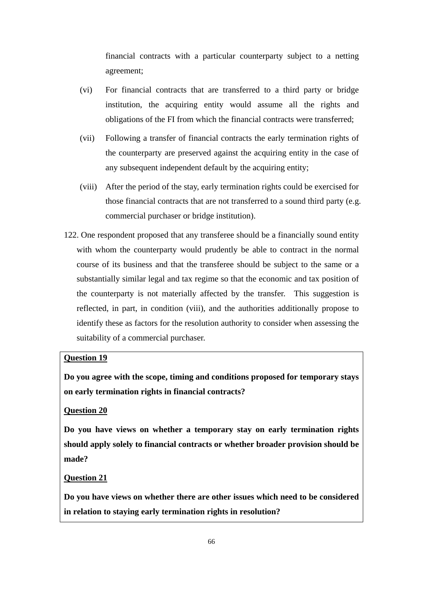financial contracts with a particular counterparty subject to a netting agreement;

- (vi) For financial contracts that are transferred to a third party or bridge institution, the acquiring entity would assume all the rights and obligations of the FI from which the financial contracts were transferred;
- (vii) Following a transfer of financial contracts the early termination rights of the counterparty are preserved against the acquiring entity in the case of any subsequent independent default by the acquiring entity;
- (viii) After the period of the stay, early termination rights could be exercised for those financial contracts that are not transferred to a sound third party (e.g. commercial purchaser or bridge institution).
- 122. One respondent proposed that any transferee should be a financially sound entity with whom the counterparty would prudently be able to contract in the normal course of its business and that the transferee should be subject to the same or a substantially similar legal and tax regime so that the economic and tax position of the counterparty is not materially affected by the transfer. This suggestion is reflected, in part, in condition (viii), and the authorities additionally propose to identify these as factors for the resolution authority to consider when assessing the suitability of a commercial purchaser.

# **Question 19**

**Do you agree with the scope, timing and conditions proposed for temporary stays on early termination rights in financial contracts?** 

# **Question 20**

**Do you have views on whether a temporary stay on early termination rights should apply solely to financial contracts or whether broader provision should be made?** 

# **Question 21**

**Do you have views on whether there are other issues which need to be considered in relation to staying early termination rights in resolution?**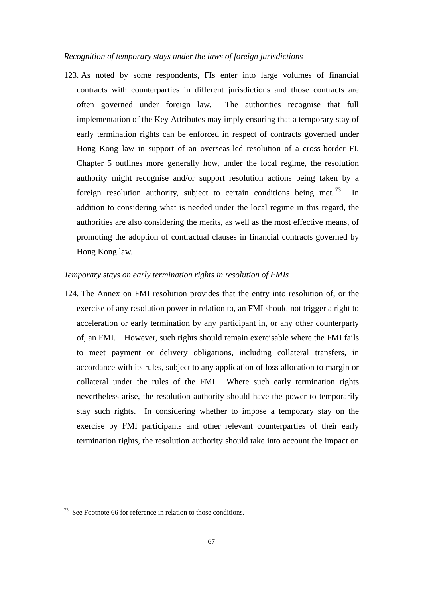### *Recognition of temporary stays under the laws of foreign jurisdictions*

123. As noted by some respondents, FIs enter into large volumes of financial contracts with counterparties in different jurisdictions and those contracts are often governed under foreign law. The authorities recognise that full implementation of the Key Attributes may imply ensuring that a temporary stay of early termination rights can be enforced in respect of contracts governed under Hong Kong law in support of an overseas-led resolution of a cross-border FI. Chapter 5 outlines more generally how, under the local regime, the resolution authority might recognise and/or support resolution actions being taken by a foreign resolution authority, subject to certain conditions being met.<sup>73</sup> In addition to considering what is needed under the local regime in this regard, the authorities are also considering the merits, as well as the most effective means, of promoting the adoption of contractual clauses in financial contracts governed by Hong Kong law.

#### *Temporary stays on early termination rights in resolution of FMIs*

124. The Annex on FMI resolution provides that the entry into resolution of, or the exercise of any resolution power in relation to, an FMI should not trigger a right to acceleration or early termination by any participant in, or any other counterparty of, an FMI. However, such rights should remain exercisable where the FMI fails to meet payment or delivery obligations, including collateral transfers, in accordance with its rules, subject to any application of loss allocation to margin or collateral under the rules of the FMI. Where such early termination rights nevertheless arise, the resolution authority should have the power to temporarily stay such rights. In considering whether to impose a temporary stay on the exercise by FMI participants and other relevant counterparties of their early termination rights, the resolution authority should take into account the impact on

 $73$  See Footnote 66 for reference in relation to those conditions.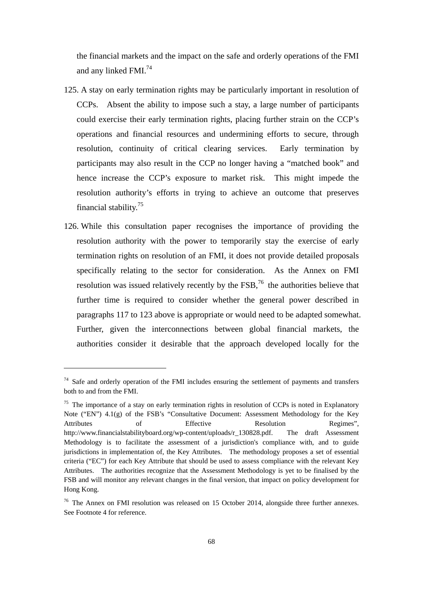the financial markets and the impact on the safe and orderly operations of the FMI and any linked FMI.74

- 125. A stay on early termination rights may be particularly important in resolution of CCPs. Absent the ability to impose such a stay, a large number of participants could exercise their early termination rights, placing further strain on the CCP's operations and financial resources and undermining efforts to secure, through resolution, continuity of critical clearing services. Early termination by participants may also result in the CCP no longer having a "matched book" and hence increase the CCP's exposure to market risk. This might impede the resolution authority's efforts in trying to achieve an outcome that preserves financial stability.75
- 126. While this consultation paper recognises the importance of providing the resolution authority with the power to temporarily stay the exercise of early termination rights on resolution of an FMI, it does not provide detailed proposals specifically relating to the sector for consideration. As the Annex on FMI resolution was issued relatively recently by the FSB,76 the authorities believe that further time is required to consider whether the general power described in paragraphs 117 to 123 above is appropriate or would need to be adapted somewhat. Further, given the interconnections between global financial markets, the authorities consider it desirable that the approach developed locally for the

 $74$  Safe and orderly operation of the FMI includes ensuring the settlement of payments and transfers both to and from the FMI.

<sup>&</sup>lt;sup>75</sup> The importance of a stay on early termination rights in resolution of CCPs is noted in Explanatory Note ("EN") 4.1(g) of the FSB's "Consultative Document: Assessment Methodology for the Key Attributes of Effective Resolution Regimes", http://www.financialstabilityboard.org/wp-content/uploads/r\_130828.pdf. The draft Assessment Methodology is to facilitate the assessment of a jurisdiction's compliance with, and to guide jurisdictions in implementation of, the Key Attributes. The methodology proposes a set of essential criteria ("EC") for each Key Attribute that should be used to assess compliance with the relevant Key Attributes. The authorities recognize that the Assessment Methodology is yet to be finalised by the FSB and will monitor any relevant changes in the final version, that impact on policy development for Hong Kong.

<sup>&</sup>lt;sup>76</sup> The Annex on FMI resolution was released on 15 October 2014, alongside three further annexes. See Footnote 4 for reference.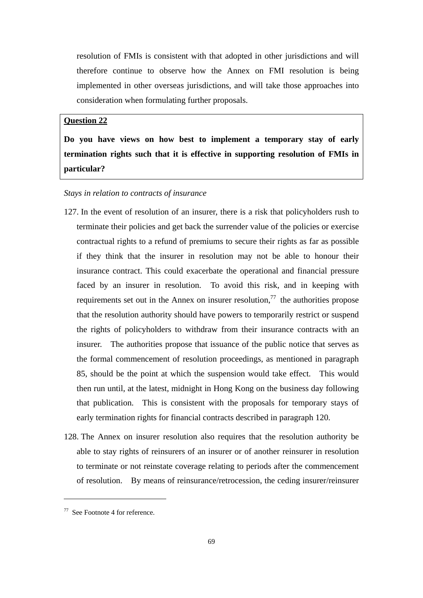resolution of FMIs is consistent with that adopted in other jurisdictions and will therefore continue to observe how the Annex on FMI resolution is being implemented in other overseas jurisdictions, and will take those approaches into consideration when formulating further proposals.

# **Question 22**

**Do you have views on how best to implement a temporary stay of early termination rights such that it is effective in supporting resolution of FMIs in particular?** 

### *Stays in relation to contracts of insurance*

- 127. In the event of resolution of an insurer, there is a risk that policyholders rush to terminate their policies and get back the surrender value of the policies or exercise contractual rights to a refund of premiums to secure their rights as far as possible if they think that the insurer in resolution may not be able to honour their insurance contract. This could exacerbate the operational and financial pressure faced by an insurer in resolution. To avoid this risk, and in keeping with requirements set out in the Annex on insurer resolution, $^{77}$  the authorities propose that the resolution authority should have powers to temporarily restrict or suspend the rights of policyholders to withdraw from their insurance contracts with an insurer. The authorities propose that issuance of the public notice that serves as the formal commencement of resolution proceedings, as mentioned in paragraph 85, should be the point at which the suspension would take effect. This would then run until, at the latest, midnight in Hong Kong on the business day following that publication. This is consistent with the proposals for temporary stays of early termination rights for financial contracts described in paragraph 120.
- 128. The Annex on insurer resolution also requires that the resolution authority be able to stay rights of reinsurers of an insurer or of another reinsurer in resolution to terminate or not reinstate coverage relating to periods after the commencement of resolution. By means of reinsurance/retrocession, the ceding insurer/reinsurer

<sup>77</sup> See Footnote 4 for reference.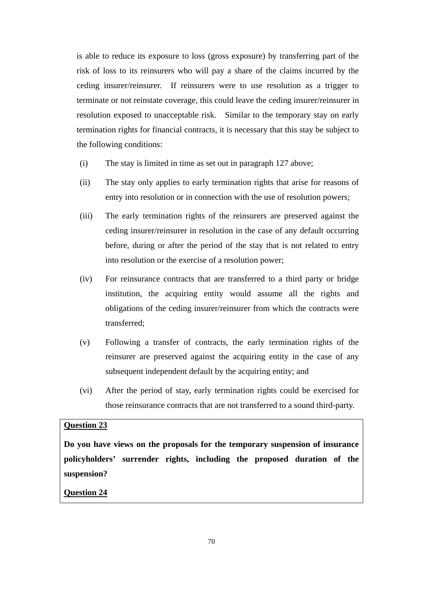is able to reduce its exposure to loss (gross exposure) by transferring part of the risk of loss to its reinsurers who will pay a share of the claims incurred by the ceding insurer/reinsurer. If reinsurers were to use resolution as a trigger to terminate or not reinstate coverage, this could leave the ceding insurer/reinsurer in resolution exposed to unacceptable risk. Similar to the temporary stay on early termination rights for financial contracts, it is necessary that this stay be subject to the following conditions:

- (i) The stay is limited in time as set out in paragraph 127 above;
- (ii) The stay only applies to early termination rights that arise for reasons of entry into resolution or in connection with the use of resolution powers;
- (iii) The early termination rights of the reinsurers are preserved against the ceding insurer/reinsurer in resolution in the case of any default occurring before, during or after the period of the stay that is not related to entry into resolution or the exercise of a resolution power;
- (iv) For reinsurance contracts that are transferred to a third party or bridge institution, the acquiring entity would assume all the rights and obligations of the ceding insurer/reinsurer from which the contracts were transferred;
- (v) Following a transfer of contracts, the early termination rights of the reinsurer are preserved against the acquiring entity in the case of any subsequent independent default by the acquiring entity; and
- (vi) After the period of stay, early termination rights could be exercised for those reinsurance contracts that are not transferred to a sound third-party.

## **Question 23**

**Do you have views on the proposals for the temporary suspension of insurance policyholders' surrender rights, including the proposed duration of the suspension?** 

**Question 24**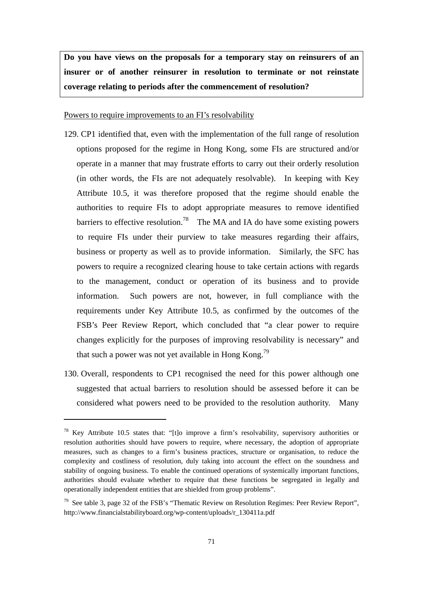**Do you have views on the proposals for a temporary stay on reinsurers of an insurer or of another reinsurer in resolution to terminate or not reinstate coverage relating to periods after the commencement of resolution?** 

Powers to require improvements to an FI's resolvability

- 129. CP1 identified that, even with the implementation of the full range of resolution options proposed for the regime in Hong Kong, some FIs are structured and/or operate in a manner that may frustrate efforts to carry out their orderly resolution (in other words, the FIs are not adequately resolvable). In keeping with Key Attribute 10.5, it was therefore proposed that the regime should enable the authorities to require FIs to adopt appropriate measures to remove identified barriers to effective resolution.<sup>78</sup> The MA and IA do have some existing powers to require FIs under their purview to take measures regarding their affairs, business or property as well as to provide information. Similarly, the SFC has powers to require a recognized clearing house to take certain actions with regards to the management, conduct or operation of its business and to provide information. Such powers are not, however, in full compliance with the requirements under Key Attribute 10.5, as confirmed by the outcomes of the FSB's Peer Review Report, which concluded that "a clear power to require changes explicitly for the purposes of improving resolvability is necessary" and that such a power was not yet available in Hong Kong.<sup>79</sup>
- 130. Overall, respondents to CP1 recognised the need for this power although one suggested that actual barriers to resolution should be assessed before it can be considered what powers need to be provided to the resolution authority. Many

<sup>&</sup>lt;sup>78</sup> Key Attribute 10.5 states that: "[t]o improve a firm's resolvability, supervisory authorities or resolution authorities should have powers to require, where necessary, the adoption of appropriate measures, such as changes to a firm's business practices, structure or organisation, to reduce the complexity and costliness of resolution, duly taking into account the effect on the soundness and stability of ongoing business. To enable the continued operations of systemically important functions, authorities should evaluate whether to require that these functions be segregated in legally and operationally independent entities that are shielded from group problems".

 $79$  See table 3, page 32 of the FSB's "Thematic Review on Resolution Regimes: Peer Review Report", http://www.financialstabilityboard.org/wp-content/uploads/r\_130411a.pdf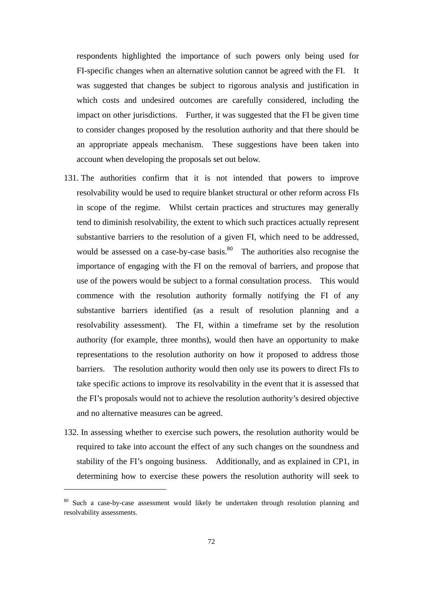respondents highlighted the importance of such powers only being used for FI-specific changes when an alternative solution cannot be agreed with the FI. It was suggested that changes be subject to rigorous analysis and justification in which costs and undesired outcomes are carefully considered, including the impact on other jurisdictions. Further, it was suggested that the FI be given time to consider changes proposed by the resolution authority and that there should be an appropriate appeals mechanism. These suggestions have been taken into account when developing the proposals set out below.

- 131. The authorities confirm that it is not intended that powers to improve resolvability would be used to require blanket structural or other reform across FIs in scope of the regime. Whilst certain practices and structures may generally tend to diminish resolvability, the extent to which such practices actually represent substantive barriers to the resolution of a given FI, which need to be addressed, would be assessed on a case-by-case basis. $80$  The authorities also recognise the importance of engaging with the FI on the removal of barriers, and propose that use of the powers would be subject to a formal consultation process. This would commence with the resolution authority formally notifying the FI of any substantive barriers identified (as a result of resolution planning and a resolvability assessment). The FI, within a timeframe set by the resolution authority (for example, three months), would then have an opportunity to make representations to the resolution authority on how it proposed to address those barriers. The resolution authority would then only use its powers to direct FIs to take specific actions to improve its resolvability in the event that it is assessed that the FI's proposals would not to achieve the resolution authority's desired objective and no alternative measures can be agreed.
- 132. In assessing whether to exercise such powers, the resolution authority would be required to take into account the effect of any such changes on the soundness and stability of the FI's ongoing business. Additionally, and as explained in CP1, in determining how to exercise these powers the resolution authority will seek to

<sup>&</sup>lt;sup>80</sup> Such a case-by-case assessment would likely be undertaken through resolution planning and resolvability assessments.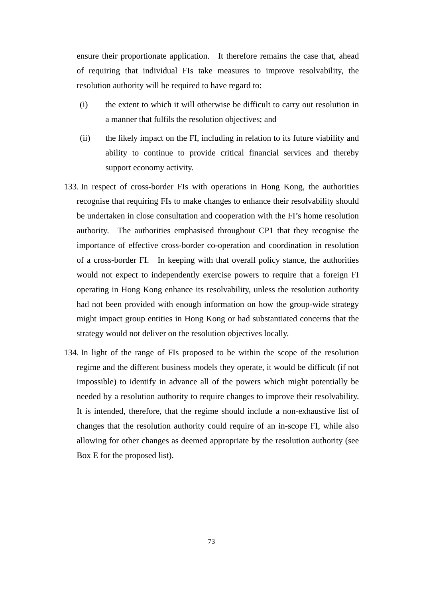ensure their proportionate application. It therefore remains the case that, ahead of requiring that individual FIs take measures to improve resolvability, the resolution authority will be required to have regard to:

- (i) the extent to which it will otherwise be difficult to carry out resolution in a manner that fulfils the resolution objectives; and
- (ii) the likely impact on the FI, including in relation to its future viability and ability to continue to provide critical financial services and thereby support economy activity.
- 133. In respect of cross-border FIs with operations in Hong Kong, the authorities recognise that requiring FIs to make changes to enhance their resolvability should be undertaken in close consultation and cooperation with the FI's home resolution authority. The authorities emphasised throughout CP1 that they recognise the importance of effective cross-border co-operation and coordination in resolution of a cross-border FI. In keeping with that overall policy stance, the authorities would not expect to independently exercise powers to require that a foreign FI operating in Hong Kong enhance its resolvability, unless the resolution authority had not been provided with enough information on how the group-wide strategy might impact group entities in Hong Kong or had substantiated concerns that the strategy would not deliver on the resolution objectives locally.
- 134. In light of the range of FIs proposed to be within the scope of the resolution regime and the different business models they operate, it would be difficult (if not impossible) to identify in advance all of the powers which might potentially be needed by a resolution authority to require changes to improve their resolvability. It is intended, therefore, that the regime should include a non-exhaustive list of changes that the resolution authority could require of an in-scope FI, while also allowing for other changes as deemed appropriate by the resolution authority (see Box E for the proposed list).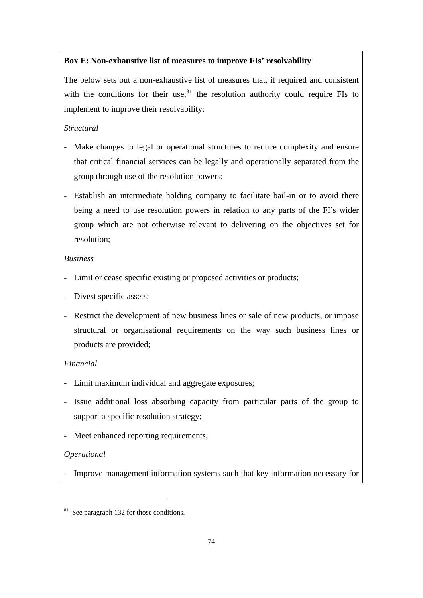# **Box E: Non-exhaustive list of measures to improve FIs' resolvability**

The below sets out a non-exhaustive list of measures that, if required and consistent with the conditions for their use, $81$  the resolution authority could require FIs to implement to improve their resolvability:

# *Structural*

- Make changes to legal or operational structures to reduce complexity and ensure that critical financial services can be legally and operationally separated from the group through use of the resolution powers;
- Establish an intermediate holding company to facilitate bail-in or to avoid there being a need to use resolution powers in relation to any parts of the FI's wider group which are not otherwise relevant to delivering on the objectives set for resolution;

# *Business*

- Limit or cease specific existing or proposed activities or products;
- Divest specific assets;
- Restrict the development of new business lines or sale of new products, or impose structural or organisational requirements on the way such business lines or products are provided;

# *Financial*

- Limit maximum individual and aggregate exposures;
- Issue additional loss absorbing capacity from particular parts of the group to support a specific resolution strategy;
- Meet enhanced reporting requirements;

# *Operational*

- Improve management information systems such that key information necessary for

<sup>&</sup>lt;sup>81</sup> See paragraph 132 for those conditions.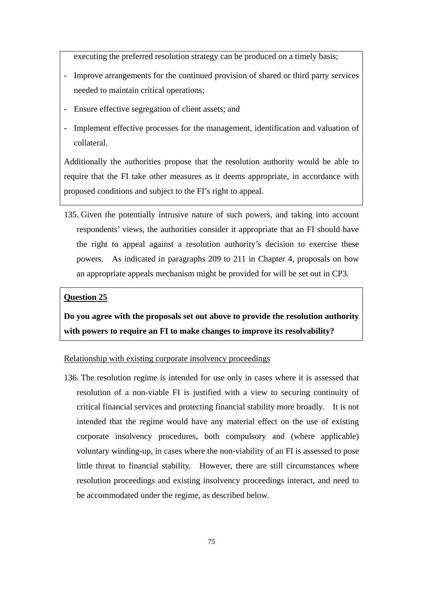executing the preferred resolution strategy can be produced on a timely basis;

- Improve arrangements for the continued provision of shared or third party services needed to maintain critical operations;
- Ensure effective segregation of client assets; and
- Implement effective processes for the management, identification and valuation of collateral.

Additionally the authorities propose that the resolution authority would be able to require that the FI take other measures as it deems appropriate, in accordance with proposed conditions and subject to the FI's right to appeal.

135. Given the potentially intrusive nature of such powers, and taking into account respondents' views, the authorities consider it appropriate that an FI should have the right to appeal against a resolution authority's decision to exercise these powers. As indicated in paragraphs 209 to 211 in Chapter 4, proposals on how an appropriate appeals mechanism might be provided for will be set out in CP3.

#### **Question 25**

**Do you agree with the proposals set out above to provide the resolution authority with powers to require an FI to make changes to improve its resolvability?** 

#### Relationship with existing corporate insolvency proceedings

136. The resolution regime is intended for use only in cases where it is assessed that resolution of a non-viable FI is justified with a view to securing continuity of critical financial services and protecting financial stability more broadly. It is not intended that the regime would have any material effect on the use of existing corporate insolvency procedures, both compulsory and (where applicable) voluntary winding-up, in cases where the non-viability of an FI is assessed to pose little threat to financial stability. However, there are still circumstances where resolution proceedings and existing insolvency proceedings interact, and need to be accommodated under the regime, as described below.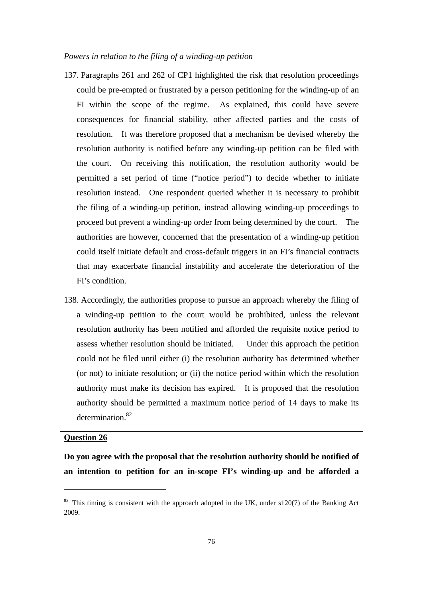### *Powers in relation to the filing of a winding-up petition*

- 137. Paragraphs 261 and 262 of CP1 highlighted the risk that resolution proceedings could be pre-empted or frustrated by a person petitioning for the winding-up of an FI within the scope of the regime. As explained, this could have severe consequences for financial stability, other affected parties and the costs of resolution. It was therefore proposed that a mechanism be devised whereby the resolution authority is notified before any winding-up petition can be filed with the court. On receiving this notification, the resolution authority would be permitted a set period of time ("notice period") to decide whether to initiate resolution instead. One respondent queried whether it is necessary to prohibit the filing of a winding-up petition, instead allowing winding-up proceedings to proceed but prevent a winding-up order from being determined by the court. The authorities are however, concerned that the presentation of a winding-up petition could itself initiate default and cross-default triggers in an FI's financial contracts that may exacerbate financial instability and accelerate the deterioration of the FI's condition.
- 138. Accordingly, the authorities propose to pursue an approach whereby the filing of a winding-up petition to the court would be prohibited, unless the relevant resolution authority has been notified and afforded the requisite notice period to assess whether resolution should be initiated. Under this approach the petition could not be filed until either (i) the resolution authority has determined whether (or not) to initiate resolution; or (ii) the notice period within which the resolution authority must make its decision has expired. It is proposed that the resolution authority should be permitted a maximum notice period of 14 days to make its determination.<sup>82</sup>

## **Question 26**

**Do you agree with the proposal that the resolution authority should be notified of an intention to petition for an in-scope FI's winding-up and be afforded a** 

 $82$  This timing is consistent with the approach adopted in the UK, under s120(7) of the Banking Act 2009.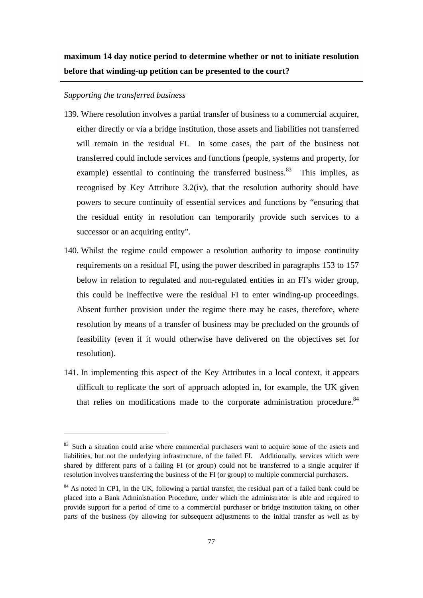**maximum 14 day notice period to determine whether or not to initiate resolution before that winding-up petition can be presented to the court?** 

#### *Supporting the transferred business*

- 139. Where resolution involves a partial transfer of business to a commercial acquirer, either directly or via a bridge institution, those assets and liabilities not transferred will remain in the residual FI. In some cases, the part of the business not transferred could include services and functions (people, systems and property, for example) essential to continuing the transferred business.<sup>83</sup> This implies, as recognised by Key Attribute 3.2(iv), that the resolution authority should have powers to secure continuity of essential services and functions by "ensuring that the residual entity in resolution can temporarily provide such services to a successor or an acquiring entity".
- 140. Whilst the regime could empower a resolution authority to impose continuity requirements on a residual FI, using the power described in paragraphs 153 to 157 below in relation to regulated and non-regulated entities in an FI's wider group, this could be ineffective were the residual FI to enter winding-up proceedings. Absent further provision under the regime there may be cases, therefore, where resolution by means of a transfer of business may be precluded on the grounds of feasibility (even if it would otherwise have delivered on the objectives set for resolution).
- 141. In implementing this aspect of the Key Attributes in a local context, it appears difficult to replicate the sort of approach adopted in, for example, the UK given that relies on modifications made to the corporate administration procedure.<sup>84</sup>

<sup>&</sup>lt;sup>83</sup> Such a situation could arise where commercial purchasers want to acquire some of the assets and liabilities, but not the underlying infrastructure, of the failed FI. Additionally, services which were shared by different parts of a failing FI (or group) could not be transferred to a single acquirer if resolution involves transferring the business of the FI (or group) to multiple commercial purchasers.

<sup>&</sup>lt;sup>84</sup> As noted in CP1, in the UK, following a partial transfer, the residual part of a failed bank could be placed into a Bank Administration Procedure, under which the administrator is able and required to provide support for a period of time to a commercial purchaser or bridge institution taking on other parts of the business (by allowing for subsequent adjustments to the initial transfer as well as by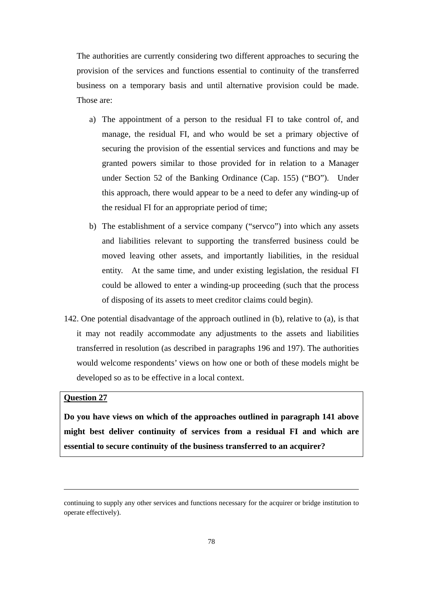The authorities are currently considering two different approaches to securing the provision of the services and functions essential to continuity of the transferred business on a temporary basis and until alternative provision could be made. Those are:

- a) The appointment of a person to the residual FI to take control of, and manage, the residual FI, and who would be set a primary objective of securing the provision of the essential services and functions and may be granted powers similar to those provided for in relation to a Manager under Section 52 of the Banking Ordinance (Cap. 155) ("BO"). Under this approach, there would appear to be a need to defer any winding-up of the residual FI for an appropriate period of time;
- b) The establishment of a service company ("servco") into which any assets and liabilities relevant to supporting the transferred business could be moved leaving other assets, and importantly liabilities, in the residual entity. At the same time, and under existing legislation, the residual FI could be allowed to enter a winding-up proceeding (such that the process of disposing of its assets to meet creditor claims could begin).
- 142. One potential disadvantage of the approach outlined in (b), relative to (a), is that it may not readily accommodate any adjustments to the assets and liabilities transferred in resolution (as described in paragraphs 196 and 197). The authorities would welcome respondents' views on how one or both of these models might be developed so as to be effective in a local context.

#### **Question 27**

**Do you have views on which of the approaches outlined in paragraph 141 above might best deliver continuity of services from a residual FI and which are essential to secure continuity of the business transferred to an acquirer?** 

<u> Andreas Andreas Andreas Andreas Andreas Andreas Andreas Andreas Andreas Andreas Andreas Andreas Andreas Andr</u>

continuing to supply any other services and functions necessary for the acquirer or bridge institution to operate effectively).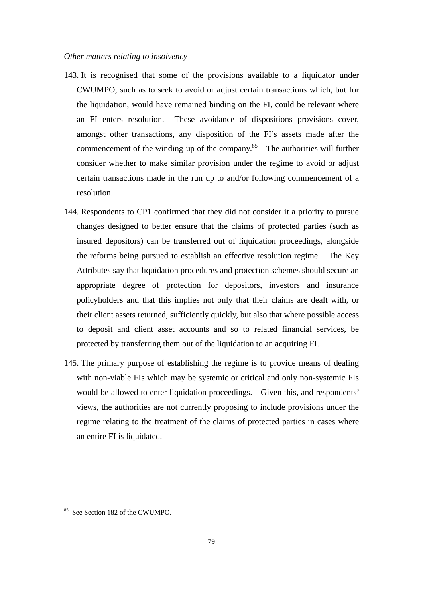## *Other matters relating to insolvency*

- 143. It is recognised that some of the provisions available to a liquidator under CWUMPO, such as to seek to avoid or adjust certain transactions which, but for the liquidation, would have remained binding on the FI, could be relevant where an FI enters resolution. These avoidance of dispositions provisions cover, amongst other transactions, any disposition of the FI's assets made after the commencement of the winding-up of the company. $85$  The authorities will further consider whether to make similar provision under the regime to avoid or adjust certain transactions made in the run up to and/or following commencement of a resolution.
- 144. Respondents to CP1 confirmed that they did not consider it a priority to pursue changes designed to better ensure that the claims of protected parties (such as insured depositors) can be transferred out of liquidation proceedings, alongside the reforms being pursued to establish an effective resolution regime. The Key Attributes say that liquidation procedures and protection schemes should secure an appropriate degree of protection for depositors, investors and insurance policyholders and that this implies not only that their claims are dealt with, or their client assets returned, sufficiently quickly, but also that where possible access to deposit and client asset accounts and so to related financial services, be protected by transferring them out of the liquidation to an acquiring FI.
- 145. The primary purpose of establishing the regime is to provide means of dealing with non-viable FIs which may be systemic or critical and only non-systemic FIs would be allowed to enter liquidation proceedings. Given this, and respondents' views, the authorities are not currently proposing to include provisions under the regime relating to the treatment of the claims of protected parties in cases where an entire FI is liquidated.

<sup>&</sup>lt;sup>85</sup> See Section 182 of the CWUMPO.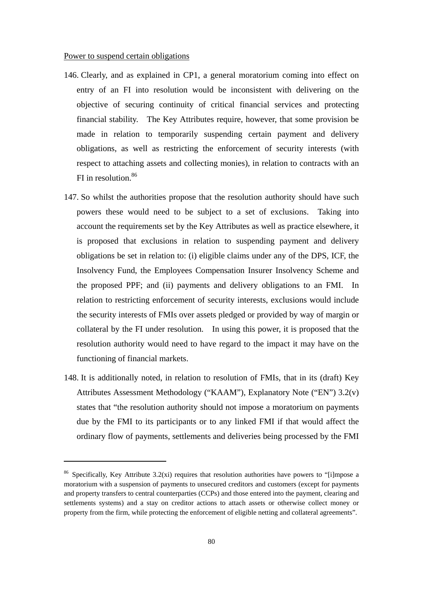#### Power to suspend certain obligations

- 146. Clearly, and as explained in CP1, a general moratorium coming into effect on entry of an FI into resolution would be inconsistent with delivering on the objective of securing continuity of critical financial services and protecting financial stability. The Key Attributes require, however, that some provision be made in relation to temporarily suspending certain payment and delivery obligations, as well as restricting the enforcement of security interests (with respect to attaching assets and collecting monies), in relation to contracts with an FI in resolution.<sup>86</sup>
- 147. So whilst the authorities propose that the resolution authority should have such powers these would need to be subject to a set of exclusions. Taking into account the requirements set by the Key Attributes as well as practice elsewhere, it is proposed that exclusions in relation to suspending payment and delivery obligations be set in relation to: (i) eligible claims under any of the DPS, ICF, the Insolvency Fund, the Employees Compensation Insurer Insolvency Scheme and the proposed PPF; and (ii) payments and delivery obligations to an FMI. In relation to restricting enforcement of security interests, exclusions would include the security interests of FMIs over assets pledged or provided by way of margin or collateral by the FI under resolution. In using this power, it is proposed that the resolution authority would need to have regard to the impact it may have on the functioning of financial markets.
- 148. It is additionally noted, in relation to resolution of FMIs, that in its (draft) Key Attributes Assessment Methodology ("KAAM"), Explanatory Note ("EN") 3.2(v) states that "the resolution authority should not impose a moratorium on payments due by the FMI to its participants or to any linked FMI if that would affect the ordinary flow of payments, settlements and deliveries being processed by the FMI

<sup>&</sup>lt;sup>86</sup> Specifically, Key Attribute 3.2(xi) requires that resolution authorities have powers to "[i]mpose a moratorium with a suspension of payments to unsecured creditors and customers (except for payments and property transfers to central counterparties (CCPs) and those entered into the payment, clearing and settlements systems) and a stay on creditor actions to attach assets or otherwise collect money or property from the firm, while protecting the enforcement of eligible netting and collateral agreements".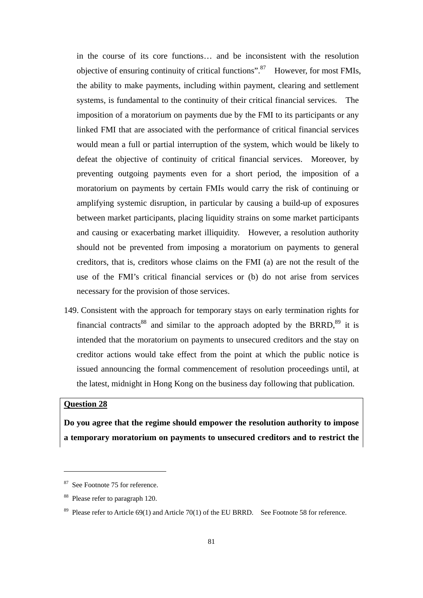in the course of its core functions… and be inconsistent with the resolution objective of ensuring continuity of critical functions".87 However, for most FMIs, the ability to make payments, including within payment, clearing and settlement systems, is fundamental to the continuity of their critical financial services. The imposition of a moratorium on payments due by the FMI to its participants or any linked FMI that are associated with the performance of critical financial services would mean a full or partial interruption of the system, which would be likely to defeat the objective of continuity of critical financial services. Moreover, by preventing outgoing payments even for a short period, the imposition of a moratorium on payments by certain FMIs would carry the risk of continuing or amplifying systemic disruption, in particular by causing a build-up of exposures between market participants, placing liquidity strains on some market participants and causing or exacerbating market illiquidity. However, a resolution authority should not be prevented from imposing a moratorium on payments to general creditors, that is, creditors whose claims on the FMI (a) are not the result of the use of the FMI's critical financial services or (b) do not arise from services necessary for the provision of those services.

149. Consistent with the approach for temporary stays on early termination rights for financial contracts<sup>88</sup> and similar to the approach adopted by the BRRD,<sup>89</sup> it is intended that the moratorium on payments to unsecured creditors and the stay on creditor actions would take effect from the point at which the public notice is issued announcing the formal commencement of resolution proceedings until, at the latest, midnight in Hong Kong on the business day following that publication.

## **Question 28**

**Do you agree that the regime should empower the resolution authority to impose a temporary moratorium on payments to unsecured creditors and to restrict the** 

<sup>&</sup>lt;sup>87</sup> See Footnote 75 for reference.

<sup>88</sup> Please refer to paragraph 120.

<sup>&</sup>lt;sup>89</sup> Please refer to Article 69(1) and Article 70(1) of the EU BRRD. See Footnote 58 for reference.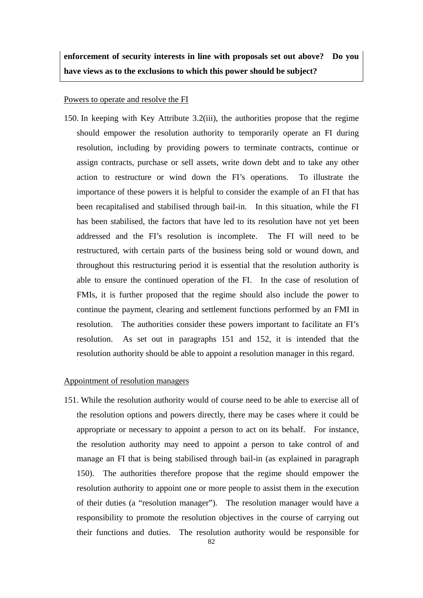**enforcement of security interests in line with proposals set out above? Do you have views as to the exclusions to which this power should be subject?** 

#### Powers to operate and resolve the FI

150. In keeping with Key Attribute 3.2(iii), the authorities propose that the regime should empower the resolution authority to temporarily operate an FI during resolution, including by providing powers to terminate contracts, continue or assign contracts, purchase or sell assets, write down debt and to take any other action to restructure or wind down the FI's operations. To illustrate the importance of these powers it is helpful to consider the example of an FI that has been recapitalised and stabilised through bail-in. In this situation, while the FI has been stabilised, the factors that have led to its resolution have not yet been addressed and the FI's resolution is incomplete. The FI will need to be restructured, with certain parts of the business being sold or wound down, and throughout this restructuring period it is essential that the resolution authority is able to ensure the continued operation of the FI. In the case of resolution of FMIs, it is further proposed that the regime should also include the power to continue the payment, clearing and settlement functions performed by an FMI in resolution. The authorities consider these powers important to facilitate an FI's resolution. As set out in paragraphs 151 and 152, it is intended that the resolution authority should be able to appoint a resolution manager in this regard.

#### Appointment of resolution managers

151. While the resolution authority would of course need to be able to exercise all of the resolution options and powers directly, there may be cases where it could be appropriate or necessary to appoint a person to act on its behalf. For instance, the resolution authority may need to appoint a person to take control of and manage an FI that is being stabilised through bail-in (as explained in paragraph 150). The authorities therefore propose that the regime should empower the resolution authority to appoint one or more people to assist them in the execution of their duties (a "resolution manager"). The resolution manager would have a responsibility to promote the resolution objectives in the course of carrying out their functions and duties. The resolution authority would be responsible for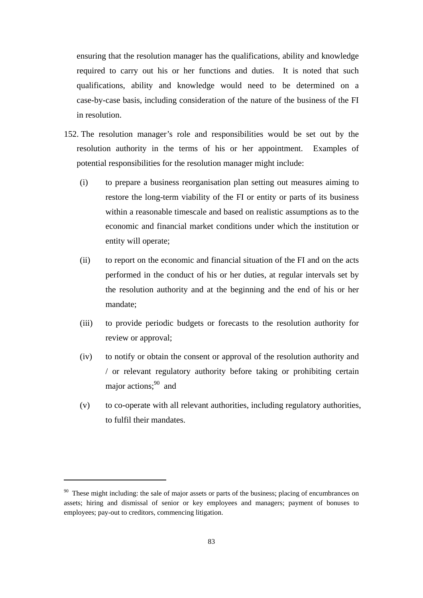ensuring that the resolution manager has the qualifications, ability and knowledge required to carry out his or her functions and duties. It is noted that such qualifications, ability and knowledge would need to be determined on a case-by-case basis, including consideration of the nature of the business of the FI in resolution.

- 152. The resolution manager's role and responsibilities would be set out by the resolution authority in the terms of his or her appointment. Examples of potential responsibilities for the resolution manager might include:
	- (i) to prepare a business reorganisation plan setting out measures aiming to restore the long-term viability of the FI or entity or parts of its business within a reasonable timescale and based on realistic assumptions as to the economic and financial market conditions under which the institution or entity will operate;
	- (ii) to report on the economic and financial situation of the FI and on the acts performed in the conduct of his or her duties, at regular intervals set by the resolution authority and at the beginning and the end of his or her mandate;
	- (iii) to provide periodic budgets or forecasts to the resolution authority for review or approval;
	- (iv) to notify or obtain the consent or approval of the resolution authority and / or relevant regulatory authority before taking or prohibiting certain major actions:<sup>90</sup> and
	- (v) to co-operate with all relevant authorities, including regulatory authorities, to fulfil their mandates.

<sup>&</sup>lt;sup>90</sup> These might including: the sale of major assets or parts of the business; placing of encumbrances on assets; hiring and dismissal of senior or key employees and managers; payment of bonuses to employees; pay-out to creditors, commencing litigation.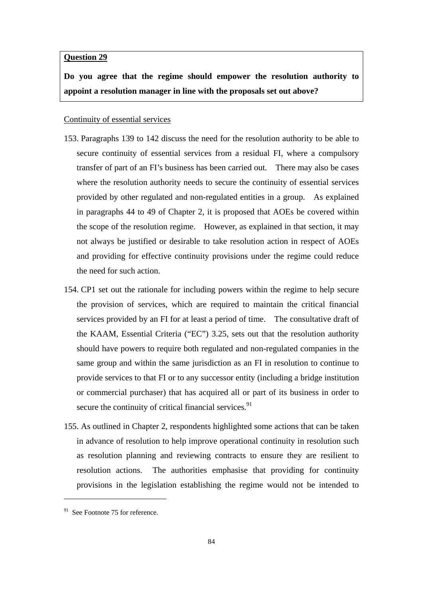#### **Question 29**

**Do you agree that the regime should empower the resolution authority to appoint a resolution manager in line with the proposals set out above?** 

### Continuity of essential services

- 153. Paragraphs 139 to 142 discuss the need for the resolution authority to be able to secure continuity of essential services from a residual FI, where a compulsory transfer of part of an FI's business has been carried out. There may also be cases where the resolution authority needs to secure the continuity of essential services provided by other regulated and non-regulated entities in a group. As explained in paragraphs 44 to 49 of Chapter 2, it is proposed that AOEs be covered within the scope of the resolution regime. However, as explained in that section, it may not always be justified or desirable to take resolution action in respect of AOEs and providing for effective continuity provisions under the regime could reduce the need for such action.
- 154. CP1 set out the rationale for including powers within the regime to help secure the provision of services, which are required to maintain the critical financial services provided by an FI for at least a period of time. The consultative draft of the KAAM, Essential Criteria ("EC") 3.25, sets out that the resolution authority should have powers to require both regulated and non-regulated companies in the same group and within the same jurisdiction as an FI in resolution to continue to provide services to that FI or to any successor entity (including a bridge institution or commercial purchaser) that has acquired all or part of its business in order to secure the continuity of critical financial services.<sup>91</sup>
- 155. As outlined in Chapter 2, respondents highlighted some actions that can be taken in advance of resolution to help improve operational continuity in resolution such as resolution planning and reviewing contracts to ensure they are resilient to resolution actions. The authorities emphasise that providing for continuity provisions in the legislation establishing the regime would not be intended to

 $91$  See Footnote 75 for reference.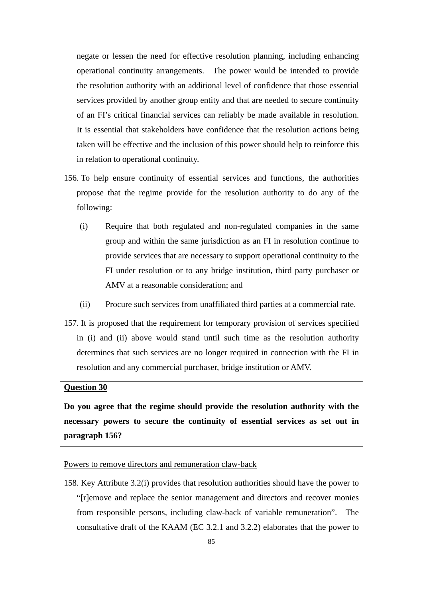negate or lessen the need for effective resolution planning, including enhancing operational continuity arrangements. The power would be intended to provide the resolution authority with an additional level of confidence that those essential services provided by another group entity and that are needed to secure continuity of an FI's critical financial services can reliably be made available in resolution. It is essential that stakeholders have confidence that the resolution actions being taken will be effective and the inclusion of this power should help to reinforce this in relation to operational continuity.

- 156. To help ensure continuity of essential services and functions, the authorities propose that the regime provide for the resolution authority to do any of the following:
	- (i) Require that both regulated and non-regulated companies in the same group and within the same jurisdiction as an FI in resolution continue to provide services that are necessary to support operational continuity to the FI under resolution or to any bridge institution, third party purchaser or AMV at a reasonable consideration; and
	- (ii) Procure such services from unaffiliated third parties at a commercial rate.
- 157. It is proposed that the requirement for temporary provision of services specified in (i) and (ii) above would stand until such time as the resolution authority determines that such services are no longer required in connection with the FI in resolution and any commercial purchaser, bridge institution or AMV.

## **Question 30**

**Do you agree that the regime should provide the resolution authority with the necessary powers to secure the continuity of essential services as set out in paragraph 156?** 

#### Powers to remove directors and remuneration claw-back

158. Key Attribute 3.2(i) provides that resolution authorities should have the power to "[r]emove and replace the senior management and directors and recover monies from responsible persons, including claw-back of variable remuneration". The consultative draft of the KAAM (EC 3.2.1 and 3.2.2) elaborates that the power to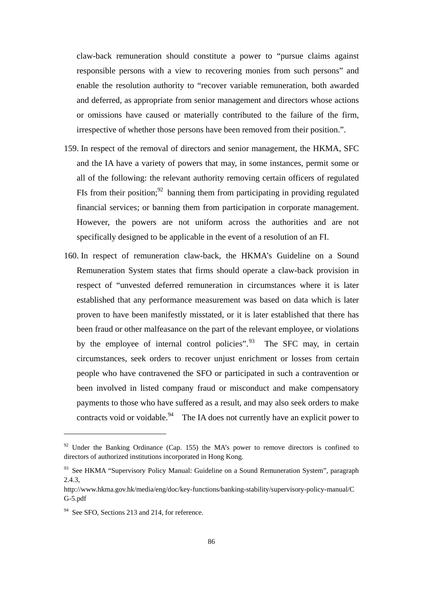claw-back remuneration should constitute a power to "pursue claims against responsible persons with a view to recovering monies from such persons" and enable the resolution authority to "recover variable remuneration, both awarded and deferred, as appropriate from senior management and directors whose actions or omissions have caused or materially contributed to the failure of the firm, irrespective of whether those persons have been removed from their position.".

- 159. In respect of the removal of directors and senior management, the HKMA, SFC and the IA have a variety of powers that may, in some instances, permit some or all of the following: the relevant authority removing certain officers of regulated FIs from their position;<sup>92</sup> banning them from participating in providing regulated financial services; or banning them from participation in corporate management. However, the powers are not uniform across the authorities and are not specifically designed to be applicable in the event of a resolution of an FI.
- 160. In respect of remuneration claw-back, the HKMA's Guideline on a Sound Remuneration System states that firms should operate a claw-back provision in respect of "unvested deferred remuneration in circumstances where it is later established that any performance measurement was based on data which is later proven to have been manifestly misstated, or it is later established that there has been fraud or other malfeasance on the part of the relevant employee, or violations by the employee of internal control policies". The SFC may, in certain circumstances, seek orders to recover unjust enrichment or losses from certain people who have contravened the SFO or participated in such a contravention or been involved in listed company fraud or misconduct and make compensatory payments to those who have suffered as a result, and may also seek orders to make contracts void or voidable.<sup>94</sup> The IA does not currently have an explicit power to

 $92$  Under the Banking Ordinance (Cap. 155) the MA's power to remove directors is confined to directors of authorized institutions incorporated in Hong Kong.

<sup>&</sup>lt;sup>93</sup> See HKMA "Supervisory Policy Manual: Guideline on a Sound Remuneration System", paragraph 2.4.3,

http://www.hkma.gov.hk/media/eng/doc/key-functions/banking-stability/supervisory-policy-manual/C G-5.pdf

<sup>&</sup>lt;sup>94</sup> See SFO, Sections 213 and 214, for reference.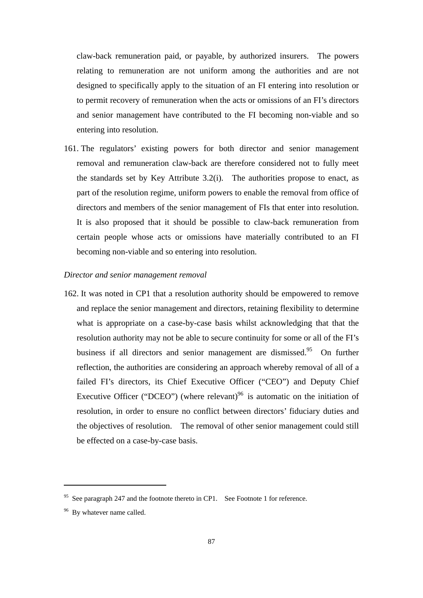claw-back remuneration paid, or payable, by authorized insurers. The powers relating to remuneration are not uniform among the authorities and are not designed to specifically apply to the situation of an FI entering into resolution or to permit recovery of remuneration when the acts or omissions of an FI's directors and senior management have contributed to the FI becoming non-viable and so entering into resolution.

161. The regulators' existing powers for both director and senior management removal and remuneration claw-back are therefore considered not to fully meet the standards set by Key Attribute 3.2(i). The authorities propose to enact, as part of the resolution regime, uniform powers to enable the removal from office of directors and members of the senior management of FIs that enter into resolution. It is also proposed that it should be possible to claw-back remuneration from certain people whose acts or omissions have materially contributed to an FI becoming non-viable and so entering into resolution.

#### *Director and senior management removal*

162. It was noted in CP1 that a resolution authority should be empowered to remove and replace the senior management and directors, retaining flexibility to determine what is appropriate on a case-by-case basis whilst acknowledging that that the resolution authority may not be able to secure continuity for some or all of the FI's business if all directors and senior management are dismissed.<sup>95</sup> On further reflection, the authorities are considering an approach whereby removal of all of a failed FI's directors, its Chief Executive Officer ("CEO") and Deputy Chief Executive Officer ("DCEO") (where relevant)<sup>96</sup> is automatic on the initiation of resolution, in order to ensure no conflict between directors' fiduciary duties and the objectives of resolution. The removal of other senior management could still be effected on a case-by-case basis.

<sup>&</sup>lt;sup>95</sup> See paragraph 247 and the footnote thereto in CP1. See Footnote 1 for reference.

<sup>&</sup>lt;sup>96</sup> By whatever name called.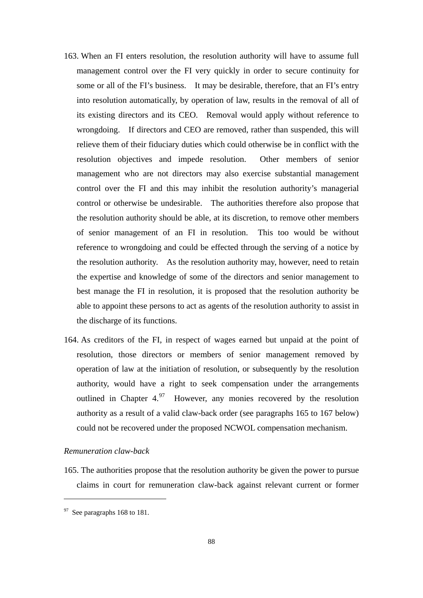- 163. When an FI enters resolution, the resolution authority will have to assume full management control over the FI very quickly in order to secure continuity for some or all of the FI's business. It may be desirable, therefore, that an FI's entry into resolution automatically, by operation of law, results in the removal of all of its existing directors and its CEO. Removal would apply without reference to wrongdoing. If directors and CEO are removed, rather than suspended, this will relieve them of their fiduciary duties which could otherwise be in conflict with the resolution objectives and impede resolution. Other members of senior management who are not directors may also exercise substantial management control over the FI and this may inhibit the resolution authority's managerial control or otherwise be undesirable. The authorities therefore also propose that the resolution authority should be able, at its discretion, to remove other members of senior management of an FI in resolution. This too would be without reference to wrongdoing and could be effected through the serving of a notice by the resolution authority. As the resolution authority may, however, need to retain the expertise and knowledge of some of the directors and senior management to best manage the FI in resolution, it is proposed that the resolution authority be able to appoint these persons to act as agents of the resolution authority to assist in the discharge of its functions.
- 164. As creditors of the FI, in respect of wages earned but unpaid at the point of resolution, those directors or members of senior management removed by operation of law at the initiation of resolution, or subsequently by the resolution authority, would have a right to seek compensation under the arrangements outlined in Chapter  $4.97$  However, any monies recovered by the resolution authority as a result of a valid claw-back order (see paragraphs 165 to 167 below) could not be recovered under the proposed NCWOL compensation mechanism.

#### *Remuneration claw-back*

165. The authorities propose that the resolution authority be given the power to pursue claims in court for remuneration claw-back against relevant current or former

 $97$  See paragraphs 168 to 181.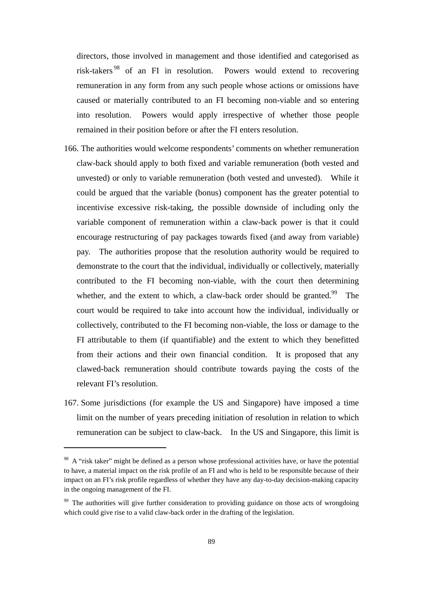directors, those involved in management and those identified and categorised as risk-takers 98 of an FI in resolution. Powers would extend to recovering remuneration in any form from any such people whose actions or omissions have caused or materially contributed to an FI becoming non-viable and so entering into resolution. Powers would apply irrespective of whether those people remained in their position before or after the FI enters resolution.

- 166. The authorities would welcome respondents' comments on whether remuneration claw-back should apply to both fixed and variable remuneration (both vested and unvested) or only to variable remuneration (both vested and unvested). While it could be argued that the variable (bonus) component has the greater potential to incentivise excessive risk-taking, the possible downside of including only the variable component of remuneration within a claw-back power is that it could encourage restructuring of pay packages towards fixed (and away from variable) pay. The authorities propose that the resolution authority would be required to demonstrate to the court that the individual, individually or collectively, materially contributed to the FI becoming non-viable, with the court then determining whether, and the extent to which, a claw-back order should be granted.<sup>99</sup> The court would be required to take into account how the individual, individually or collectively, contributed to the FI becoming non-viable, the loss or damage to the FI attributable to them (if quantifiable) and the extent to which they benefitted from their actions and their own financial condition. It is proposed that any clawed-back remuneration should contribute towards paying the costs of the relevant FI's resolution.
- 167. Some jurisdictions (for example the US and Singapore) have imposed a time limit on the number of years preceding initiation of resolution in relation to which remuneration can be subject to claw-back. In the US and Singapore, this limit is

<sup>&</sup>lt;sup>98</sup> A "risk taker" might be defined as a person whose professional activities have, or have the potential to have, a material impact on the risk profile of an FI and who is held to be responsible because of their impact on an FI's risk profile regardless of whether they have any day-to-day decision-making capacity in the ongoing management of the FI.

<sup>&</sup>lt;sup>99</sup> The authorities will give further consideration to providing guidance on those acts of wrongdoing which could give rise to a valid claw-back order in the drafting of the legislation.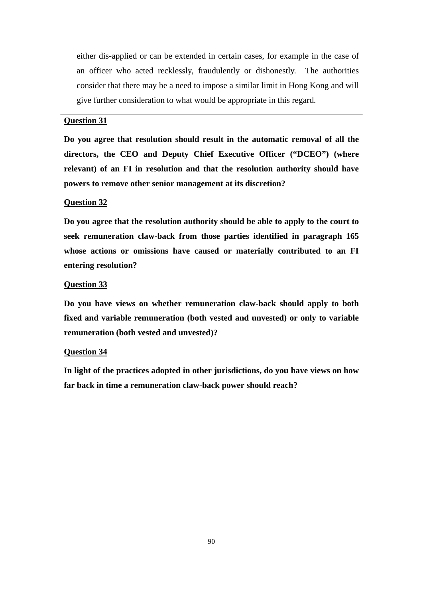either dis-applied or can be extended in certain cases, for example in the case of an officer who acted recklessly, fraudulently or dishonestly. The authorities consider that there may be a need to impose a similar limit in Hong Kong and will give further consideration to what would be appropriate in this regard.

# **Question 31**

**Do you agree that resolution should result in the automatic removal of all the directors, the CEO and Deputy Chief Executive Officer ("DCEO") (where relevant) of an FI in resolution and that the resolution authority should have powers to remove other senior management at its discretion?** 

## **Question 32**

**Do you agree that the resolution authority should be able to apply to the court to seek remuneration claw-back from those parties identified in paragraph 165 whose actions or omissions have caused or materially contributed to an FI entering resolution?** 

## **Question 33**

**Do you have views on whether remuneration claw-back should apply to both fixed and variable remuneration (both vested and unvested) or only to variable remuneration (both vested and unvested)?** 

## **Question 34**

**In light of the practices adopted in other jurisdictions, do you have views on how far back in time a remuneration claw-back power should reach?**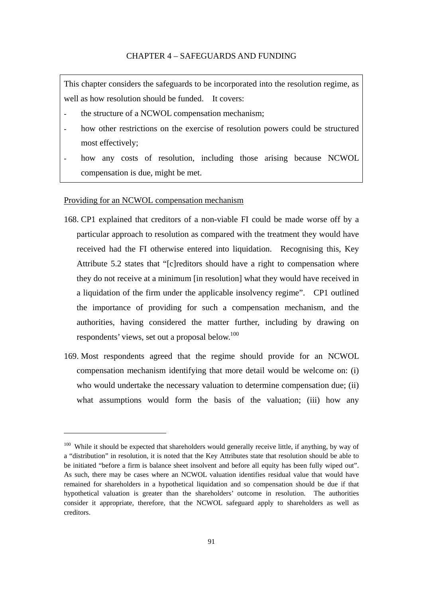This chapter considers the safeguards to be incorporated into the resolution regime, as well as how resolution should be funded. It covers:

- the structure of a NCWOL compensation mechanism;
- how other restrictions on the exercise of resolution powers could be structured most effectively;
- how any costs of resolution, including those arising because NCWOL compensation is due, might be met.

## Providing for an NCWOL compensation mechanism

- 168. CP1 explained that creditors of a non-viable FI could be made worse off by a particular approach to resolution as compared with the treatment they would have received had the FI otherwise entered into liquidation. Recognising this, Key Attribute 5.2 states that "[c]reditors should have a right to compensation where they do not receive at a minimum [in resolution] what they would have received in a liquidation of the firm under the applicable insolvency regime". CP1 outlined the importance of providing for such a compensation mechanism, and the authorities, having considered the matter further, including by drawing on respondents' views, set out a proposal below.<sup>100</sup>
- 169. Most respondents agreed that the regime should provide for an NCWOL compensation mechanism identifying that more detail would be welcome on: (i) who would undertake the necessary valuation to determine compensation due; (ii) what assumptions would form the basis of the valuation; (iii) how any

<sup>&</sup>lt;sup>100</sup> While it should be expected that shareholders would generally receive little, if anything, by way of a "distribution" in resolution, it is noted that the Key Attributes state that resolution should be able to be initiated "before a firm is balance sheet insolvent and before all equity has been fully wiped out". As such, there may be cases where an NCWOL valuation identifies residual value that would have remained for shareholders in a hypothetical liquidation and so compensation should be due if that hypothetical valuation is greater than the shareholders' outcome in resolution. The authorities consider it appropriate, therefore, that the NCWOL safeguard apply to shareholders as well as creditors.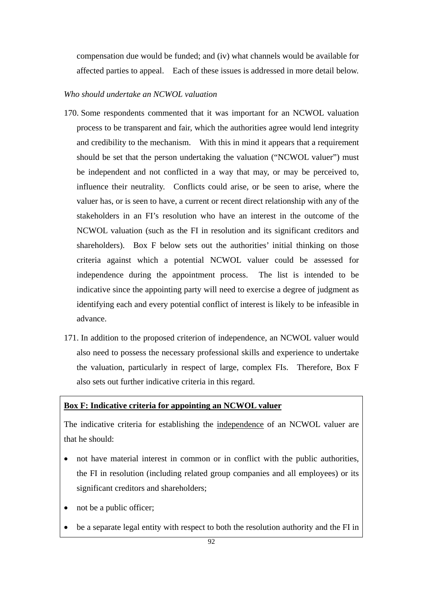compensation due would be funded; and (iv) what channels would be available for affected parties to appeal. Each of these issues is addressed in more detail below.

## *Who should undertake an NCWOL valuation*

- 170. Some respondents commented that it was important for an NCWOL valuation process to be transparent and fair, which the authorities agree would lend integrity and credibility to the mechanism. With this in mind it appears that a requirement should be set that the person undertaking the valuation ("NCWOL valuer") must be independent and not conflicted in a way that may, or may be perceived to, influence their neutrality. Conflicts could arise, or be seen to arise, where the valuer has, or is seen to have, a current or recent direct relationship with any of the stakeholders in an FI's resolution who have an interest in the outcome of the NCWOL valuation (such as the FI in resolution and its significant creditors and shareholders). Box F below sets out the authorities' initial thinking on those criteria against which a potential NCWOL valuer could be assessed for independence during the appointment process. The list is intended to be indicative since the appointing party will need to exercise a degree of judgment as identifying each and every potential conflict of interest is likely to be infeasible in advance.
- 171. In addition to the proposed criterion of independence, an NCWOL valuer would also need to possess the necessary professional skills and experience to undertake the valuation, particularly in respect of large, complex FIs. Therefore, Box F also sets out further indicative criteria in this regard.

# **Box F: Indicative criteria for appointing an NCWOL valuer**

The indicative criteria for establishing the independence of an NCWOL valuer are that he should:

- not have material interest in common or in conflict with the public authorities, the FI in resolution (including related group companies and all employees) or its significant creditors and shareholders;
- not be a public officer;
- be a separate legal entity with respect to both the resolution authority and the FI in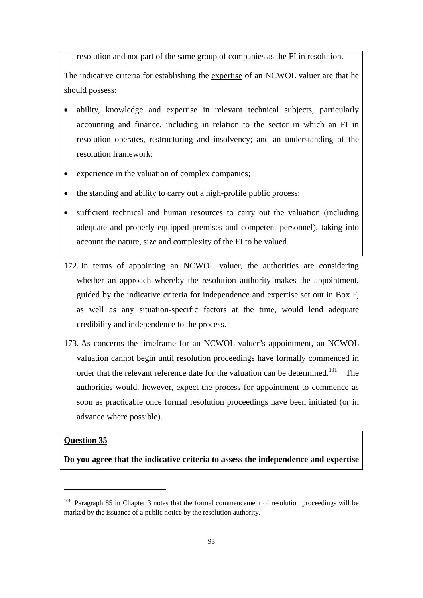resolution and not part of the same group of companies as the FI in resolution.

The indicative criteria for establishing the expertise of an NCWOL valuer are that he should possess:

- ability, knowledge and expertise in relevant technical subjects, particularly accounting and finance, including in relation to the sector in which an FI in resolution operates, restructuring and insolvency; and an understanding of the resolution framework;
- experience in the valuation of complex companies;
- the standing and ability to carry out a high-profile public process;
- sufficient technical and human resources to carry out the valuation (including adequate and properly equipped premises and competent personnel), taking into account the nature, size and complexity of the FI to be valued.
- 172. In terms of appointing an NCWOL valuer, the authorities are considering whether an approach whereby the resolution authority makes the appointment, guided by the indicative criteria for independence and expertise set out in Box F, as well as any situation-specific factors at the time, would lend adequate credibility and independence to the process.
- 173. As concerns the timeframe for an NCWOL valuer's appointment, an NCWOL valuation cannot begin until resolution proceedings have formally commenced in order that the relevant reference date for the valuation can be determined.<sup>101</sup> The authorities would, however, expect the process for appointment to commence as soon as practicable once formal resolution proceedings have been initiated (or in advance where possible).

## **Question 35**

**Do you agree that the indicative criteria to assess the independence and expertise** 

<sup>&</sup>lt;sup>101</sup> Paragraph 85 in Chapter 3 notes that the formal commencement of resolution proceedings will be marked by the issuance of a public notice by the resolution authority.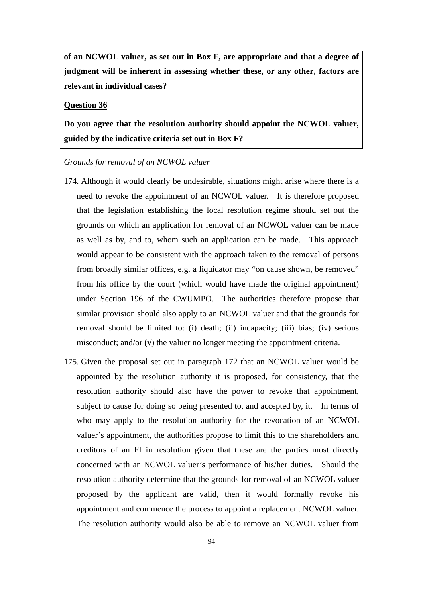**of an NCWOL valuer, as set out in Box F, are appropriate and that a degree of judgment will be inherent in assessing whether these, or any other, factors are relevant in individual cases?** 

## **Question 36**

**Do you agree that the resolution authority should appoint the NCWOL valuer, guided by the indicative criteria set out in Box F?** 

#### *Grounds for removal of an NCWOL valuer*

- 174. Although it would clearly be undesirable, situations might arise where there is a need to revoke the appointment of an NCWOL valuer. It is therefore proposed that the legislation establishing the local resolution regime should set out the grounds on which an application for removal of an NCWOL valuer can be made as well as by, and to, whom such an application can be made. This approach would appear to be consistent with the approach taken to the removal of persons from broadly similar offices, e.g. a liquidator may "on cause shown, be removed" from his office by the court (which would have made the original appointment) under Section 196 of the CWUMPO. The authorities therefore propose that similar provision should also apply to an NCWOL valuer and that the grounds for removal should be limited to: (i) death; (ii) incapacity; (iii) bias; (iv) serious misconduct; and/or (v) the valuer no longer meeting the appointment criteria.
- 175. Given the proposal set out in paragraph 172 that an NCWOL valuer would be appointed by the resolution authority it is proposed, for consistency, that the resolution authority should also have the power to revoke that appointment, subject to cause for doing so being presented to, and accepted by, it. In terms of who may apply to the resolution authority for the revocation of an NCWOL valuer's appointment, the authorities propose to limit this to the shareholders and creditors of an FI in resolution given that these are the parties most directly concerned with an NCWOL valuer's performance of his/her duties. Should the resolution authority determine that the grounds for removal of an NCWOL valuer proposed by the applicant are valid, then it would formally revoke his appointment and commence the process to appoint a replacement NCWOL valuer. The resolution authority would also be able to remove an NCWOL valuer from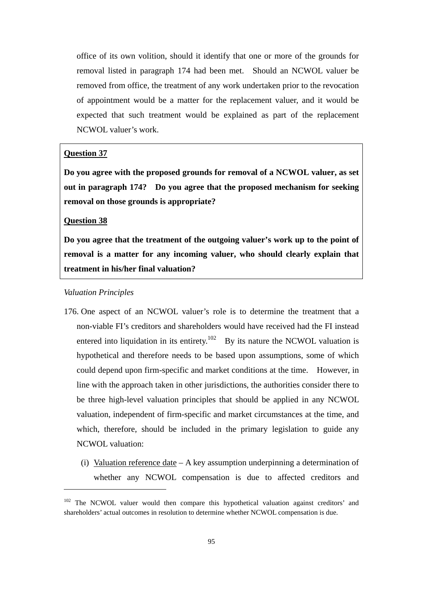office of its own volition, should it identify that one or more of the grounds for removal listed in paragraph 174 had been met. Should an NCWOL valuer be removed from office, the treatment of any work undertaken prior to the revocation of appointment would be a matter for the replacement valuer, and it would be expected that such treatment would be explained as part of the replacement NCWOL valuer's work.

## **Question 37**

**Do you agree with the proposed grounds for removal of a NCWOL valuer, as set out in paragraph 174? Do you agree that the proposed mechanism for seeking removal on those grounds is appropriate?** 

#### **Question 38**

**Do you agree that the treatment of the outgoing valuer's work up to the point of removal is a matter for any incoming valuer, who should clearly explain that treatment in his/her final valuation?** 

#### *Valuation Principles*

- 176. One aspect of an NCWOL valuer's role is to determine the treatment that a non-viable FI's creditors and shareholders would have received had the FI instead entered into liquidation in its entirety.<sup>102</sup> By its nature the NCWOL valuation is hypothetical and therefore needs to be based upon assumptions, some of which could depend upon firm-specific and market conditions at the time. However, in line with the approach taken in other jurisdictions, the authorities consider there to be three high-level valuation principles that should be applied in any NCWOL valuation, independent of firm-specific and market circumstances at the time, and which, therefore, should be included in the primary legislation to guide any NCWOL valuation:
	- (i) Valuation reference date A key assumption underpinning a determination of whether any NCWOL compensation is due to affected creditors and

<sup>&</sup>lt;sup>102</sup> The NCWOL valuer would then compare this hypothetical valuation against creditors' and shareholders' actual outcomes in resolution to determine whether NCWOL compensation is due.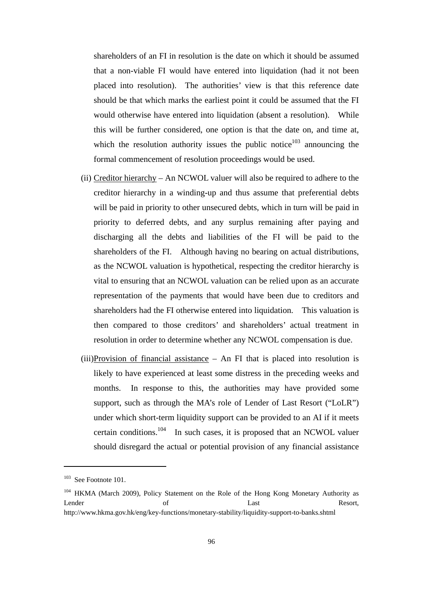shareholders of an FI in resolution is the date on which it should be assumed that a non-viable FI would have entered into liquidation (had it not been placed into resolution). The authorities' view is that this reference date should be that which marks the earliest point it could be assumed that the FI would otherwise have entered into liquidation (absent a resolution). While this will be further considered, one option is that the date on, and time at, which the resolution authority issues the public notice<sup>103</sup> announcing the formal commencement of resolution proceedings would be used.

- (ii) Creditor hierarchy An NCWOL valuer will also be required to adhere to the creditor hierarchy in a winding-up and thus assume that preferential debts will be paid in priority to other unsecured debts, which in turn will be paid in priority to deferred debts, and any surplus remaining after paying and discharging all the debts and liabilities of the FI will be paid to the shareholders of the FI. Although having no bearing on actual distributions, as the NCWOL valuation is hypothetical, respecting the creditor hierarchy is vital to ensuring that an NCWOL valuation can be relied upon as an accurate representation of the payments that would have been due to creditors and shareholders had the FI otherwise entered into liquidation. This valuation is then compared to those creditors' and shareholders' actual treatment in resolution in order to determine whether any NCWOL compensation is due.
- $(iii)$ Provision of financial assistance An FI that is placed into resolution is likely to have experienced at least some distress in the preceding weeks and months. In response to this, the authorities may have provided some support, such as through the MA's role of Lender of Last Resort ("LoLR") under which short-term liquidity support can be provided to an AI if it meets certain conditions.<sup>104</sup> In such cases, it is proposed that an NCWOL valuer should disregard the actual or potential provision of any financial assistance

<sup>&</sup>lt;sup>103</sup> See Footnote 101.

<sup>&</sup>lt;sup>104</sup> HKMA (March 2009), Policy Statement on the Role of the Hong Kong Monetary Authority as Lender **Contract Contract Contract Contract Contract Contract Contract Contract Contract Contract Contract Contract Contract Contract Contract Contract Contract Contract Contract Contract Contract Contract Contract Contrac** http://www.hkma.gov.hk/eng/key-functions/monetary-stability/liquidity-support-to-banks.shtml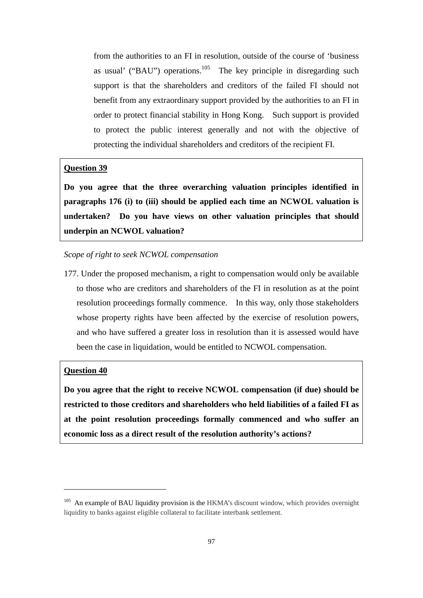from the authorities to an FI in resolution, outside of the course of 'business as usual' ("BAU") operations.<sup>105</sup> The key principle in disregarding such support is that the shareholders and creditors of the failed FI should not benefit from any extraordinary support provided by the authorities to an FI in order to protect financial stability in Hong Kong. Such support is provided to protect the public interest generally and not with the objective of protecting the individual shareholders and creditors of the recipient FI.

## **Question 39**

**Do you agree that the three overarching valuation principles identified in paragraphs 176 (i) to (iii) should be applied each time an NCWOL valuation is undertaken? Do you have views on other valuation principles that should underpin an NCWOL valuation?** 

#### *Scope of right to seek NCWOL compensation*

177. Under the proposed mechanism, a right to compensation would only be available to those who are creditors and shareholders of the FI in resolution as at the point resolution proceedings formally commence. In this way, only those stakeholders whose property rights have been affected by the exercise of resolution powers, and who have suffered a greater loss in resolution than it is assessed would have been the case in liquidation, would be entitled to NCWOL compensation.

## **Question 40**

**Do you agree that the right to receive NCWOL compensation (if due) should be restricted to those creditors and shareholders who held liabilities of a failed FI as at the point resolution proceedings formally commenced and who suffer an economic loss as a direct result of the resolution authority's actions?** 

<sup>&</sup>lt;sup>105</sup> An example of BAU liquidity provision is the HKMA's discount window, which provides overnight liquidity to banks against eligible collateral to facilitate interbank settlement.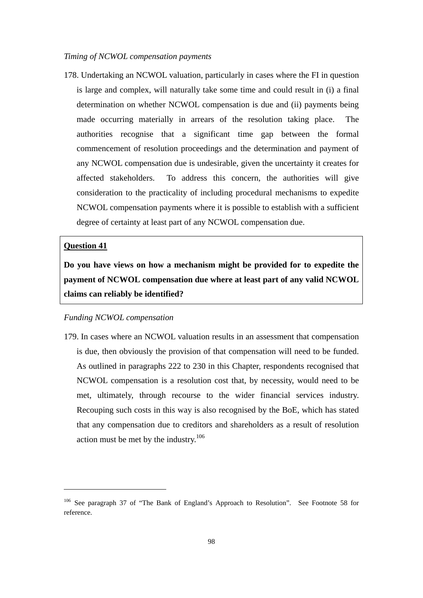## *Timing of NCWOL compensation payments*

178. Undertaking an NCWOL valuation, particularly in cases where the FI in question is large and complex, will naturally take some time and could result in (i) a final determination on whether NCWOL compensation is due and (ii) payments being made occurring materially in arrears of the resolution taking place. The authorities recognise that a significant time gap between the formal commencement of resolution proceedings and the determination and payment of any NCWOL compensation due is undesirable, given the uncertainty it creates for affected stakeholders. To address this concern, the authorities will give consideration to the practicality of including procedural mechanisms to expedite NCWOL compensation payments where it is possible to establish with a sufficient degree of certainty at least part of any NCWOL compensation due.

#### **Question 41**

**Do you have views on how a mechanism might be provided for to expedite the payment of NCWOL compensation due where at least part of any valid NCWOL claims can reliably be identified?** 

## *Funding NCWOL compensation*

179. In cases where an NCWOL valuation results in an assessment that compensation is due, then obviously the provision of that compensation will need to be funded. As outlined in paragraphs 222 to 230 in this Chapter, respondents recognised that NCWOL compensation is a resolution cost that, by necessity, would need to be met, ultimately, through recourse to the wider financial services industry. Recouping such costs in this way is also recognised by the BoE, which has stated that any compensation due to creditors and shareholders as a result of resolution action must be met by the industry.106

<sup>106</sup> See paragraph 37 of "The Bank of England's Approach to Resolution". See Footnote 58 for reference.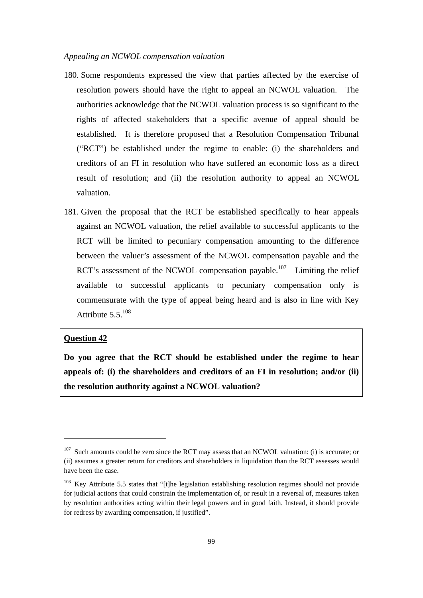## *Appealing an NCWOL compensation valuation*

- 180. Some respondents expressed the view that parties affected by the exercise of resolution powers should have the right to appeal an NCWOL valuation. The authorities acknowledge that the NCWOL valuation process is so significant to the rights of affected stakeholders that a specific avenue of appeal should be established. It is therefore proposed that a Resolution Compensation Tribunal ("RCT") be established under the regime to enable: (i) the shareholders and creditors of an FI in resolution who have suffered an economic loss as a direct result of resolution; and (ii) the resolution authority to appeal an NCWOL valuation.
- 181. Given the proposal that the RCT be established specifically to hear appeals against an NCWOL valuation, the relief available to successful applicants to the RCT will be limited to pecuniary compensation amounting to the difference between the valuer's assessment of the NCWOL compensation payable and the RCT's assessment of the NCWOL compensation payable.<sup>107</sup> Limiting the relief available to successful applicants to pecuniary compensation only is commensurate with the type of appeal being heard and is also in line with Key Attribute  $5.5.^{108}$

#### **Question 42**

**Do you agree that the RCT should be established under the regime to hear appeals of: (i) the shareholders and creditors of an FI in resolution; and/or (ii) the resolution authority against a NCWOL valuation?** 

 $107$  Such amounts could be zero since the RCT may assess that an NCWOL valuation: (i) is accurate; or (ii) assumes a greater return for creditors and shareholders in liquidation than the RCT assesses would have been the case.

<sup>&</sup>lt;sup>108</sup> Key Attribute 5.5 states that "[t]he legislation establishing resolution regimes should not provide for judicial actions that could constrain the implementation of, or result in a reversal of, measures taken by resolution authorities acting within their legal powers and in good faith. Instead, it should provide for redress by awarding compensation, if justified".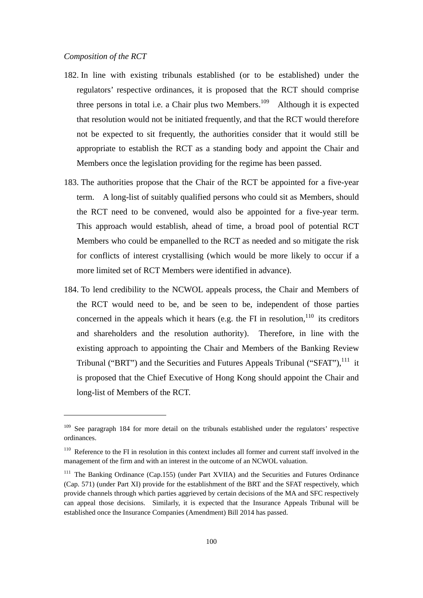- 182. In line with existing tribunals established (or to be established) under the regulators' respective ordinances, it is proposed that the RCT should comprise three persons in total i.e. a Chair plus two Members.<sup>109</sup> Although it is expected that resolution would not be initiated frequently, and that the RCT would therefore not be expected to sit frequently, the authorities consider that it would still be appropriate to establish the RCT as a standing body and appoint the Chair and Members once the legislation providing for the regime has been passed.
- 183. The authorities propose that the Chair of the RCT be appointed for a five-year term. A long-list of suitably qualified persons who could sit as Members, should the RCT need to be convened, would also be appointed for a five-year term. This approach would establish, ahead of time, a broad pool of potential RCT Members who could be empanelled to the RCT as needed and so mitigate the risk for conflicts of interest crystallising (which would be more likely to occur if a more limited set of RCT Members were identified in advance).
- 184. To lend credibility to the NCWOL appeals process, the Chair and Members of the RCT would need to be, and be seen to be, independent of those parties concerned in the appeals which it hears (e.g. the FI in resolution, $110$  its creditors and shareholders and the resolution authority). Therefore, in line with the existing approach to appointing the Chair and Members of the Banking Review Tribunal ("BRT") and the Securities and Futures Appeals Tribunal ("SFAT"), $^{111}$  it is proposed that the Chief Executive of Hong Kong should appoint the Chair and long-list of Members of the RCT.

<sup>&</sup>lt;sup>109</sup> See paragraph 184 for more detail on the tribunals established under the regulators' respective ordinances.

<sup>&</sup>lt;sup>110</sup> Reference to the FI in resolution in this context includes all former and current staff involved in the management of the firm and with an interest in the outcome of an NCWOL valuation.

<sup>&</sup>lt;sup>111</sup> The Banking Ordinance (Cap.155) (under Part XVIIA) and the Securities and Futures Ordinance (Cap. 571) (under Part XI) provide for the establishment of the BRT and the SFAT respectively, which provide channels through which parties aggrieved by certain decisions of the MA and SFC respectively can appeal those decisions. Similarly, it is expected that the Insurance Appeals Tribunal will be established once the Insurance Companies (Amendment) Bill 2014 has passed.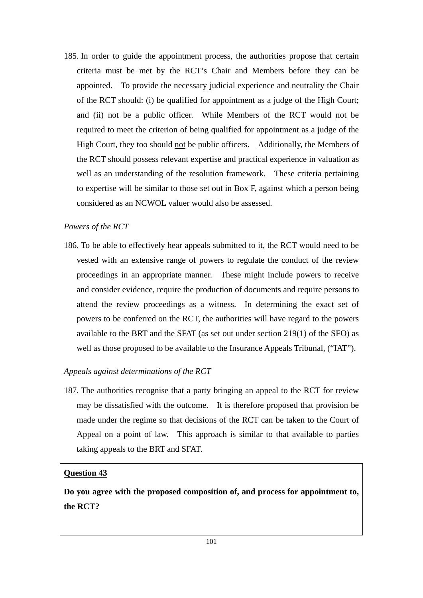185. In order to guide the appointment process, the authorities propose that certain criteria must be met by the RCT's Chair and Members before they can be appointed. To provide the necessary judicial experience and neutrality the Chair of the RCT should: (i) be qualified for appointment as a judge of the High Court; and (ii) not be a public officer. While Members of the RCT would not be required to meet the criterion of being qualified for appointment as a judge of the High Court, they too should not be public officers. Additionally, the Members of the RCT should possess relevant expertise and practical experience in valuation as well as an understanding of the resolution framework. These criteria pertaining to expertise will be similar to those set out in Box F, against which a person being considered as an NCWOL valuer would also be assessed.

## *Powers of the RCT*

186. To be able to effectively hear appeals submitted to it, the RCT would need to be vested with an extensive range of powers to regulate the conduct of the review proceedings in an appropriate manner. These might include powers to receive and consider evidence, require the production of documents and require persons to attend the review proceedings as a witness. In determining the exact set of powers to be conferred on the RCT, the authorities will have regard to the powers available to the BRT and the SFAT (as set out under section 219(1) of the SFO) as well as those proposed to be available to the Insurance Appeals Tribunal, ("IAT").

## *Appeals against determinations of the RCT*

187. The authorities recognise that a party bringing an appeal to the RCT for review may be dissatisfied with the outcome. It is therefore proposed that provision be made under the regime so that decisions of the RCT can be taken to the Court of Appeal on a point of law. This approach is similar to that available to parties taking appeals to the BRT and SFAT*.*

# **Question 43**

**Do you agree with the proposed composition of, and process for appointment to, the RCT?**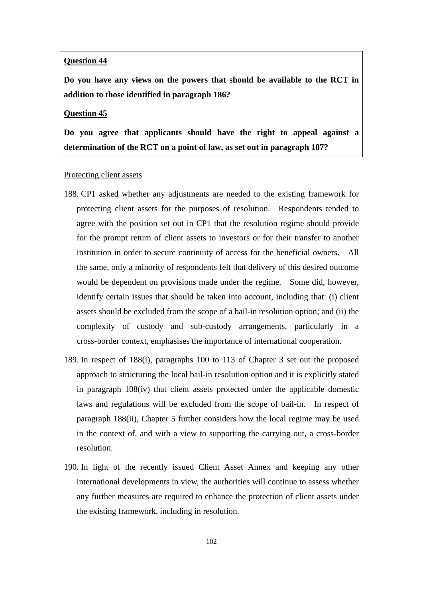## **Question 44**

**Do you have any views on the powers that should be available to the RCT in addition to those identified in paragraph 186?** 

#### **Question 45**

**Do you agree that applicants should have the right to appeal against a determination of the RCT on a point of law, as set out in paragraph 187?** 

#### Protecting client assets

- 188. CP1 asked whether any adjustments are needed to the existing framework for protecting client assets for the purposes of resolution. Respondents tended to agree with the position set out in CP1 that the resolution regime should provide for the prompt return of client assets to investors or for their transfer to another institution in order to secure continuity of access for the beneficial owners. All the same, only a minority of respondents felt that delivery of this desired outcome would be dependent on provisions made under the regime. Some did, however, identify certain issues that should be taken into account, including that: (i) client assets should be excluded from the scope of a bail-in resolution option; and (ii) the complexity of custody and sub-custody arrangements, particularly in a cross-border context, emphasises the importance of international cooperation.
- 189. In respect of 188(i), paragraphs 100 to 113 of Chapter 3 set out the proposed approach to structuring the local bail-in resolution option and it is explicitly stated in paragraph 108(iv) that client assets protected under the applicable domestic laws and regulations will be excluded from the scope of bail-in. In respect of paragraph 188(ii), Chapter 5 further considers how the local regime may be used in the context of, and with a view to supporting the carrying out, a cross-border resolution.
- 190. In light of the recently issued Client Asset Annex and keeping any other international developments in view, the authorities will continue to assess whether any further measures are required to enhance the protection of client assets under the existing framework, including in resolution.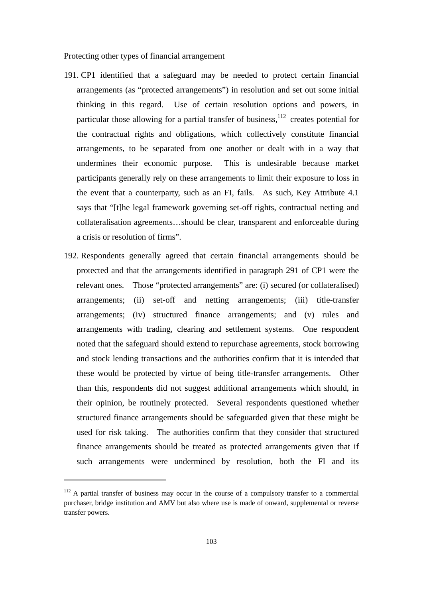#### Protecting other types of financial arrangement

- 191. CP1 identified that a safeguard may be needed to protect certain financial arrangements (as "protected arrangements") in resolution and set out some initial thinking in this regard. Use of certain resolution options and powers, in particular those allowing for a partial transfer of business, $112$  creates potential for the contractual rights and obligations, which collectively constitute financial arrangements, to be separated from one another or dealt with in a way that undermines their economic purpose. This is undesirable because market participants generally rely on these arrangements to limit their exposure to loss in the event that a counterparty, such as an FI, fails. As such, Key Attribute 4.1 says that "[t]he legal framework governing set-off rights, contractual netting and collateralisation agreements…should be clear, transparent and enforceable during a crisis or resolution of firms".
- 192. Respondents generally agreed that certain financial arrangements should be protected and that the arrangements identified in paragraph 291 of CP1 were the relevant ones. Those "protected arrangements" are: (i) secured (or collateralised) arrangements; (ii) set-off and netting arrangements; (iii) title-transfer arrangements; (iv) structured finance arrangements; and (v) rules and arrangements with trading, clearing and settlement systems. One respondent noted that the safeguard should extend to repurchase agreements, stock borrowing and stock lending transactions and the authorities confirm that it is intended that these would be protected by virtue of being title-transfer arrangements. Other than this, respondents did not suggest additional arrangements which should, in their opinion, be routinely protected. Several respondents questioned whether structured finance arrangements should be safeguarded given that these might be used for risk taking. The authorities confirm that they consider that structured finance arrangements should be treated as protected arrangements given that if such arrangements were undermined by resolution, both the FI and its

 $112$  A partial transfer of business may occur in the course of a compulsory transfer to a commercial purchaser, bridge institution and AMV but also where use is made of onward, supplemental or reverse transfer powers.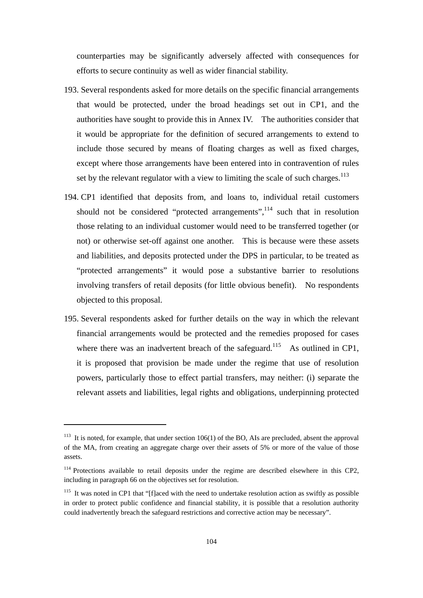counterparties may be significantly adversely affected with consequences for efforts to secure continuity as well as wider financial stability.

- 193. Several respondents asked for more details on the specific financial arrangements that would be protected, under the broad headings set out in CP1, and the authorities have sought to provide this in Annex IV. The authorities consider that it would be appropriate for the definition of secured arrangements to extend to include those secured by means of floating charges as well as fixed charges, except where those arrangements have been entered into in contravention of rules set by the relevant regulator with a view to limiting the scale of such charges.<sup>113</sup>
- 194. CP1 identified that deposits from, and loans to, individual retail customers should not be considered "protected arrangements", $^{114}$  such that in resolution those relating to an individual customer would need to be transferred together (or not) or otherwise set-off against one another. This is because were these assets and liabilities, and deposits protected under the DPS in particular, to be treated as "protected arrangements" it would pose a substantive barrier to resolutions involving transfers of retail deposits (for little obvious benefit). No respondents objected to this proposal.
- 195. Several respondents asked for further details on the way in which the relevant financial arrangements would be protected and the remedies proposed for cases where there was an inadvertent breach of the safeguard.<sup>115</sup> As outlined in CP1, it is proposed that provision be made under the regime that use of resolution powers, particularly those to effect partial transfers, may neither: (i) separate the relevant assets and liabilities, legal rights and obligations, underpinning protected

<sup>&</sup>lt;sup>113</sup> It is noted, for example, that under section  $106(1)$  of the BO, AIs are precluded, absent the approval of the MA, from creating an aggregate charge over their assets of 5% or more of the value of those assets.

<sup>&</sup>lt;sup>114</sup> Protections available to retail deposits under the regime are described elsewhere in this CP2, including in paragraph 66 on the objectives set for resolution.

<sup>&</sup>lt;sup>115</sup> It was noted in CP1 that "[f]aced with the need to undertake resolution action as swiftly as possible in order to protect public confidence and financial stability, it is possible that a resolution authority could inadvertently breach the safeguard restrictions and corrective action may be necessary".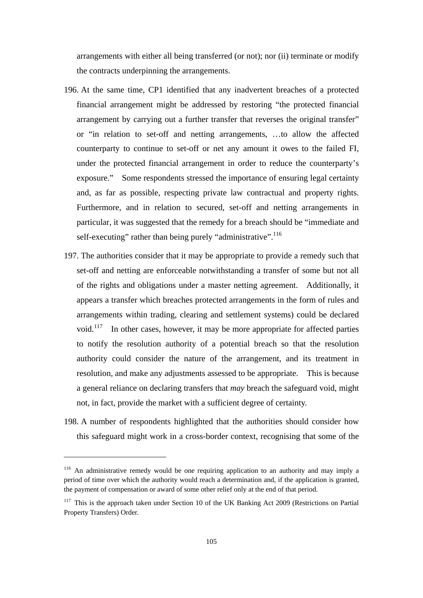arrangements with either all being transferred (or not); nor (ii) terminate or modify the contracts underpinning the arrangements.

- 196. At the same time, CP1 identified that any inadvertent breaches of a protected financial arrangement might be addressed by restoring "the protected financial arrangement by carrying out a further transfer that reverses the original transfer" or "in relation to set-off and netting arrangements, …to allow the affected counterparty to continue to set-off or net any amount it owes to the failed FI, under the protected financial arrangement in order to reduce the counterparty's exposure." Some respondents stressed the importance of ensuring legal certainty and, as far as possible, respecting private law contractual and property rights. Furthermore, and in relation to secured, set-off and netting arrangements in particular, it was suggested that the remedy for a breach should be "immediate and self-executing" rather than being purely "administrative".<sup>116</sup>
- 197. The authorities consider that it may be appropriate to provide a remedy such that set-off and netting are enforceable notwithstanding a transfer of some but not all of the rights and obligations under a master netting agreement. Additionally, it appears a transfer which breaches protected arrangements in the form of rules and arrangements within trading, clearing and settlement systems) could be declared void.<sup>117</sup> In other cases, however, it may be more appropriate for affected parties to notify the resolution authority of a potential breach so that the resolution authority could consider the nature of the arrangement, and its treatment in resolution, and make any adjustments assessed to be appropriate. This is because a general reliance on declaring transfers that *may* breach the safeguard void, might not, in fact, provide the market with a sufficient degree of certainty.
- 198. A number of respondents highlighted that the authorities should consider how this safeguard might work in a cross-border context, recognising that some of the

<sup>&</sup>lt;sup>116</sup> An administrative remedy would be one requiring application to an authority and may imply a period of time over which the authority would reach a determination and, if the application is granted, the payment of compensation or award of some other relief only at the end of that period.

<sup>&</sup>lt;sup>117</sup> This is the approach taken under Section 10 of the UK Banking Act 2009 (Restrictions on Partial Property Transfers) Order.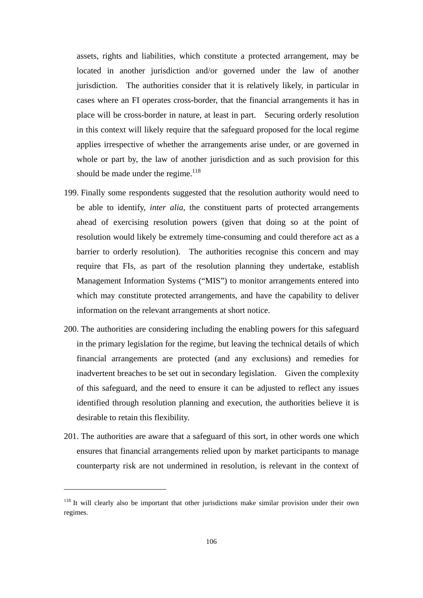assets, rights and liabilities, which constitute a protected arrangement, may be located in another jurisdiction and/or governed under the law of another jurisdiction. The authorities consider that it is relatively likely, in particular in cases where an FI operates cross-border, that the financial arrangements it has in place will be cross-border in nature, at least in part. Securing orderly resolution in this context will likely require that the safeguard proposed for the local regime applies irrespective of whether the arrangements arise under, or are governed in whole or part by, the law of another jurisdiction and as such provision for this should be made under the regime.<sup>118</sup>

- 199. Finally some respondents suggested that the resolution authority would need to be able to identify, *inter alia*, the constituent parts of protected arrangements ahead of exercising resolution powers (given that doing so at the point of resolution would likely be extremely time-consuming and could therefore act as a barrier to orderly resolution). The authorities recognise this concern and may require that FIs, as part of the resolution planning they undertake, establish Management Information Systems ("MIS") to monitor arrangements entered into which may constitute protected arrangements, and have the capability to deliver information on the relevant arrangements at short notice.
- 200. The authorities are considering including the enabling powers for this safeguard in the primary legislation for the regime, but leaving the technical details of which financial arrangements are protected (and any exclusions) and remedies for inadvertent breaches to be set out in secondary legislation. Given the complexity of this safeguard, and the need to ensure it can be adjusted to reflect any issues identified through resolution planning and execution, the authorities believe it is desirable to retain this flexibility.
- 201. The authorities are aware that a safeguard of this sort, in other words one which ensures that financial arrangements relied upon by market participants to manage counterparty risk are not undermined in resolution, is relevant in the context of

<sup>&</sup>lt;sup>118</sup> It will clearly also be important that other jurisdictions make similar provision under their own regimes.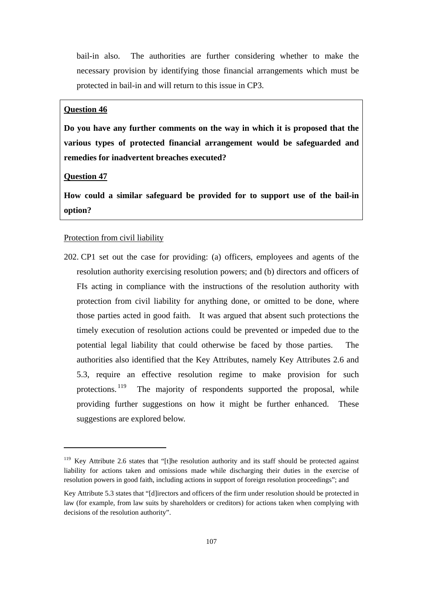bail-in also. The authorities are further considering whether to make the necessary provision by identifying those financial arrangements which must be protected in bail-in and will return to this issue in CP3.

## **Question 46**

**Do you have any further comments on the way in which it is proposed that the various types of protected financial arrangement would be safeguarded and remedies for inadvertent breaches executed?** 

## **Question 47**

**How could a similar safeguard be provided for to support use of the bail-in option?** 

## Protection from civil liability

202. CP1 set out the case for providing: (a) officers, employees and agents of the resolution authority exercising resolution powers; and (b) directors and officers of FIs acting in compliance with the instructions of the resolution authority with protection from civil liability for anything done, or omitted to be done, where those parties acted in good faith. It was argued that absent such protections the timely execution of resolution actions could be prevented or impeded due to the potential legal liability that could otherwise be faced by those parties. The authorities also identified that the Key Attributes, namely Key Attributes 2.6 and 5.3, require an effective resolution regime to make provision for such protections.<sup>119</sup> The majority of respondents supported the proposal, while providing further suggestions on how it might be further enhanced. These suggestions are explored below.

<sup>&</sup>lt;sup>119</sup> Key Attribute 2.6 states that "[t]he resolution authority and its staff should be protected against liability for actions taken and omissions made while discharging their duties in the exercise of resolution powers in good faith, including actions in support of foreign resolution proceedings"; and

Key Attribute 5.3 states that "[d]irectors and officers of the firm under resolution should be protected in law (for example, from law suits by shareholders or creditors) for actions taken when complying with decisions of the resolution authority".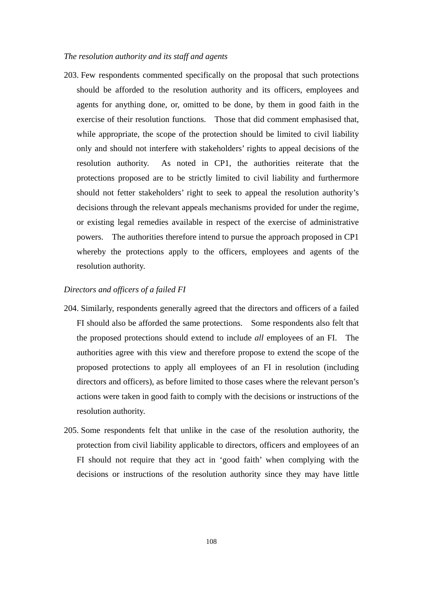## *The resolution authority and its staff and agents*

203. Few respondents commented specifically on the proposal that such protections should be afforded to the resolution authority and its officers, employees and agents for anything done, or, omitted to be done, by them in good faith in the exercise of their resolution functions. Those that did comment emphasised that, while appropriate, the scope of the protection should be limited to civil liability only and should not interfere with stakeholders' rights to appeal decisions of the resolution authority. As noted in CP1, the authorities reiterate that the protections proposed are to be strictly limited to civil liability and furthermore should not fetter stakeholders' right to seek to appeal the resolution authority's decisions through the relevant appeals mechanisms provided for under the regime, or existing legal remedies available in respect of the exercise of administrative powers. The authorities therefore intend to pursue the approach proposed in CP1 whereby the protections apply to the officers, employees and agents of the resolution authority.

## *Directors and officers of a failed FI*

- 204. Similarly, respondents generally agreed that the directors and officers of a failed FI should also be afforded the same protections. Some respondents also felt that the proposed protections should extend to include *all* employees of an FI. The authorities agree with this view and therefore propose to extend the scope of the proposed protections to apply all employees of an FI in resolution (including directors and officers), as before limited to those cases where the relevant person's actions were taken in good faith to comply with the decisions or instructions of the resolution authority.
- 205. Some respondents felt that unlike in the case of the resolution authority, the protection from civil liability applicable to directors, officers and employees of an FI should not require that they act in 'good faith' when complying with the decisions or instructions of the resolution authority since they may have little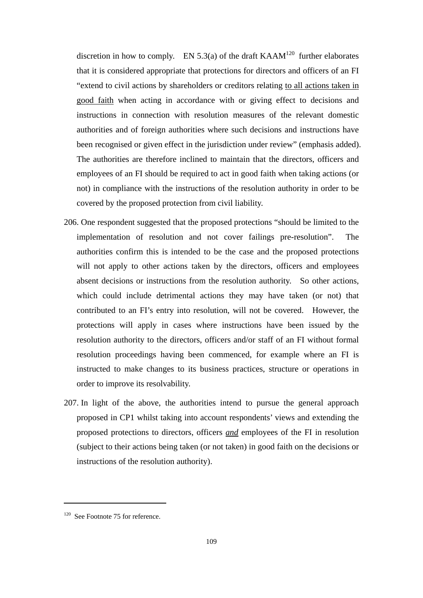discretion in how to comply. EN 5.3(a) of the draft KAAM<sup>120</sup> further elaborates that it is considered appropriate that protections for directors and officers of an FI "extend to civil actions by shareholders or creditors relating to all actions taken in good faith when acting in accordance with or giving effect to decisions and instructions in connection with resolution measures of the relevant domestic authorities and of foreign authorities where such decisions and instructions have been recognised or given effect in the jurisdiction under review" (emphasis added). The authorities are therefore inclined to maintain that the directors, officers and employees of an FI should be required to act in good faith when taking actions (or not) in compliance with the instructions of the resolution authority in order to be covered by the proposed protection from civil liability.

- 206. One respondent suggested that the proposed protections "should be limited to the implementation of resolution and not cover failings pre-resolution". The authorities confirm this is intended to be the case and the proposed protections will not apply to other actions taken by the directors, officers and employees absent decisions or instructions from the resolution authority. So other actions, which could include detrimental actions they may have taken (or not) that contributed to an FI's entry into resolution, will not be covered. However, the protections will apply in cases where instructions have been issued by the resolution authority to the directors, officers and/or staff of an FI without formal resolution proceedings having been commenced, for example where an FI is instructed to make changes to its business practices, structure or operations in order to improve its resolvability.
- 207. In light of the above, the authorities intend to pursue the general approach proposed in CP1 whilst taking into account respondents' views and extending the proposed protections to directors, officers *and* employees of the FI in resolution (subject to their actions being taken (or not taken) in good faith on the decisions or instructions of the resolution authority).

<sup>&</sup>lt;sup>120</sup> See Footnote 75 for reference.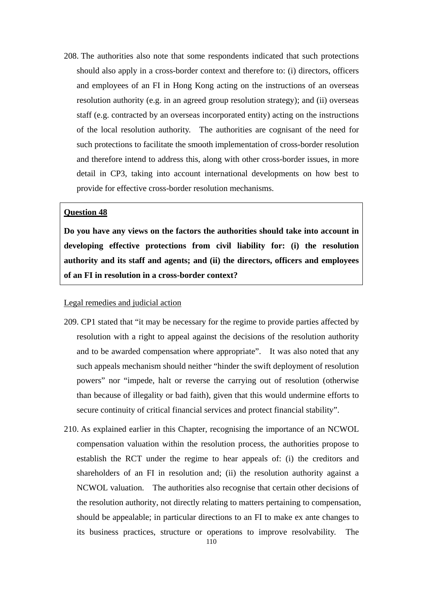208. The authorities also note that some respondents indicated that such protections should also apply in a cross-border context and therefore to: (i) directors, officers and employees of an FI in Hong Kong acting on the instructions of an overseas resolution authority (e.g. in an agreed group resolution strategy); and (ii) overseas staff (e.g. contracted by an overseas incorporated entity) acting on the instructions of the local resolution authority. The authorities are cognisant of the need for such protections to facilitate the smooth implementation of cross-border resolution and therefore intend to address this, along with other cross-border issues, in more detail in CP3, taking into account international developments on how best to provide for effective cross-border resolution mechanisms.

# **Question 48**

**Do you have any views on the factors the authorities should take into account in developing effective protections from civil liability for: (i) the resolution authority and its staff and agents; and (ii) the directors, officers and employees of an FI in resolution in a cross-border context?** 

# Legal remedies and judicial action

- 209. CP1 stated that "it may be necessary for the regime to provide parties affected by resolution with a right to appeal against the decisions of the resolution authority and to be awarded compensation where appropriate". It was also noted that any such appeals mechanism should neither "hinder the swift deployment of resolution powers" nor "impede, halt or reverse the carrying out of resolution (otherwise than because of illegality or bad faith), given that this would undermine efforts to secure continuity of critical financial services and protect financial stability".
- 210. As explained earlier in this Chapter, recognising the importance of an NCWOL compensation valuation within the resolution process, the authorities propose to establish the RCT under the regime to hear appeals of: (i) the creditors and shareholders of an FI in resolution and; (ii) the resolution authority against a NCWOL valuation. The authorities also recognise that certain other decisions of the resolution authority, not directly relating to matters pertaining to compensation, should be appealable; in particular directions to an FI to make ex ante changes to its business practices, structure or operations to improve resolvability. The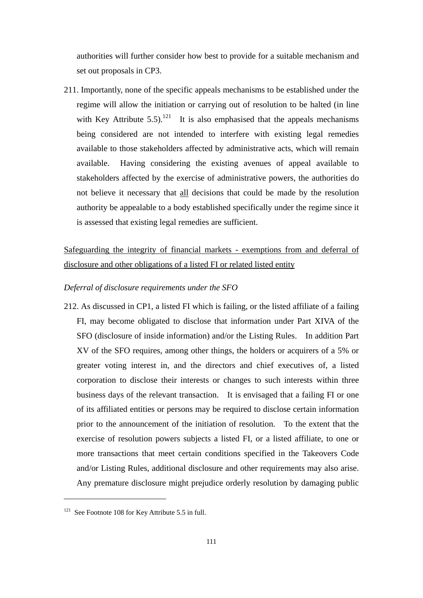authorities will further consider how best to provide for a suitable mechanism and set out proposals in CP3.

211. Importantly, none of the specific appeals mechanisms to be established under the regime will allow the initiation or carrying out of resolution to be halted (in line with Key Attribute 5.5).<sup>121</sup> It is also emphasised that the appeals mechanisms being considered are not intended to interfere with existing legal remedies available to those stakeholders affected by administrative acts, which will remain available. Having considering the existing avenues of appeal available to stakeholders affected by the exercise of administrative powers, the authorities do not believe it necessary that all decisions that could be made by the resolution authority be appealable to a body established specifically under the regime since it is assessed that existing legal remedies are sufficient.

# Safeguarding the integrity of financial markets - exemptions from and deferral of disclosure and other obligations of a listed FI or related listed entity

# *Deferral of disclosure requirements under the SFO*

212. As discussed in CP1, a listed FI which is failing, or the listed affiliate of a failing FI, may become obligated to disclose that information under Part XIVA of the SFO (disclosure of inside information) and/or the Listing Rules. In addition Part XV of the SFO requires, among other things, the holders or acquirers of a 5% or greater voting interest in, and the directors and chief executives of, a listed corporation to disclose their interests or changes to such interests within three business days of the relevant transaction. It is envisaged that a failing FI or one of its affiliated entities or persons may be required to disclose certain information prior to the announcement of the initiation of resolution. To the extent that the exercise of resolution powers subjects a listed FI, or a listed affiliate, to one or more transactions that meet certain conditions specified in the Takeovers Code and/or Listing Rules, additional disclosure and other requirements may also arise. Any premature disclosure might prejudice orderly resolution by damaging public

<sup>&</sup>lt;sup>121</sup> See Footnote 108 for Key Attribute 5.5 in full.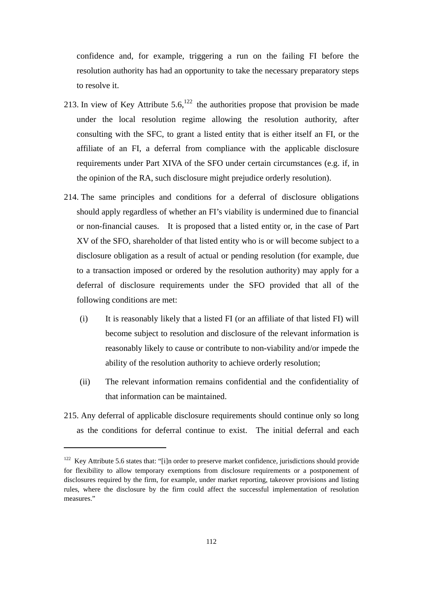confidence and, for example, triggering a run on the failing FI before the resolution authority has had an opportunity to take the necessary preparatory steps to resolve it.

- 213. In view of Key Attribute  $5.6$ ,<sup>122</sup>, the authorities propose that provision be made under the local resolution regime allowing the resolution authority, after consulting with the SFC, to grant a listed entity that is either itself an FI, or the affiliate of an FI, a deferral from compliance with the applicable disclosure requirements under Part XIVA of the SFO under certain circumstances (e.g. if, in the opinion of the RA, such disclosure might prejudice orderly resolution).
- 214. The same principles and conditions for a deferral of disclosure obligations should apply regardless of whether an FI's viability is undermined due to financial or non-financial causes. It is proposed that a listed entity or, in the case of Part XV of the SFO, shareholder of that listed entity who is or will become subject to a disclosure obligation as a result of actual or pending resolution (for example, due to a transaction imposed or ordered by the resolution authority) may apply for a deferral of disclosure requirements under the SFO provided that all of the following conditions are met:
	- (i) It is reasonably likely that a listed FI (or an affiliate of that listed FI) will become subject to resolution and disclosure of the relevant information is reasonably likely to cause or contribute to non-viability and/or impede the ability of the resolution authority to achieve orderly resolution;
	- (ii) The relevant information remains confidential and the confidentiality of that information can be maintained.
- 215. Any deferral of applicable disclosure requirements should continue only so long as the conditions for deferral continue to exist. The initial deferral and each

<sup>&</sup>lt;sup>122</sup> Key Attribute 5.6 states that: "[i]n order to preserve market confidence, jurisdictions should provide for flexibility to allow temporary exemptions from disclosure requirements or a postponement of disclosures required by the firm, for example, under market reporting, takeover provisions and listing rules, where the disclosure by the firm could affect the successful implementation of resolution measures."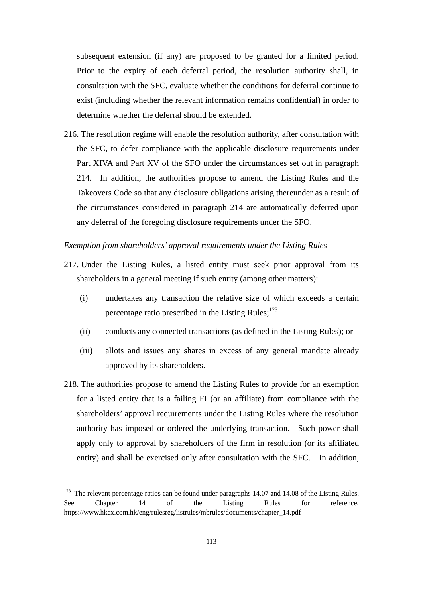subsequent extension (if any) are proposed to be granted for a limited period. Prior to the expiry of each deferral period, the resolution authority shall, in consultation with the SFC, evaluate whether the conditions for deferral continue to exist (including whether the relevant information remains confidential) in order to determine whether the deferral should be extended.

216. The resolution regime will enable the resolution authority, after consultation with the SFC, to defer compliance with the applicable disclosure requirements under Part XIVA and Part XV of the SFO under the circumstances set out in paragraph 214. In addition, the authorities propose to amend the Listing Rules and the Takeovers Code so that any disclosure obligations arising thereunder as a result of the circumstances considered in paragraph 214 are automatically deferred upon any deferral of the foregoing disclosure requirements under the SFO.

# *Exemption from shareholders' approval requirements under the Listing Rules*

- 217. Under the Listing Rules, a listed entity must seek prior approval from its shareholders in a general meeting if such entity (among other matters):
	- (i) undertakes any transaction the relative size of which exceeds a certain percentage ratio prescribed in the Listing Rules; $^{123}$
	- (ii) conducts any connected transactions (as defined in the Listing Rules); or
	- (iii) allots and issues any shares in excess of any general mandate already approved by its shareholders.
- 218. The authorities propose to amend the Listing Rules to provide for an exemption for a listed entity that is a failing FI (or an affiliate) from compliance with the shareholders' approval requirements under the Listing Rules where the resolution authority has imposed or ordered the underlying transaction. Such power shall apply only to approval by shareholders of the firm in resolution (or its affiliated entity) and shall be exercised only after consultation with the SFC. In addition,

<sup>&</sup>lt;sup>123</sup> The relevant percentage ratios can be found under paragraphs 14.07 and 14.08 of the Listing Rules. See Chapter 14 of the Listing Rules for reference, https://www.hkex.com.hk/eng/rulesreg/listrules/mbrules/documents/chapter\_14.pdf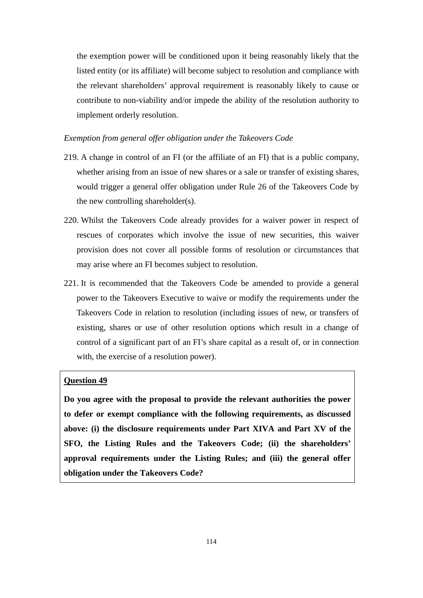the exemption power will be conditioned upon it being reasonably likely that the listed entity (or its affiliate) will become subject to resolution and compliance with the relevant shareholders' approval requirement is reasonably likely to cause or contribute to non-viability and/or impede the ability of the resolution authority to implement orderly resolution.

# *Exemption from general offer obligation under the Takeovers Code*

- 219. A change in control of an FI (or the affiliate of an FI) that is a public company, whether arising from an issue of new shares or a sale or transfer of existing shares, would trigger a general offer obligation under Rule 26 of the Takeovers Code by the new controlling shareholder(s).
- 220. Whilst the Takeovers Code already provides for a waiver power in respect of rescues of corporates which involve the issue of new securities, this waiver provision does not cover all possible forms of resolution or circumstances that may arise where an FI becomes subject to resolution.
- 221. It is recommended that the Takeovers Code be amended to provide a general power to the Takeovers Executive to waive or modify the requirements under the Takeovers Code in relation to resolution (including issues of new, or transfers of existing, shares or use of other resolution options which result in a change of control of a significant part of an FI's share capital as a result of, or in connection with, the exercise of a resolution power).

# **Question 49**

**Do you agree with the proposal to provide the relevant authorities the power to defer or exempt compliance with the following requirements, as discussed above: (i) the disclosure requirements under Part XIVA and Part XV of the SFO, the Listing Rules and the Takeovers Code; (ii) the shareholders' approval requirements under the Listing Rules; and (iii) the general offer obligation under the Takeovers Code?**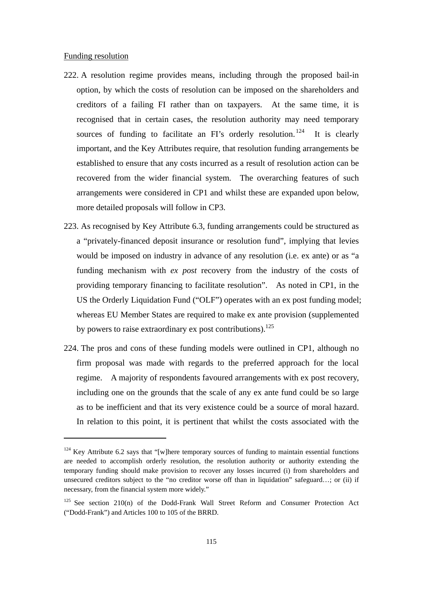## Funding resolution

- 222. A resolution regime provides means, including through the proposed bail-in option, by which the costs of resolution can be imposed on the shareholders and creditors of a failing FI rather than on taxpayers. At the same time, it is recognised that in certain cases, the resolution authority may need temporary sources of funding to facilitate an FI's orderly resolution. <sup>124</sup> It is clearly important, and the Key Attributes require, that resolution funding arrangements be established to ensure that any costs incurred as a result of resolution action can be recovered from the wider financial system. The overarching features of such arrangements were considered in CP1 and whilst these are expanded upon below, more detailed proposals will follow in CP3.
- 223. As recognised by Key Attribute 6.3, funding arrangements could be structured as a "privately-financed deposit insurance or resolution fund", implying that levies would be imposed on industry in advance of any resolution (i.e. ex ante) or as "a funding mechanism with *ex post* recovery from the industry of the costs of providing temporary financing to facilitate resolution". As noted in CP1, in the US the Orderly Liquidation Fund ("OLF") operates with an ex post funding model; whereas EU Member States are required to make ex ante provision (supplemented by powers to raise extraordinary ex post contributions).<sup>125</sup>
- 224. The pros and cons of these funding models were outlined in CP1, although no firm proposal was made with regards to the preferred approach for the local regime. A majority of respondents favoured arrangements with ex post recovery, including one on the grounds that the scale of any ex ante fund could be so large as to be inefficient and that its very existence could be a source of moral hazard. In relation to this point, it is pertinent that whilst the costs associated with the

 $124$  Key Attribute 6.2 says that "[w]here temporary sources of funding to maintain essential functions are needed to accomplish orderly resolution, the resolution authority or authority extending the temporary funding should make provision to recover any losses incurred (i) from shareholders and unsecured creditors subject to the "no creditor worse off than in liquidation" safeguard…; or (ii) if necessary, from the financial system more widely."

 $125$  See section 210(n) of the Dodd-Frank Wall Street Reform and Consumer Protection Act ("Dodd-Frank") and Articles 100 to 105 of the BRRD.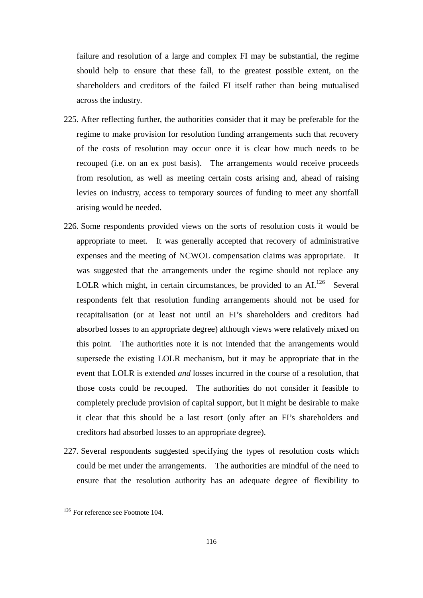failure and resolution of a large and complex FI may be substantial, the regime should help to ensure that these fall, to the greatest possible extent, on the shareholders and creditors of the failed FI itself rather than being mutualised across the industry.

- 225. After reflecting further, the authorities consider that it may be preferable for the regime to make provision for resolution funding arrangements such that recovery of the costs of resolution may occur once it is clear how much needs to be recouped (i.e. on an ex post basis). The arrangements would receive proceeds from resolution, as well as meeting certain costs arising and, ahead of raising levies on industry, access to temporary sources of funding to meet any shortfall arising would be needed.
- 226. Some respondents provided views on the sorts of resolution costs it would be appropriate to meet. It was generally accepted that recovery of administrative expenses and the meeting of NCWOL compensation claims was appropriate. It was suggested that the arrangements under the regime should not replace any LOLR which might, in certain circumstances, be provided to an  $AI^{126}$  Several respondents felt that resolution funding arrangements should not be used for recapitalisation (or at least not until an FI's shareholders and creditors had absorbed losses to an appropriate degree) although views were relatively mixed on this point. The authorities note it is not intended that the arrangements would supersede the existing LOLR mechanism, but it may be appropriate that in the event that LOLR is extended *and* losses incurred in the course of a resolution, that those costs could be recouped. The authorities do not consider it feasible to completely preclude provision of capital support, but it might be desirable to make it clear that this should be a last resort (only after an FI's shareholders and creditors had absorbed losses to an appropriate degree).
- 227. Several respondents suggested specifying the types of resolution costs which could be met under the arrangements. The authorities are mindful of the need to ensure that the resolution authority has an adequate degree of flexibility to

<sup>&</sup>lt;sup>126</sup> For reference see Footnote 104.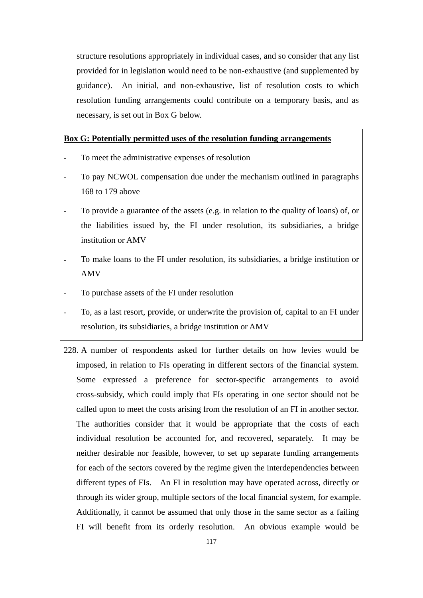structure resolutions appropriately in individual cases, and so consider that any list provided for in legislation would need to be non-exhaustive (and supplemented by guidance). An initial, and non-exhaustive, list of resolution costs to which resolution funding arrangements could contribute on a temporary basis, and as necessary, is set out in Box G below.

# **Box G: Potentially permitted uses of the resolution funding arrangements**

- To meet the administrative expenses of resolution
- To pay NCWOL compensation due under the mechanism outlined in paragraphs 168 to 179 above
- To provide a guarantee of the assets (e.g. in relation to the quality of loans) of, or the liabilities issued by, the FI under resolution, its subsidiaries, a bridge institution or AMV
- To make loans to the FI under resolution, its subsidiaries, a bridge institution or AMV
- To purchase assets of the FI under resolution
- To, as a last resort, provide, or underwrite the provision of, capital to an FI under resolution, its subsidiaries, a bridge institution or AMV
- 228. A number of respondents asked for further details on how levies would be imposed, in relation to FIs operating in different sectors of the financial system. Some expressed a preference for sector-specific arrangements to avoid cross-subsidy, which could imply that FIs operating in one sector should not be called upon to meet the costs arising from the resolution of an FI in another sector. The authorities consider that it would be appropriate that the costs of each individual resolution be accounted for, and recovered, separately. It may be neither desirable nor feasible, however, to set up separate funding arrangements for each of the sectors covered by the regime given the interdependencies between different types of FIs. An FI in resolution may have operated across, directly or through its wider group, multiple sectors of the local financial system, for example. Additionally, it cannot be assumed that only those in the same sector as a failing FI will benefit from its orderly resolution. An obvious example would be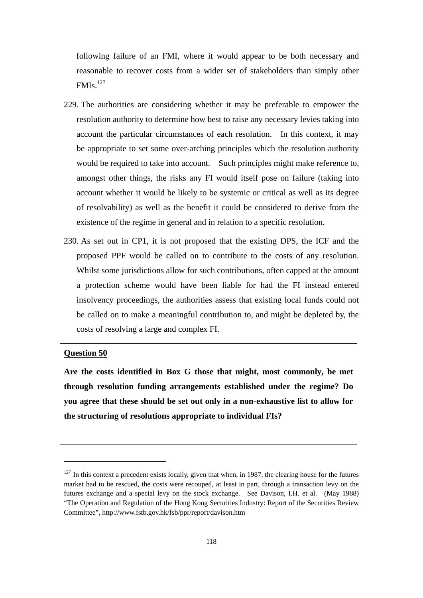following failure of an FMI, where it would appear to be both necessary and reasonable to recover costs from a wider set of stakeholders than simply other FMIs.<sup>127</sup>

- 229. The authorities are considering whether it may be preferable to empower the resolution authority to determine how best to raise any necessary levies taking into account the particular circumstances of each resolution. In this context, it may be appropriate to set some over-arching principles which the resolution authority would be required to take into account. Such principles might make reference to, amongst other things, the risks any FI would itself pose on failure (taking into account whether it would be likely to be systemic or critical as well as its degree of resolvability) as well as the benefit it could be considered to derive from the existence of the regime in general and in relation to a specific resolution.
- 230. As set out in CP1, it is not proposed that the existing DPS, the ICF and the proposed PPF would be called on to contribute to the costs of any resolution. Whilst some jurisdictions allow for such contributions, often capped at the amount a protection scheme would have been liable for had the FI instead entered insolvency proceedings, the authorities assess that existing local funds could not be called on to make a meaningful contribution to, and might be depleted by, the costs of resolving a large and complex FI.

# **Question 50**

**Are the costs identified in Box G those that might, most commonly, be met through resolution funding arrangements established under the regime? Do you agree that these should be set out only in a non-exhaustive list to allow for the structuring of resolutions appropriate to individual FIs?** 

 $127$  In this context a precedent exists locally, given that when, in 1987, the clearing house for the futures market had to be rescued, the costs were recouped, at least in part, through a transaction levy on the futures exchange and a special levy on the stock exchange. See Davison, I.H. et al. (May 1988) "The Operation and Regulation of the Hong Kong Securities Industry: Report of the Securities Review Committee", http://www.fstb.gov.hk/fsb/ppr/report/davison.htm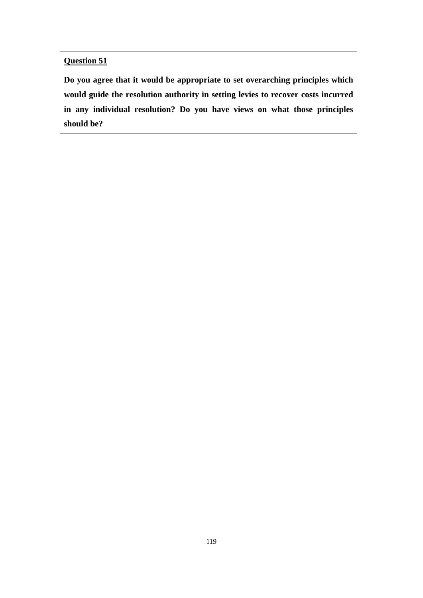**Question 51** 

**Do you agree that it would be appropriate to set overarching principles which would guide the resolution authority in setting levies to recover costs incurred in any individual resolution? Do you have views on what those principles should be?**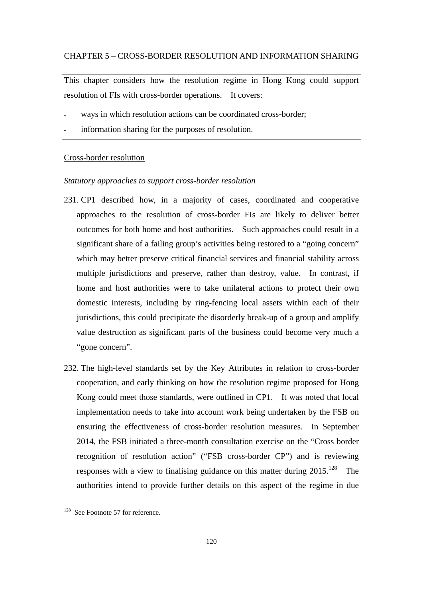## CHAPTER 5 – CROSS-BORDER RESOLUTION AND INFORMATION SHARING

This chapter considers how the resolution regime in Hong Kong could support resolution of FIs with cross-border operations. It covers:

- ways in which resolution actions can be coordinated cross-border;
- information sharing for the purposes of resolution.

#### Cross-border resolution

#### *Statutory approaches to support cross-border resolution*

- 231. CP1 described how, in a majority of cases, coordinated and cooperative approaches to the resolution of cross-border FIs are likely to deliver better outcomes for both home and host authorities. Such approaches could result in a significant share of a failing group's activities being restored to a "going concern" which may better preserve critical financial services and financial stability across multiple jurisdictions and preserve, rather than destroy, value. In contrast, if home and host authorities were to take unilateral actions to protect their own domestic interests, including by ring-fencing local assets within each of their jurisdictions, this could precipitate the disorderly break-up of a group and amplify value destruction as significant parts of the business could become very much a "gone concern".
- 232. The high-level standards set by the Key Attributes in relation to cross-border cooperation, and early thinking on how the resolution regime proposed for Hong Kong could meet those standards, were outlined in CP1. It was noted that local implementation needs to take into account work being undertaken by the FSB on ensuring the effectiveness of cross-border resolution measures. In September 2014, the FSB initiated a three-month consultation exercise on the "Cross border recognition of resolution action" ("FSB cross-border CP") and is reviewing responses with a view to finalising guidance on this matter during  $2015$ .<sup>128</sup> The authorities intend to provide further details on this aspect of the regime in due

<sup>128</sup> See Footnote 57 for reference.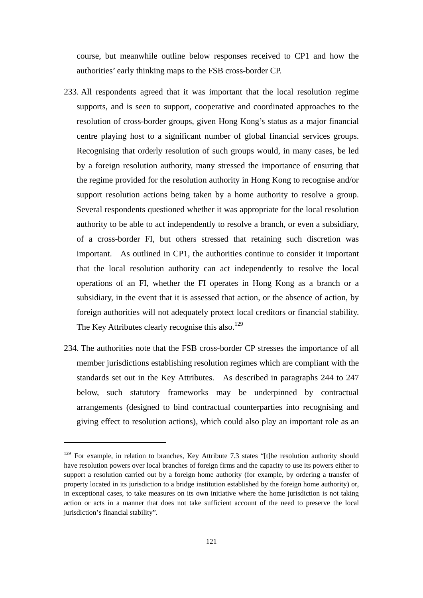course, but meanwhile outline below responses received to CP1 and how the authorities' early thinking maps to the FSB cross-border CP.

- 233. All respondents agreed that it was important that the local resolution regime supports, and is seen to support, cooperative and coordinated approaches to the resolution of cross-border groups, given Hong Kong's status as a major financial centre playing host to a significant number of global financial services groups. Recognising that orderly resolution of such groups would, in many cases, be led by a foreign resolution authority, many stressed the importance of ensuring that the regime provided for the resolution authority in Hong Kong to recognise and/or support resolution actions being taken by a home authority to resolve a group. Several respondents questioned whether it was appropriate for the local resolution authority to be able to act independently to resolve a branch, or even a subsidiary, of a cross-border FI, but others stressed that retaining such discretion was important. As outlined in CP1, the authorities continue to consider it important that the local resolution authority can act independently to resolve the local operations of an FI, whether the FI operates in Hong Kong as a branch or a subsidiary, in the event that it is assessed that action, or the absence of action, by foreign authorities will not adequately protect local creditors or financial stability. The Key Attributes clearly recognise this also.<sup>129</sup>
- 234. The authorities note that the FSB cross-border CP stresses the importance of all member jurisdictions establishing resolution regimes which are compliant with the standards set out in the Key Attributes. As described in paragraphs 244 to 247 below, such statutory frameworks may be underpinned by contractual arrangements (designed to bind contractual counterparties into recognising and giving effect to resolution actions), which could also play an important role as an

<sup>&</sup>lt;sup>129</sup> For example, in relation to branches, Key Attribute 7.3 states "[t]he resolution authority should have resolution powers over local branches of foreign firms and the capacity to use its powers either to support a resolution carried out by a foreign home authority (for example, by ordering a transfer of property located in its jurisdiction to a bridge institution established by the foreign home authority) or, in exceptional cases, to take measures on its own initiative where the home jurisdiction is not taking action or acts in a manner that does not take sufficient account of the need to preserve the local jurisdiction's financial stability".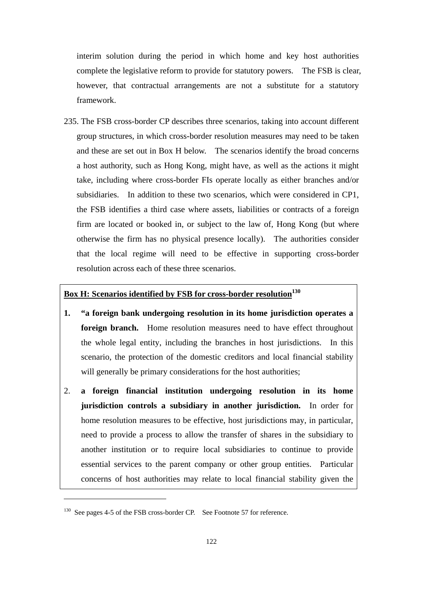interim solution during the period in which home and key host authorities complete the legislative reform to provide for statutory powers. The FSB is clear, however, that contractual arrangements are not a substitute for a statutory framework.

235. The FSB cross-border CP describes three scenarios, taking into account different group structures, in which cross-border resolution measures may need to be taken and these are set out in Box H below. The scenarios identify the broad concerns a host authority, such as Hong Kong, might have, as well as the actions it might take, including where cross-border FIs operate locally as either branches and/or subsidiaries. In addition to these two scenarios, which were considered in CP1, the FSB identifies a third case where assets, liabilities or contracts of a foreign firm are located or booked in, or subject to the law of, Hong Kong (but where otherwise the firm has no physical presence locally). The authorities consider that the local regime will need to be effective in supporting cross-border resolution across each of these three scenarios.

# **Box H: Scenarios identified by FSB for cross-border resolution**<sup>130</sup>

- **1. "a foreign bank undergoing resolution in its home jurisdiction operates a foreign branch.** Home resolution measures need to have effect throughout the whole legal entity, including the branches in host jurisdictions. In this scenario, the protection of the domestic creditors and local financial stability will generally be primary considerations for the host authorities;
- 2. **a foreign financial institution undergoing resolution in its home jurisdiction controls a subsidiary in another jurisdiction.** In order for home resolution measures to be effective, host jurisdictions may, in particular, need to provide a process to allow the transfer of shares in the subsidiary to another institution or to require local subsidiaries to continue to provide essential services to the parent company or other group entities. Particular concerns of host authorities may relate to local financial stability given the

<sup>&</sup>lt;sup>130</sup> See pages 4-5 of the FSB cross-border CP. See Footnote 57 for reference.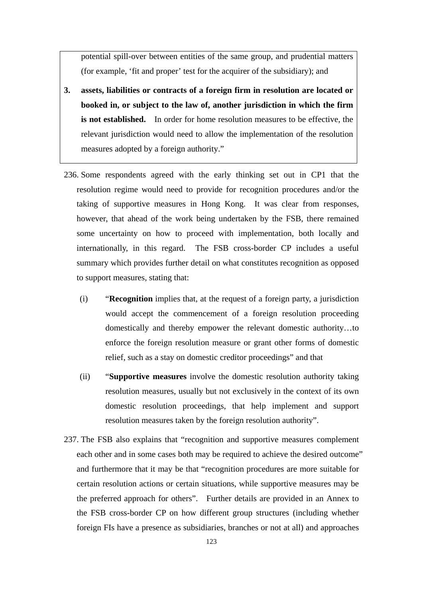potential spill-over between entities of the same group, and prudential matters (for example, 'fit and proper' test for the acquirer of the subsidiary); and

- **3. assets, liabilities or contracts of a foreign firm in resolution are located or booked in, or subject to the law of, another jurisdiction in which the firm is not established.** In order for home resolution measures to be effective, the relevant jurisdiction would need to allow the implementation of the resolution measures adopted by a foreign authority."
- 236. Some respondents agreed with the early thinking set out in CP1 that the resolution regime would need to provide for recognition procedures and/or the taking of supportive measures in Hong Kong. It was clear from responses, however, that ahead of the work being undertaken by the FSB, there remained some uncertainty on how to proceed with implementation, both locally and internationally, in this regard. The FSB cross-border CP includes a useful summary which provides further detail on what constitutes recognition as opposed to support measures, stating that:
	- (i) "**Recognition** implies that, at the request of a foreign party, a jurisdiction would accept the commencement of a foreign resolution proceeding domestically and thereby empower the relevant domestic authority…to enforce the foreign resolution measure or grant other forms of domestic relief, such as a stay on domestic creditor proceedings" and that
	- (ii) "**Supportive measures** involve the domestic resolution authority taking resolution measures, usually but not exclusively in the context of its own domestic resolution proceedings, that help implement and support resolution measures taken by the foreign resolution authority".
- 237. The FSB also explains that "recognition and supportive measures complement each other and in some cases both may be required to achieve the desired outcome" and furthermore that it may be that "recognition procedures are more suitable for certain resolution actions or certain situations, while supportive measures may be the preferred approach for others". Further details are provided in an Annex to the FSB cross-border CP on how different group structures (including whether foreign FIs have a presence as subsidiaries, branches or not at all) and approaches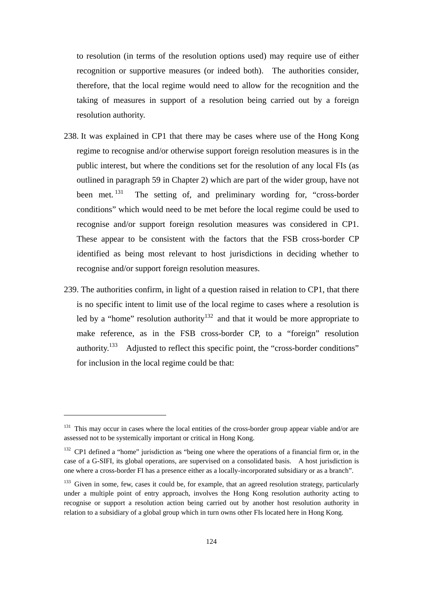to resolution (in terms of the resolution options used) may require use of either recognition or supportive measures (or indeed both). The authorities consider, therefore, that the local regime would need to allow for the recognition and the taking of measures in support of a resolution being carried out by a foreign resolution authority.

- 238. It was explained in CP1 that there may be cases where use of the Hong Kong regime to recognise and/or otherwise support foreign resolution measures is in the public interest, but where the conditions set for the resolution of any local FIs (as outlined in paragraph 59 in Chapter 2) which are part of the wider group, have not been met.<sup>131</sup> The setting of, and preliminary wording for, "cross-border" conditions" which would need to be met before the local regime could be used to recognise and/or support foreign resolution measures was considered in CP1. These appear to be consistent with the factors that the FSB cross-border CP identified as being most relevant to host jurisdictions in deciding whether to recognise and/or support foreign resolution measures.
- 239. The authorities confirm, in light of a question raised in relation to CP1, that there is no specific intent to limit use of the local regime to cases where a resolution is led by a "home" resolution authority<sup>132</sup> and that it would be more appropriate to make reference, as in the FSB cross-border CP, to a "foreign" resolution authority.133 Adjusted to reflect this specific point, the "cross-border conditions" for inclusion in the local regime could be that:

<sup>&</sup>lt;sup>131</sup> This may occur in cases where the local entities of the cross-border group appear viable and/or are assessed not to be systemically important or critical in Hong Kong.

<sup>&</sup>lt;sup>132</sup> CP1 defined a "home" jurisdiction as "being one where the operations of a financial firm or, in the case of a G-SIFI, its global operations, are supervised on a consolidated basis. A host jurisdiction is one where a cross-border FI has a presence either as a locally-incorporated subsidiary or as a branch".

<sup>&</sup>lt;sup>133</sup> Given in some, few, cases it could be, for example, that an agreed resolution strategy, particularly under a multiple point of entry approach, involves the Hong Kong resolution authority acting to recognise or support a resolution action being carried out by another host resolution authority in relation to a subsidiary of a global group which in turn owns other FIs located here in Hong Kong.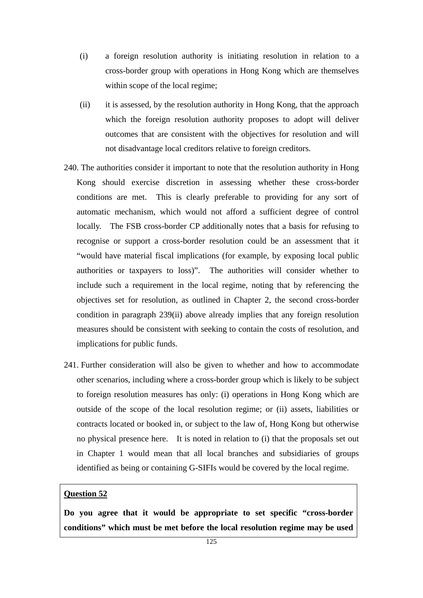- (i) a foreign resolution authority is initiating resolution in relation to a cross-border group with operations in Hong Kong which are themselves within scope of the local regime;
- (ii) it is assessed, by the resolution authority in Hong Kong, that the approach which the foreign resolution authority proposes to adopt will deliver outcomes that are consistent with the objectives for resolution and will not disadvantage local creditors relative to foreign creditors.
- 240. The authorities consider it important to note that the resolution authority in Hong Kong should exercise discretion in assessing whether these cross-border conditions are met. This is clearly preferable to providing for any sort of automatic mechanism, which would not afford a sufficient degree of control locally. The FSB cross-border CP additionally notes that a basis for refusing to recognise or support a cross-border resolution could be an assessment that it "would have material fiscal implications (for example, by exposing local public authorities or taxpayers to loss)". The authorities will consider whether to include such a requirement in the local regime, noting that by referencing the objectives set for resolution, as outlined in Chapter 2, the second cross-border condition in paragraph 239(ii) above already implies that any foreign resolution measures should be consistent with seeking to contain the costs of resolution, and implications for public funds.
- 241. Further consideration will also be given to whether and how to accommodate other scenarios, including where a cross-border group which is likely to be subject to foreign resolution measures has only: (i) operations in Hong Kong which are outside of the scope of the local resolution regime; or (ii) assets, liabilities or contracts located or booked in, or subject to the law of, Hong Kong but otherwise no physical presence here. It is noted in relation to (i) that the proposals set out in Chapter 1 would mean that all local branches and subsidiaries of groups identified as being or containing G-SIFIs would be covered by the local regime.

# **Question 52**

**Do you agree that it would be appropriate to set specific "cross-border conditions" which must be met before the local resolution regime may be used**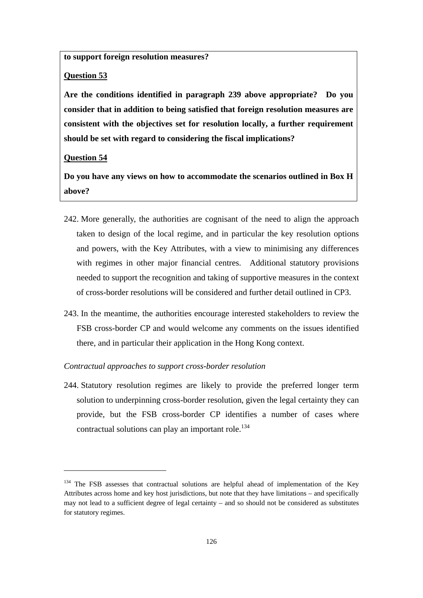**to support foreign resolution measures?** 

# **Question 53**

**Are the conditions identified in paragraph 239 above appropriate? Do you consider that in addition to being satisfied that foreign resolution measures are consistent with the objectives set for resolution locally, a further requirement should be set with regard to considering the fiscal implications?** 

#### **Question 54**

**Do you have any views on how to accommodate the scenarios outlined in Box H above?** 

- 242. More generally, the authorities are cognisant of the need to align the approach taken to design of the local regime, and in particular the key resolution options and powers, with the Key Attributes, with a view to minimising any differences with regimes in other major financial centres. Additional statutory provisions needed to support the recognition and taking of supportive measures in the context of cross-border resolutions will be considered and further detail outlined in CP3.
- 243. In the meantime, the authorities encourage interested stakeholders to review the FSB cross-border CP and would welcome any comments on the issues identified there, and in particular their application in the Hong Kong context.

#### *Contractual approaches to support cross-border resolution*

244. Statutory resolution regimes are likely to provide the preferred longer term solution to underpinning cross-border resolution, given the legal certainty they can provide, but the FSB cross-border CP identifies a number of cases where contractual solutions can play an important role.<sup>134</sup>

 $134$  The FSB assesses that contractual solutions are helpful ahead of implementation of the Key Attributes across home and key host jurisdictions, but note that they have limitations – and specifically may not lead to a sufficient degree of legal certainty – and so should not be considered as substitutes for statutory regimes.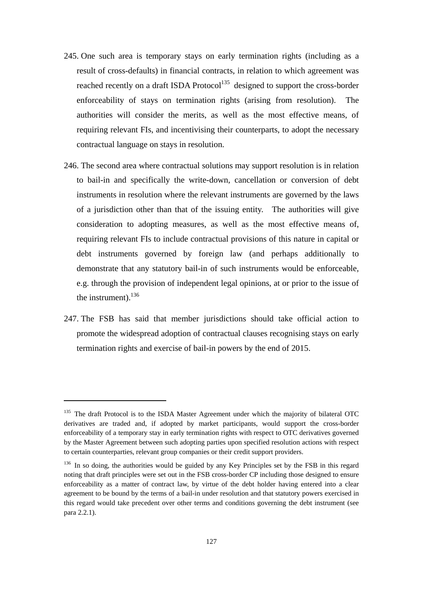- 245. One such area is temporary stays on early termination rights (including as a result of cross-defaults) in financial contracts, in relation to which agreement was reached recently on a draft ISDA Protocol<sup>135</sup> designed to support the cross-border enforceability of stays on termination rights (arising from resolution). The authorities will consider the merits, as well as the most effective means, of requiring relevant FIs, and incentivising their counterparts, to adopt the necessary contractual language on stays in resolution.
- 246. The second area where contractual solutions may support resolution is in relation to bail-in and specifically the write-down, cancellation or conversion of debt instruments in resolution where the relevant instruments are governed by the laws of a jurisdiction other than that of the issuing entity. The authorities will give consideration to adopting measures, as well as the most effective means of, requiring relevant FIs to include contractual provisions of this nature in capital or debt instruments governed by foreign law (and perhaps additionally to demonstrate that any statutory bail-in of such instruments would be enforceable, e.g. through the provision of independent legal opinions, at or prior to the issue of the instrument). $136$
- 247. The FSB has said that member jurisdictions should take official action to promote the widespread adoption of contractual clauses recognising stays on early termination rights and exercise of bail-in powers by the end of 2015.

<sup>&</sup>lt;sup>135</sup> The draft Protocol is to the ISDA Master Agreement under which the majority of bilateral OTC derivatives are traded and, if adopted by market participants, would support the cross-border enforceability of a temporary stay in early termination rights with respect to OTC derivatives governed by the Master Agreement between such adopting parties upon specified resolution actions with respect to certain counterparties, relevant group companies or their credit support providers.

<sup>&</sup>lt;sup>136</sup> In so doing, the authorities would be guided by any Key Principles set by the FSB in this regard noting that draft principles were set out in the FSB cross-border CP including those designed to ensure enforceability as a matter of contract law, by virtue of the debt holder having entered into a clear agreement to be bound by the terms of a bail-in under resolution and that statutory powers exercised in this regard would take precedent over other terms and conditions governing the debt instrument (see para 2.2.1).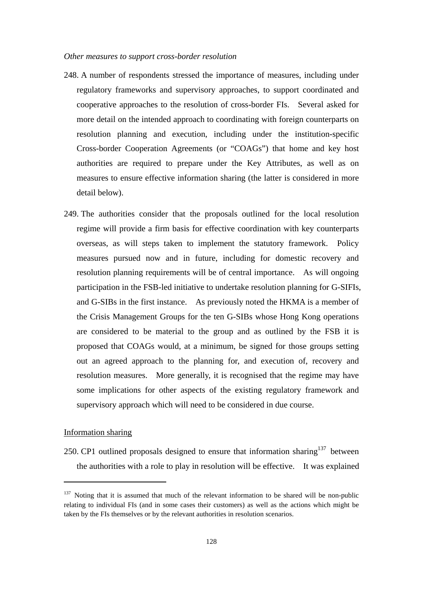#### *Other measures to support cross-border resolution*

- 248. A number of respondents stressed the importance of measures, including under regulatory frameworks and supervisory approaches, to support coordinated and cooperative approaches to the resolution of cross-border FIs. Several asked for more detail on the intended approach to coordinating with foreign counterparts on resolution planning and execution, including under the institution-specific Cross-border Cooperation Agreements (or "COAGs") that home and key host authorities are required to prepare under the Key Attributes, as well as on measures to ensure effective information sharing (the latter is considered in more detail below).
- 249. The authorities consider that the proposals outlined for the local resolution regime will provide a firm basis for effective coordination with key counterparts overseas, as will steps taken to implement the statutory framework. Policy measures pursued now and in future, including for domestic recovery and resolution planning requirements will be of central importance. As will ongoing participation in the FSB-led initiative to undertake resolution planning for G-SIFIs, and G-SIBs in the first instance. As previously noted the HKMA is a member of the Crisis Management Groups for the ten G-SIBs whose Hong Kong operations are considered to be material to the group and as outlined by the FSB it is proposed that COAGs would, at a minimum, be signed for those groups setting out an agreed approach to the planning for, and execution of, recovery and resolution measures. More generally, it is recognised that the regime may have some implications for other aspects of the existing regulatory framework and supervisory approach which will need to be considered in due course.

# Information sharing

250. CP1 outlined proposals designed to ensure that information sharing<sup>137</sup> between the authorities with a role to play in resolution will be effective. It was explained

<sup>&</sup>lt;sup>137</sup> Noting that it is assumed that much of the relevant information to be shared will be non-public relating to individual FIs (and in some cases their customers) as well as the actions which might be taken by the FIs themselves or by the relevant authorities in resolution scenarios.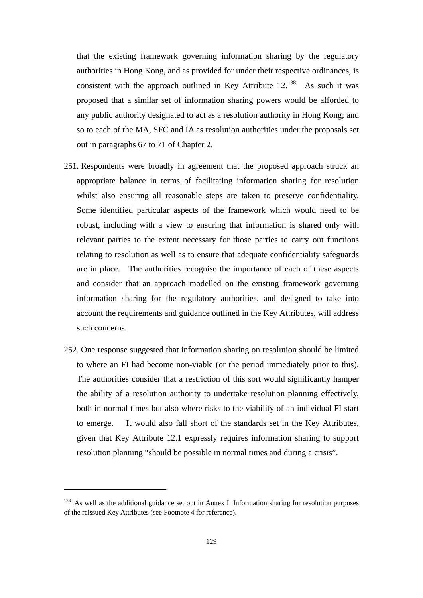that the existing framework governing information sharing by the regulatory authorities in Hong Kong, and as provided for under their respective ordinances, is consistent with the approach outlined in Key Attribute  $12^{138}$  As such it was proposed that a similar set of information sharing powers would be afforded to any public authority designated to act as a resolution authority in Hong Kong; and so to each of the MA, SFC and IA as resolution authorities under the proposals set out in paragraphs 67 to 71 of Chapter 2.

- 251. Respondents were broadly in agreement that the proposed approach struck an appropriate balance in terms of facilitating information sharing for resolution whilst also ensuring all reasonable steps are taken to preserve confidentiality. Some identified particular aspects of the framework which would need to be robust, including with a view to ensuring that information is shared only with relevant parties to the extent necessary for those parties to carry out functions relating to resolution as well as to ensure that adequate confidentiality safeguards are in place. The authorities recognise the importance of each of these aspects and consider that an approach modelled on the existing framework governing information sharing for the regulatory authorities, and designed to take into account the requirements and guidance outlined in the Key Attributes, will address such concerns.
- 252. One response suggested that information sharing on resolution should be limited to where an FI had become non-viable (or the period immediately prior to this). The authorities consider that a restriction of this sort would significantly hamper the ability of a resolution authority to undertake resolution planning effectively, both in normal times but also where risks to the viability of an individual FI start to emerge. It would also fall short of the standards set in the Key Attributes, given that Key Attribute 12.1 expressly requires information sharing to support resolution planning "should be possible in normal times and during a crisis".

<sup>&</sup>lt;sup>138</sup> As well as the additional guidance set out in Annex I: Information sharing for resolution purposes of the reissued Key Attributes (see Footnote 4 for reference).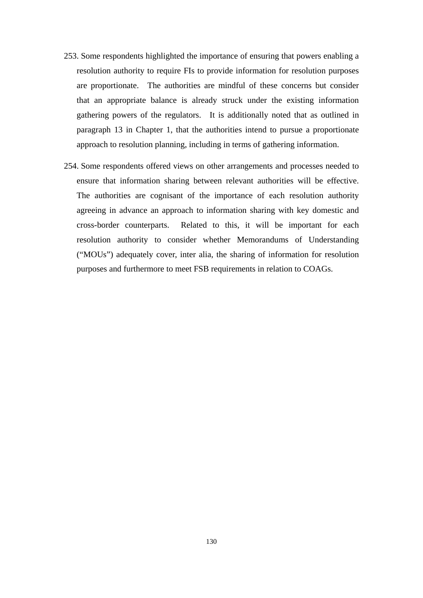- 253. Some respondents highlighted the importance of ensuring that powers enabling a resolution authority to require FIs to provide information for resolution purposes are proportionate. The authorities are mindful of these concerns but consider that an appropriate balance is already struck under the existing information gathering powers of the regulators. It is additionally noted that as outlined in paragraph 13 in Chapter 1, that the authorities intend to pursue a proportionate approach to resolution planning, including in terms of gathering information.
- 254. Some respondents offered views on other arrangements and processes needed to ensure that information sharing between relevant authorities will be effective. The authorities are cognisant of the importance of each resolution authority agreeing in advance an approach to information sharing with key domestic and cross-border counterparts. Related to this, it will be important for each resolution authority to consider whether Memorandums of Understanding ("MOUs") adequately cover, inter alia, the sharing of information for resolution purposes and furthermore to meet FSB requirements in relation to COAGs.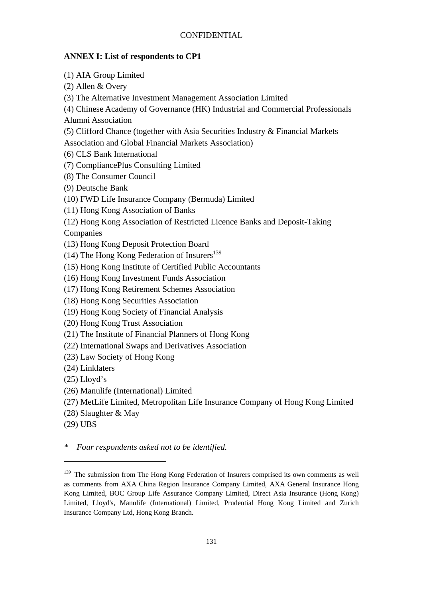# **CONFIDENTIAL**

# **ANNEX I: List of respondents to CP1**

(1) AIA Group Limited

(2) Allen & Overy

(3) The Alternative Investment Management Association Limited

(4) Chinese Academy of Governance (HK) Industrial and Commercial Professionals

Alumni Association

(5) Clifford Chance (together with Asia Securities Industry & Financial Markets

Association and Global Financial Markets Association)

(6) CLS Bank International

(7) CompliancePlus Consulting Limited

(8) The Consumer Council

(9) Deutsche Bank

(10) FWD Life Insurance Company (Bermuda) Limited

(11) Hong Kong Association of Banks

(12) Hong Kong Association of Restricted Licence Banks and Deposit-Taking Companies

(13) Hong Kong Deposit Protection Board

(14) The Hong Kong Federation of Insurers $^{139}$ 

(15) Hong Kong Institute of Certified Public Accountants

(16) Hong Kong Investment Funds Association

(17) Hong Kong Retirement Schemes Association

(18) Hong Kong Securities Association

(19) Hong Kong Society of Financial Analysis

(20) Hong Kong Trust Association

(21) The Institute of Financial Planners of Hong Kong

(22) International Swaps and Derivatives Association

(23) Law Society of Hong Kong

(24) Linklaters

 $(25)$  Lloyd's

(26) Manulife (International) Limited

(27) MetLife Limited, Metropolitan Life Insurance Company of Hong Kong Limited

(28) Slaughter & May

(29) UBS

*\* Four respondents asked not to be identified.* 

<sup>&</sup>lt;sup>139</sup> The submission from The Hong Kong Federation of Insurers comprised its own comments as well as comments from AXA China Region Insurance Company Limited, AXA General Insurance Hong Kong Limited, BOC Group Life Assurance Company Limited, Direct Asia Insurance (Hong Kong) Limited, Lloyd's, Manulife (International) Limited, Prudential Hong Kong Limited and Zurich Insurance Company Ltd, Hong Kong Branch.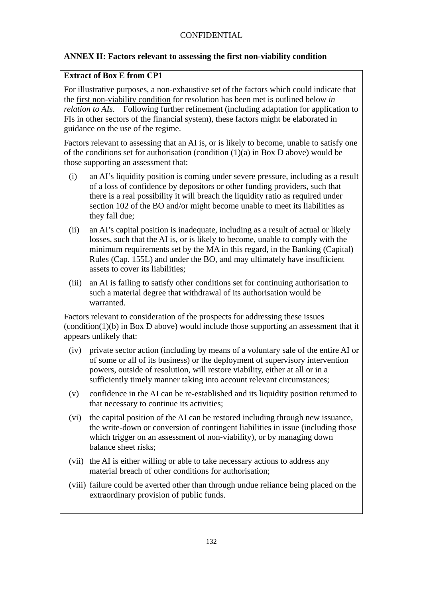# **ANNEX II: Factors relevant to assessing the first non-viability condition**

# **Extract of Box E from CP1**

For illustrative purposes, a non-exhaustive set of the factors which could indicate that the first non-viability condition for resolution has been met is outlined below *in relation to AIs*. Following further refinement (including adaptation for application to FIs in other sectors of the financial system), these factors might be elaborated in guidance on the use of the regime.

Factors relevant to assessing that an AI is, or is likely to become, unable to satisfy one of the conditions set for authorisation (condition  $(1)(a)$  in Box D above) would be those supporting an assessment that:

- (i) an AI's liquidity position is coming under severe pressure, including as a result of a loss of confidence by depositors or other funding providers, such that there is a real possibility it will breach the liquidity ratio as required under section 102 of the BO and/or might become unable to meet its liabilities as they fall due;
- (ii) an AI's capital position is inadequate, including as a result of actual or likely losses, such that the AI is, or is likely to become, unable to comply with the minimum requirements set by the MA in this regard, in the Banking (Capital) Rules (Cap. 155L) and under the BO, and may ultimately have insufficient assets to cover its liabilities;
- (iii) an AI is failing to satisfy other conditions set for continuing authorisation to such a material degree that withdrawal of its authorisation would be warranted.

Factors relevant to consideration of the prospects for addressing these issues (condition(1)(b) in Box D above) would include those supporting an assessment that it appears unlikely that:

- (iv) private sector action (including by means of a voluntary sale of the entire AI or of some or all of its business) or the deployment of supervisory intervention powers, outside of resolution, will restore viability, either at all or in a sufficiently timely manner taking into account relevant circumstances;
- (v) confidence in the AI can be re-established and its liquidity position returned to that necessary to continue its activities;
- (vi) the capital position of the AI can be restored including through new issuance, the write-down or conversion of contingent liabilities in issue (including those which trigger on an assessment of non-viability), or by managing down balance sheet risks;
- (vii) the AI is either willing or able to take necessary actions to address any material breach of other conditions for authorisation;
- (viii) failure could be averted other than through undue reliance being placed on the extraordinary provision of public funds.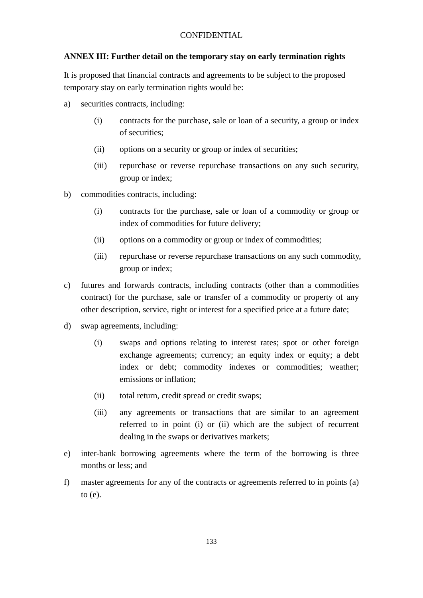# **CONFIDENTIAL**

# **ANNEX III: Further detail on the temporary stay on early termination rights**

It is proposed that financial contracts and agreements to be subject to the proposed temporary stay on early termination rights would be:

- a) securities contracts, including:
	- (i) contracts for the purchase, sale or loan of a security, a group or index of securities;
	- (ii) options on a security or group or index of securities;
	- (iii) repurchase or reverse repurchase transactions on any such security, group or index;
- b) commodities contracts, including:
	- (i) contracts for the purchase, sale or loan of a commodity or group or index of commodities for future delivery;
	- (ii) options on a commodity or group or index of commodities;
	- (iii) repurchase or reverse repurchase transactions on any such commodity, group or index;
- c) futures and forwards contracts, including contracts (other than a commodities contract) for the purchase, sale or transfer of a commodity or property of any other description, service, right or interest for a specified price at a future date;
- d) swap agreements, including:
	- (i) swaps and options relating to interest rates; spot or other foreign exchange agreements; currency; an equity index or equity; a debt index or debt; commodity indexes or commodities; weather; emissions or inflation;
	- (ii) total return, credit spread or credit swaps;
	- (iii) any agreements or transactions that are similar to an agreement referred to in point (i) or (ii) which are the subject of recurrent dealing in the swaps or derivatives markets;
- e) inter-bank borrowing agreements where the term of the borrowing is three months or less; and
- f) master agreements for any of the contracts or agreements referred to in points (a) to (e).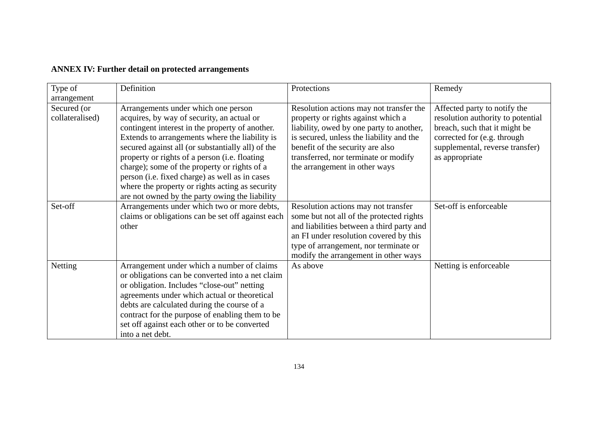| <b>ANNEX IV: Further detail on protected arrangements</b> |  |  |
|-----------------------------------------------------------|--|--|
|-----------------------------------------------------------|--|--|

| Type of<br>arrangement         | Definition                                                                                                                                                                                                                                                                                                                                                                                                                                                                                          | Protections                                                                                                                                                                                                                                                                        | Remedy                                                                                                                                                                                 |
|--------------------------------|-----------------------------------------------------------------------------------------------------------------------------------------------------------------------------------------------------------------------------------------------------------------------------------------------------------------------------------------------------------------------------------------------------------------------------------------------------------------------------------------------------|------------------------------------------------------------------------------------------------------------------------------------------------------------------------------------------------------------------------------------------------------------------------------------|----------------------------------------------------------------------------------------------------------------------------------------------------------------------------------------|
| Secured (or<br>collateralised) | Arrangements under which one person<br>acquires, by way of security, an actual or<br>contingent interest in the property of another.<br>Extends to arrangements where the liability is<br>secured against all (or substantially all) of the<br>property or rights of a person (i.e. floating<br>charge); some of the property or rights of a<br>person (i.e. fixed charge) as well as in cases<br>where the property or rights acting as security<br>are not owned by the party owing the liability | Resolution actions may not transfer the<br>property or rights against which a<br>liability, owed by one party to another,<br>is secured, unless the liability and the<br>benefit of the security are also<br>transferred, nor terminate or modify<br>the arrangement in other ways | Affected party to notify the<br>resolution authority to potential<br>breach, such that it might be<br>corrected for (e.g. through<br>supplemental, reverse transfer)<br>as appropriate |
| Set-off                        | Arrangements under which two or more debts,<br>claims or obligations can be set off against each<br>other                                                                                                                                                                                                                                                                                                                                                                                           | Resolution actions may not transfer<br>some but not all of the protected rights<br>and liabilities between a third party and<br>an FI under resolution covered by this<br>type of arrangement, nor terminate or<br>modify the arrangement in other ways                            | Set-off is enforceable                                                                                                                                                                 |
| Netting                        | Arrangement under which a number of claims<br>or obligations can be converted into a net claim<br>or obligation. Includes "close-out" netting<br>agreements under which actual or theoretical<br>debts are calculated during the course of a<br>contract for the purpose of enabling them to be<br>set off against each other or to be converted<br>into a net debt.                                                                                                                                | As above                                                                                                                                                                                                                                                                           | Netting is enforceable                                                                                                                                                                 |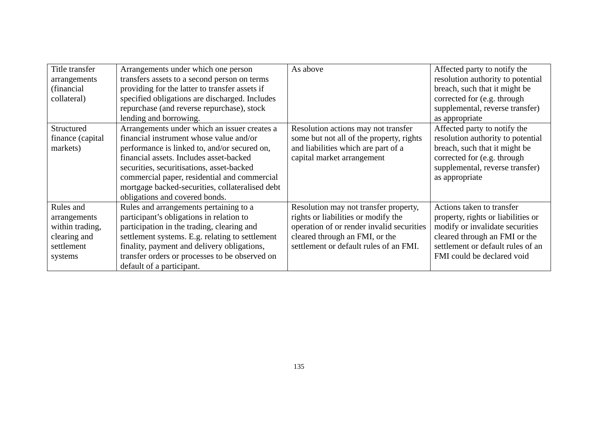| Title transfer<br>arrangements<br>(financial)<br>collateral)                          | Arrangements under which one person<br>transfers assets to a second person on terms<br>providing for the latter to transfer assets if<br>specified obligations are discharged. Includes<br>repurchase (and reverse repurchase), stock<br>lending and borrowing.                                                                                                      | As above                                                                                                                                                                                              | Affected party to notify the<br>resolution authority to potential<br>breach, such that it might be<br>corrected for (e.g. through<br>supplemental, reverse transfer)<br>as appropriate                 |
|---------------------------------------------------------------------------------------|----------------------------------------------------------------------------------------------------------------------------------------------------------------------------------------------------------------------------------------------------------------------------------------------------------------------------------------------------------------------|-------------------------------------------------------------------------------------------------------------------------------------------------------------------------------------------------------|--------------------------------------------------------------------------------------------------------------------------------------------------------------------------------------------------------|
| Structured<br>finance (capital)<br>markets)                                           | Arrangements under which an issuer creates a<br>financial instrument whose value and/or<br>performance is linked to, and/or secured on,<br>financial assets. Includes asset-backed<br>securities, securitisations, asset-backed<br>commercial paper, residential and commercial<br>mortgage backed-securities, collateralised debt<br>obligations and covered bonds. | Resolution actions may not transfer<br>some but not all of the property, rights<br>and liabilities which are part of a<br>capital market arrangement                                                  | Affected party to notify the<br>resolution authority to potential<br>breach, such that it might be<br>corrected for (e.g. through<br>supplemental, reverse transfer)<br>as appropriate                 |
| Rules and<br>arrangements<br>within trading,<br>clearing and<br>settlement<br>systems | Rules and arrangements pertaining to a<br>participant's obligations in relation to<br>participation in the trading, clearing and<br>settlement systems. E.g. relating to settlement<br>finality, payment and delivery obligations,<br>transfer orders or processes to be observed on<br>default of a participant.                                                    | Resolution may not transfer property,<br>rights or liabilities or modify the<br>operation of or render invalid securities<br>cleared through an FMI, or the<br>settlement or default rules of an FMI. | Actions taken to transfer<br>property, rights or liabilities or<br>modify or invalidate securities<br>cleared through an FMI or the<br>settlement or default rules of an<br>FMI could be declared void |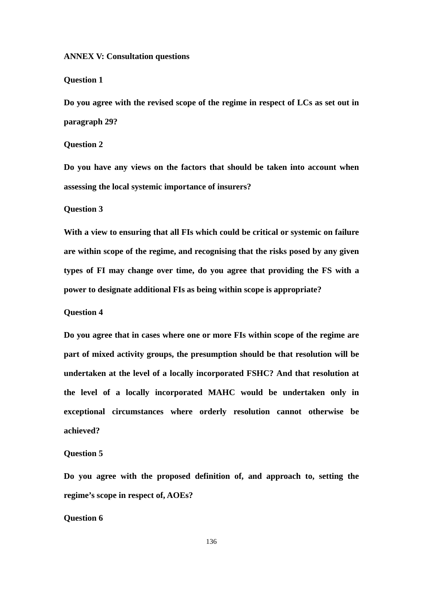# **ANNEX V: Consultation questions**

# **Question 1**

**Do you agree with the revised scope of the regime in respect of LCs as set out in paragraph 29?**

# **Question 2**

**Do you have any views on the factors that should be taken into account when assessing the local systemic importance of insurers?**

## **Question 3**

**With a view to ensuring that all FIs which could be critical or systemic on failure are within scope of the regime, and recognising that the risks posed by any given types of FI may change over time, do you agree that providing the FS with a power to designate additional FIs as being within scope is appropriate?**

## **Question 4**

**Do you agree that in cases where one or more FIs within scope of the regime are part of mixed activity groups, the presumption should be that resolution will be undertaken at the level of a locally incorporated FSHC? And that resolution at the level of a locally incorporated MAHC would be undertaken only in exceptional circumstances where orderly resolution cannot otherwise be achieved?**

# **Question 5**

**Do you agree with the proposed definition of, and approach to, setting the regime's scope in respect of, AOEs?**

## **Question 6**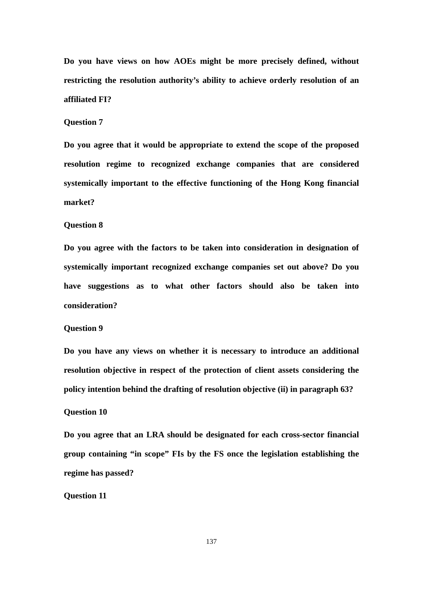**Do you have views on how AOEs might be more precisely defined, without restricting the resolution authority's ability to achieve orderly resolution of an affiliated FI?**

# **Question 7**

**Do you agree that it would be appropriate to extend the scope of the proposed resolution regime to recognized exchange companies that are considered systemically important to the effective functioning of the Hong Kong financial market?**

# **Question 8**

**Do you agree with the factors to be taken into consideration in designation of systemically important recognized exchange companies set out above? Do you have suggestions as to what other factors should also be taken into consideration?**

## **Question 9**

**Do you have any views on whether it is necessary to introduce an additional resolution objective in respect of the protection of client assets considering the policy intention behind the drafting of resolution objective (ii) in paragraph 63?**

## **Question 10**

**Do you agree that an LRA should be designated for each cross-sector financial group containing "in scope" FIs by the FS once the legislation establishing the regime has passed?**

# **Question 11**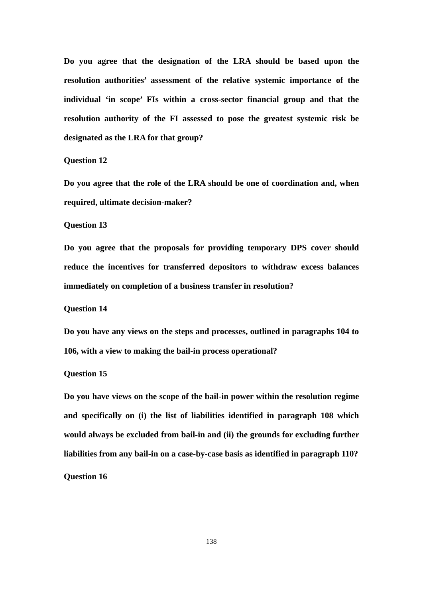**Do you agree that the designation of the LRA should be based upon the resolution authorities' assessment of the relative systemic importance of the individual 'in scope' FIs within a cross-sector financial group and that the resolution authority of the FI assessed to pose the greatest systemic risk be designated as the LRA for that group?**

## **Question 12**

**Do you agree that the role of the LRA should be one of coordination and, when required, ultimate decision-maker?**

# **Question 13**

**Do you agree that the proposals for providing temporary DPS cover should reduce the incentives for transferred depositors to withdraw excess balances immediately on completion of a business transfer in resolution?**

#### **Question 14**

**Do you have any views on the steps and processes, outlined in paragraphs 104 to 106, with a view to making the bail-in process operational?**

# **Question 15**

**Do you have views on the scope of the bail-in power within the resolution regime and specifically on (i) the list of liabilities identified in paragraph 108 which would always be excluded from bail-in and (ii) the grounds for excluding further liabilities from any bail-in on a case-by-case basis as identified in paragraph 110? Question 16**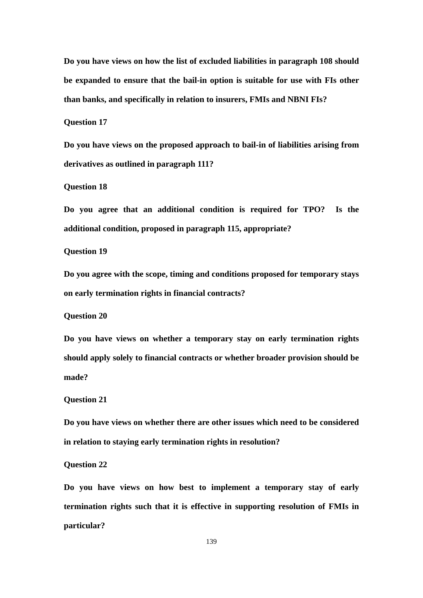**Do you have views on how the list of excluded liabilities in paragraph 108 should be expanded to ensure that the bail-in option is suitable for use with FIs other than banks, and specifically in relation to insurers, FMIs and NBNI FIs?**

**Question 17**

**Do you have views on the proposed approach to bail-in of liabilities arising from derivatives as outlined in paragraph 111?**

**Question 18**

**Do you agree that an additional condition is required for TPO? Is the additional condition, proposed in paragraph 115, appropriate?**

**Question 19**

**Do you agree with the scope, timing and conditions proposed for temporary stays on early termination rights in financial contracts?**

**Question 20**

**Do you have views on whether a temporary stay on early termination rights should apply solely to financial contracts or whether broader provision should be made?**

**Question 21**

**Do you have views on whether there are other issues which need to be considered in relation to staying early termination rights in resolution?**

**Question 22**

**Do you have views on how best to implement a temporary stay of early termination rights such that it is effective in supporting resolution of FMIs in particular?**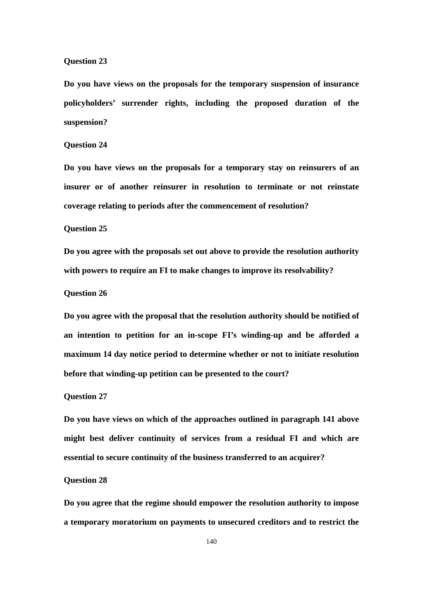# **Question 23**

**Do you have views on the proposals for the temporary suspension of insurance policyholders' surrender rights, including the proposed duration of the suspension?**

# **Question 24**

**Do you have views on the proposals for a temporary stay on reinsurers of an insurer or of another reinsurer in resolution to terminate or not reinstate coverage relating to periods after the commencement of resolution?**

# **Question 25**

**Do you agree with the proposals set out above to provide the resolution authority with powers to require an FI to make changes to improve its resolvability?**

## **Question 26**

**Do you agree with the proposal that the resolution authority should be notified of an intention to petition for an in-scope FI's winding-up and be afforded a maximum 14 day notice period to determine whether or not to initiate resolution before that winding-up petition can be presented to the court?**

#### **Question 27**

**Do you have views on which of the approaches outlined in paragraph 141 above might best deliver continuity of services from a residual FI and which are essential to secure continuity of the business transferred to an acquirer?**

# **Question 28**

**Do you agree that the regime should empower the resolution authority to impose a temporary moratorium on payments to unsecured creditors and to restrict the**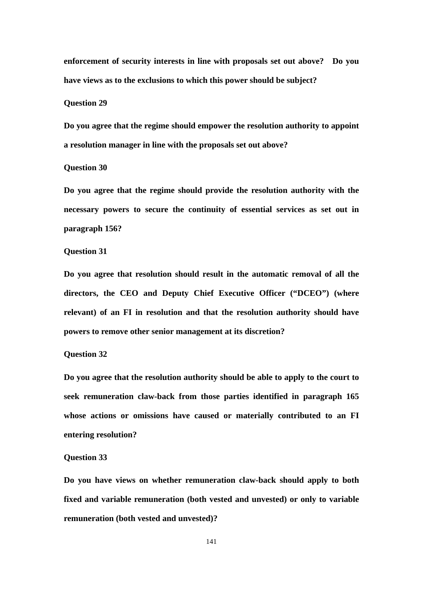**enforcement of security interests in line with proposals set out above? Do you have views as to the exclusions to which this power should be subject?**

#### **Question 29**

**Do you agree that the regime should empower the resolution authority to appoint a resolution manager in line with the proposals set out above?**

## **Question 30**

**Do you agree that the regime should provide the resolution authority with the necessary powers to secure the continuity of essential services as set out in paragraph 156?**

#### **Question 31**

**Do you agree that resolution should result in the automatic removal of all the directors, the CEO and Deputy Chief Executive Officer ("DCEO") (where relevant) of an FI in resolution and that the resolution authority should have powers to remove other senior management at its discretion?**

# **Question 32**

**Do you agree that the resolution authority should be able to apply to the court to seek remuneration claw-back from those parties identified in paragraph 165 whose actions or omissions have caused or materially contributed to an FI entering resolution?**

### **Question 33**

**Do you have views on whether remuneration claw-back should apply to both fixed and variable remuneration (both vested and unvested) or only to variable remuneration (both vested and unvested)?**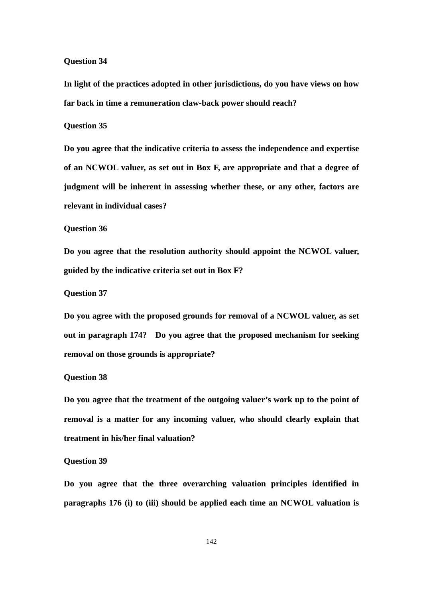## **Question 34**

**In light of the practices adopted in other jurisdictions, do you have views on how far back in time a remuneration claw-back power should reach?**

# **Question 35**

**Do you agree that the indicative criteria to assess the independence and expertise of an NCWOL valuer, as set out in Box F, are appropriate and that a degree of judgment will be inherent in assessing whether these, or any other, factors are relevant in individual cases?**

# **Question 36**

**Do you agree that the resolution authority should appoint the NCWOL valuer, guided by the indicative criteria set out in Box F?**

# **Question 37**

**Do you agree with the proposed grounds for removal of a NCWOL valuer, as set out in paragraph 174? Do you agree that the proposed mechanism for seeking removal on those grounds is appropriate?**

# **Question 38**

**Do you agree that the treatment of the outgoing valuer's work up to the point of removal is a matter for any incoming valuer, who should clearly explain that treatment in his/her final valuation?**

## **Question 39**

**Do you agree that the three overarching valuation principles identified in paragraphs 176 (i) to (iii) should be applied each time an NCWOL valuation is**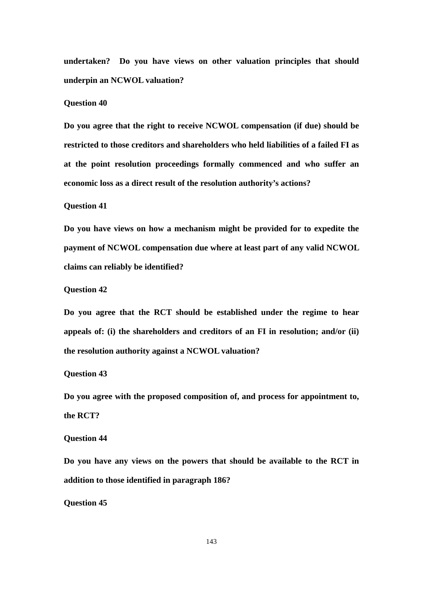**undertaken? Do you have views on other valuation principles that should underpin an NCWOL valuation?**

## **Question 40**

**Do you agree that the right to receive NCWOL compensation (if due) should be restricted to those creditors and shareholders who held liabilities of a failed FI as at the point resolution proceedings formally commenced and who suffer an economic loss as a direct result of the resolution authority's actions?**

# **Question 41**

**Do you have views on how a mechanism might be provided for to expedite the payment of NCWOL compensation due where at least part of any valid NCWOL claims can reliably be identified?**

# **Question 42**

**Do you agree that the RCT should be established under the regime to hear appeals of: (i) the shareholders and creditors of an FI in resolution; and/or (ii) the resolution authority against a NCWOL valuation?**

# **Question 43**

**Do you agree with the proposed composition of, and process for appointment to, the RCT?**

#### **Question 44**

**Do you have any views on the powers that should be available to the RCT in addition to those identified in paragraph 186?**

**Question 45**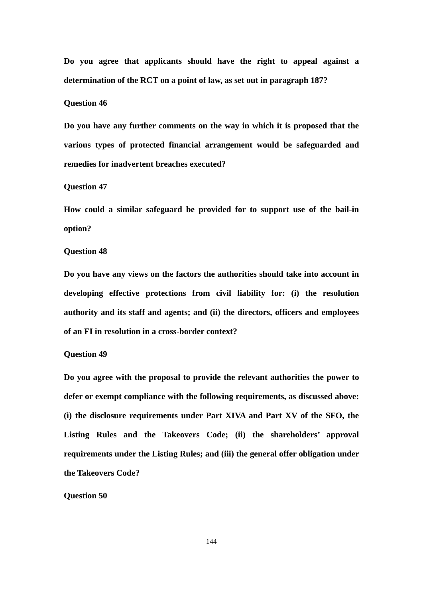**Do you agree that applicants should have the right to appeal against a determination of the RCT on a point of law, as set out in paragraph 187?**

## **Question 46**

**Do you have any further comments on the way in which it is proposed that the various types of protected financial arrangement would be safeguarded and remedies for inadvertent breaches executed?**

#### **Question 47**

**How could a similar safeguard be provided for to support use of the bail-in option?**

#### **Question 48**

**Do you have any views on the factors the authorities should take into account in developing effective protections from civil liability for: (i) the resolution authority and its staff and agents; and (ii) the directors, officers and employees of an FI in resolution in a cross-border context?**

### **Question 49**

**Do you agree with the proposal to provide the relevant authorities the power to defer or exempt compliance with the following requirements, as discussed above: (i) the disclosure requirements under Part XIVA and Part XV of the SFO, the Listing Rules and the Takeovers Code; (ii) the shareholders' approval requirements under the Listing Rules; and (iii) the general offer obligation under the Takeovers Code?**

# **Question 50**